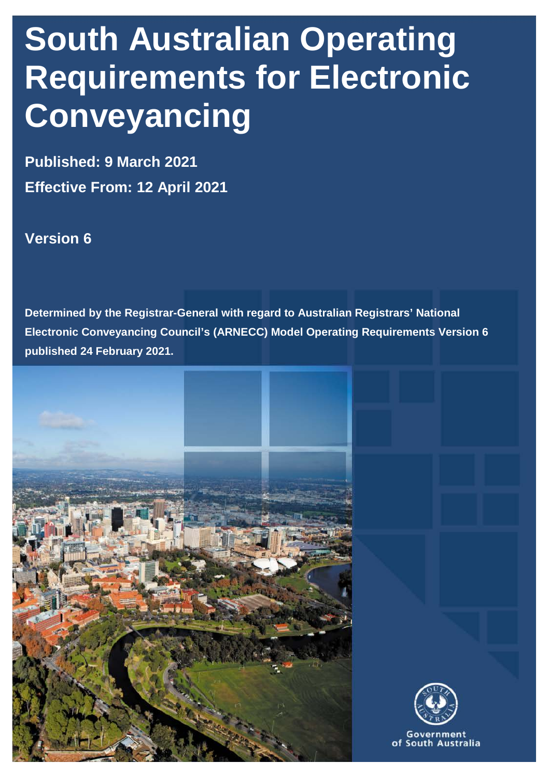# **South Australian Operating Requirements for Electronic Conveyancing**

**Published: 9 March 2021 Effective From: 12 April 2021**

# **Version 6**

**Determined by the Registrar-General with regard to Australian Registrars' National Electronic Conveyancing Council's (ARNECC) Model Operating Requirements Version 6 published 24 February 2021.**





Government of South Australia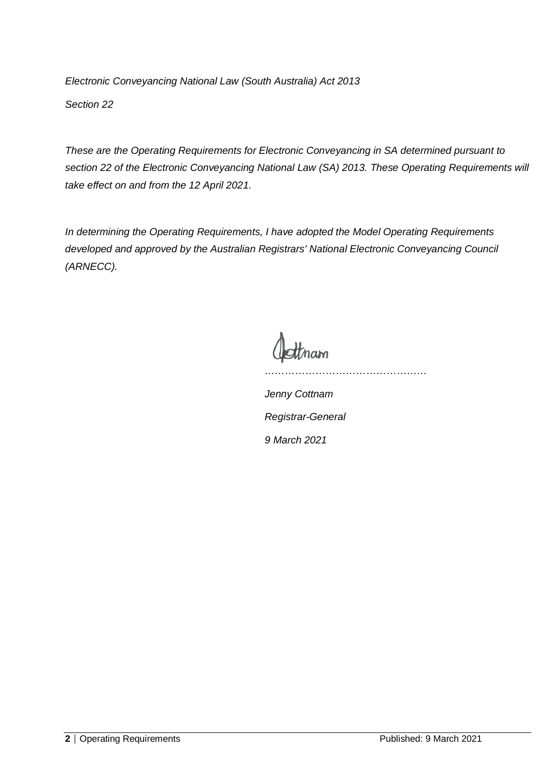*Electronic Conveyancing National Law (South Australia) Act 2013 Section 22* 

*These are the Operating Requirements for Electronic Conveyancing in SA determined pursuant to section 22 of the Electronic Conveyancing National Law (SA) 2013. These Operating Requirements will take effect on and from the 12 April 2021.*

*In determining the Operating Requirements, I have adopted the Model Operating Requirements developed and approved by the Australian Registrars' National Electronic Conveyancing Council (ARNECC).*

*…………………………………………*

*Jenny Cottnam Registrar-General 9 March 2021*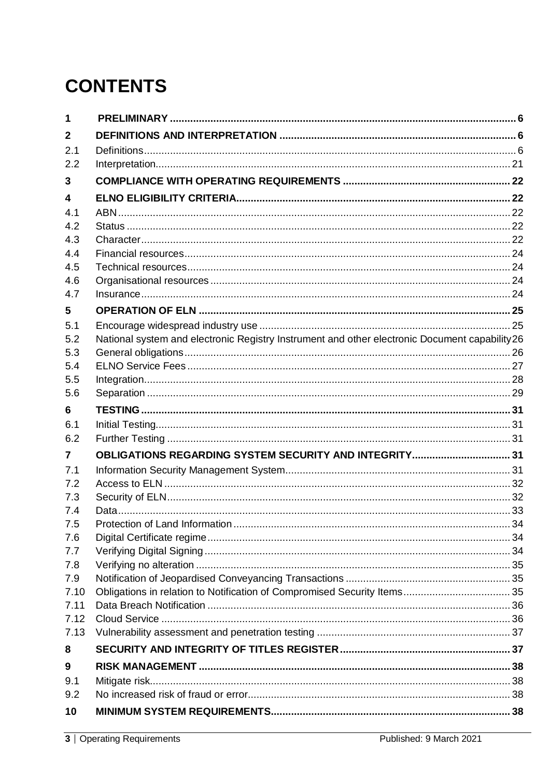# **CONTENTS**

| $\mathbf 1$    |                                                                                               |  |
|----------------|-----------------------------------------------------------------------------------------------|--|
| $\mathbf{2}$   |                                                                                               |  |
| 2.1            |                                                                                               |  |
| 2.2            |                                                                                               |  |
| 3              |                                                                                               |  |
| 4              |                                                                                               |  |
| 4.1            |                                                                                               |  |
| 4.2            |                                                                                               |  |
| 4.3            |                                                                                               |  |
| 4.4            |                                                                                               |  |
| 4.5            |                                                                                               |  |
| 4.6            |                                                                                               |  |
| 4.7            |                                                                                               |  |
| 5              |                                                                                               |  |
| 5.1            |                                                                                               |  |
| 5.2<br>5.3     | National system and electronic Registry Instrument and other electronic Document capability26 |  |
| 5.4            |                                                                                               |  |
| 5.5            |                                                                                               |  |
| 5.6            |                                                                                               |  |
| 6              |                                                                                               |  |
| 6.1            |                                                                                               |  |
| 6.2            |                                                                                               |  |
| $\overline{7}$ | OBLIGATIONS REGARDING SYSTEM SECURITY AND INTEGRITY 31                                        |  |
| 7.1            |                                                                                               |  |
| 7.2            |                                                                                               |  |
| 7.3            |                                                                                               |  |
| 7.4            |                                                                                               |  |
| 7.5            |                                                                                               |  |
| 7.6            |                                                                                               |  |
| 7.7            |                                                                                               |  |
| 7.8<br>7.9     |                                                                                               |  |
| 7.10           |                                                                                               |  |
| 7.11           |                                                                                               |  |
| 7.12           |                                                                                               |  |
| 7.13           |                                                                                               |  |
| 8              |                                                                                               |  |
| 9              |                                                                                               |  |
| 9.1            |                                                                                               |  |
| 9.2            |                                                                                               |  |
| 10             |                                                                                               |  |
|                |                                                                                               |  |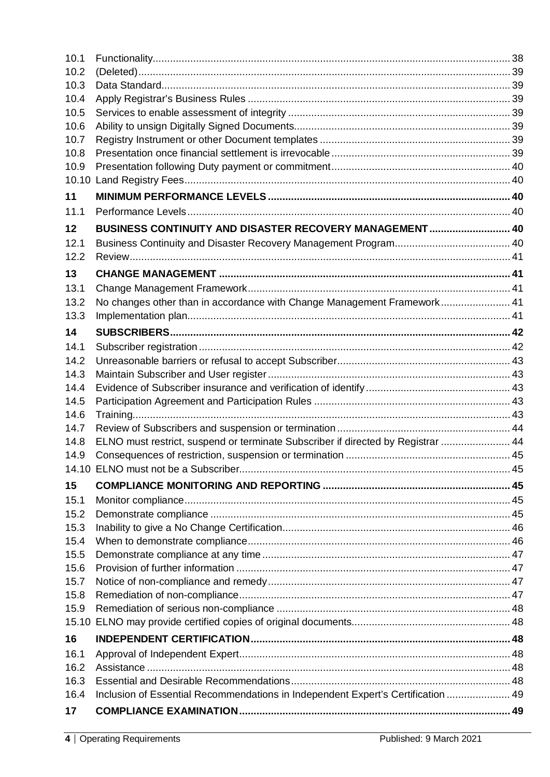| 10.1              |                                                                                  |  |
|-------------------|----------------------------------------------------------------------------------|--|
| 10.2              |                                                                                  |  |
| 10.3              |                                                                                  |  |
| 10.4              |                                                                                  |  |
| 10.5              |                                                                                  |  |
| 10.6              |                                                                                  |  |
| 10.7              |                                                                                  |  |
| 10.8              |                                                                                  |  |
| 10.9              |                                                                                  |  |
|                   |                                                                                  |  |
| 11                |                                                                                  |  |
| 11.1              |                                                                                  |  |
| $12 \overline{ }$ | BUSINESS CONTINUITY AND DISASTER RECOVERY MANAGEMENT 40                          |  |
| 12.1              |                                                                                  |  |
| 12.2              |                                                                                  |  |
| 13                |                                                                                  |  |
| 13.1              |                                                                                  |  |
| 13.2              | No changes other than in accordance with Change Management Framework 41          |  |
| 13.3              |                                                                                  |  |
| 14                |                                                                                  |  |
| 14.1              |                                                                                  |  |
| 14.2              |                                                                                  |  |
| 14.3              |                                                                                  |  |
| 14.4              |                                                                                  |  |
| 14.5              |                                                                                  |  |
| 14.6              |                                                                                  |  |
| 14.7              |                                                                                  |  |
| 14.8              | ELNO must restrict, suspend or terminate Subscriber if directed by Registrar  44 |  |
| 14.9              |                                                                                  |  |
|                   |                                                                                  |  |
| 15                |                                                                                  |  |
| 15.1              |                                                                                  |  |
| 15.2              |                                                                                  |  |
| 15.3              |                                                                                  |  |
| 15.4              |                                                                                  |  |
| 15.5              |                                                                                  |  |
| 15.6              |                                                                                  |  |
| 15.7              |                                                                                  |  |
| 15.8              |                                                                                  |  |
| 15.9              |                                                                                  |  |
|                   |                                                                                  |  |
| 16                |                                                                                  |  |
| 16.1              |                                                                                  |  |
| 16.2              |                                                                                  |  |
| 16.3              |                                                                                  |  |
| 16.4              | Inclusion of Essential Recommendations in Independent Expert's Certification  49 |  |
| 17                |                                                                                  |  |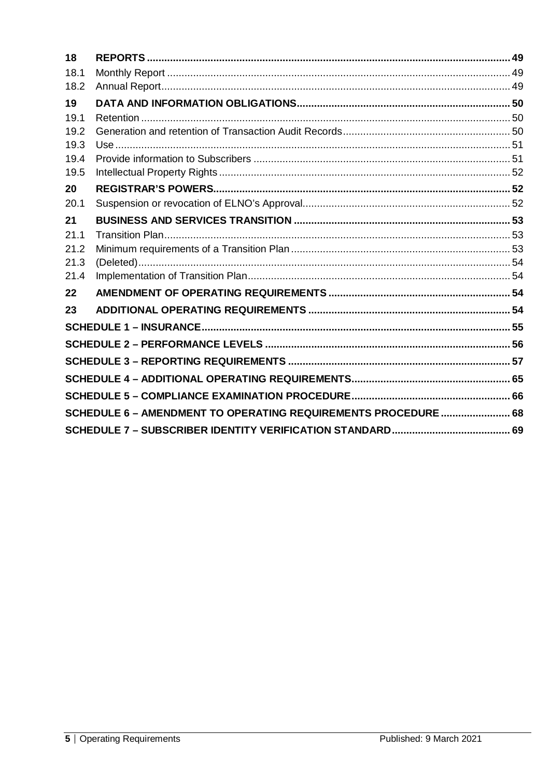| 18   |                                                                |  |
|------|----------------------------------------------------------------|--|
| 18.1 |                                                                |  |
| 18.2 |                                                                |  |
| 19   |                                                                |  |
| 19.1 |                                                                |  |
| 19.2 |                                                                |  |
| 19.3 |                                                                |  |
| 19.4 |                                                                |  |
| 19.5 |                                                                |  |
| 20   |                                                                |  |
| 20.1 |                                                                |  |
| 21   |                                                                |  |
| 21.1 |                                                                |  |
| 21.2 |                                                                |  |
| 21.3 |                                                                |  |
| 21.4 |                                                                |  |
| 22   |                                                                |  |
| 23   |                                                                |  |
|      |                                                                |  |
|      |                                                                |  |
|      |                                                                |  |
|      |                                                                |  |
|      |                                                                |  |
|      | SCHEDULE 6 - AMENDMENT TO OPERATING REQUIREMENTS PROCEDURE  68 |  |
|      |                                                                |  |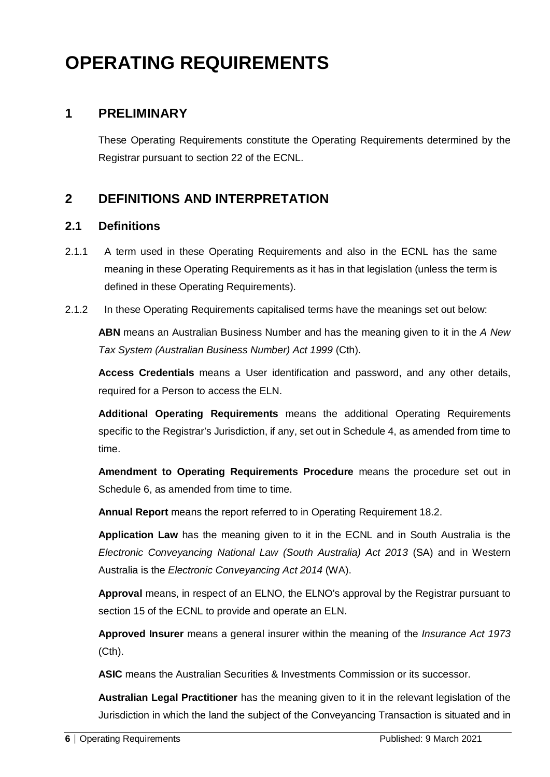# **OPERATING REQUIREMENTS**

# <span id="page-5-0"></span>**1 PRELIMINARY**

These Operating Requirements constitute the Operating Requirements determined by the Registrar pursuant to section 22 of the ECNL.

# <span id="page-5-1"></span>**2 DEFINITIONS AND INTERPRETATION**

#### <span id="page-5-2"></span>**2.1 Definitions**

- 2.1.1 A term used in these Operating Requirements and also in the ECNL has the same meaning in these Operating Requirements as it has in that legislation (unless the term is defined in these Operating Requirements).
- 2.1.2 In these Operating Requirements capitalised terms have the meanings set out below:

**ABN** means an Australian Business Number and has the meaning given to it in the *A New Tax System (Australian Business Number) Act 1999* (Cth).

**Access Credentials** means a User identification and password, and any other details, required for a Person to access the ELN.

**Additional Operating Requirements** means the additional Operating Requirements specific to the Registrar's Jurisdiction, if any, set out in Schedule 4, as amended from time to time.

**Amendment to Operating Requirements Procedure** means the procedure set out in Schedule 6, as amended from time to time.

**Annual Report** means the report referred to in Operating Requirement 18.2.

**Application Law** has the meaning given to it in the ECNL and in South Australia is the *Electronic Conveyancing National Law (South Australia) Act 2013* (SA) and in Western Australia is the *Electronic Conveyancing Act 2014* (WA).

**Approval** means, in respect of an ELNO, the ELNO's approval by the Registrar pursuant to section 15 of the ECNL to provide and operate an ELN.

**Approved Insurer** means a general insurer within the meaning of the *Insurance Act 1973* (Cth).

**ASIC** means the Australian Securities & Investments Commission or its successor.

**Australian Legal Practitioner** has the meaning given to it in the relevant legislation of the Jurisdiction in which the land the subject of the Conveyancing Transaction is situated and in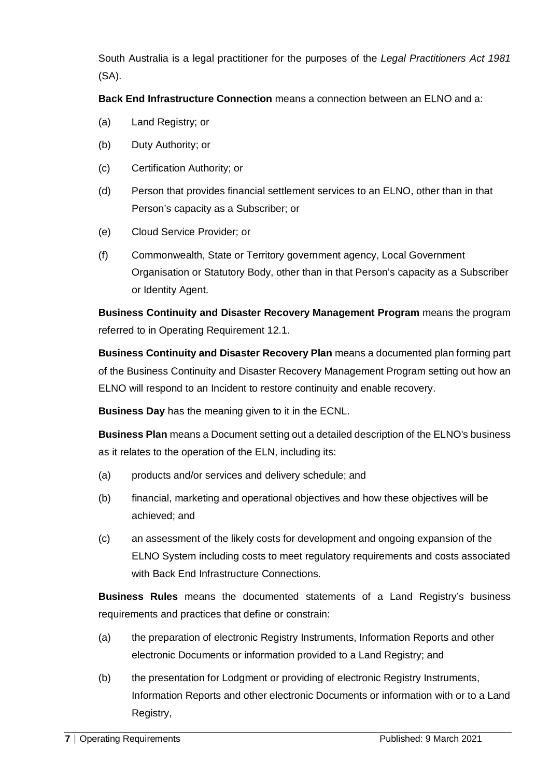South Australia is a legal practitioner for the purposes of the *Legal Practitioners Act 1981* (SA).

**Back End Infrastructure Connection** means a connection between an ELNO and a:

- (a) Land Registry; or
- (b) Duty Authority; or
- (c) Certification Authority; or
- (d) Person that provides financial settlement services to an ELNO, other than in that Person's capacity as a Subscriber; or
- (e) Cloud Service Provider; or
- (f) Commonwealth, State or Territory government agency, Local Government Organisation or Statutory Body, other than in that Person's capacity as a Subscriber or Identity Agent.

**Business Continuity and Disaster Recovery Management Program** means the program referred to in Operating Requirement 12.1.

**Business Continuity and Disaster Recovery Plan** means a documented plan forming part of the Business Continuity and Disaster Recovery Management Program setting out how an ELNO will respond to an Incident to restore continuity and enable recovery.

**Business Day** has the meaning given to it in the ECNL.

**Business Plan** means a Document setting out a detailed description of the ELNO's business as it relates to the operation of the ELN, including its:

- (a) products and/or services and delivery schedule; and
- (b) financial, marketing and operational objectives and how these objectives will be achieved; and
- (c) an assessment of the likely costs for development and ongoing expansion of the ELNO System including costs to meet regulatory requirements and costs associated with Back End Infrastructure Connections.

**Business Rules** means the documented statements of a Land Registry's business requirements and practices that define or constrain:

- (a) the preparation of electronic Registry Instruments, Information Reports and other electronic Documents or information provided to a Land Registry; and
- (b) the presentation for Lodgment or providing of electronic Registry Instruments, Information Reports and other electronic Documents or information with or to a Land Registry,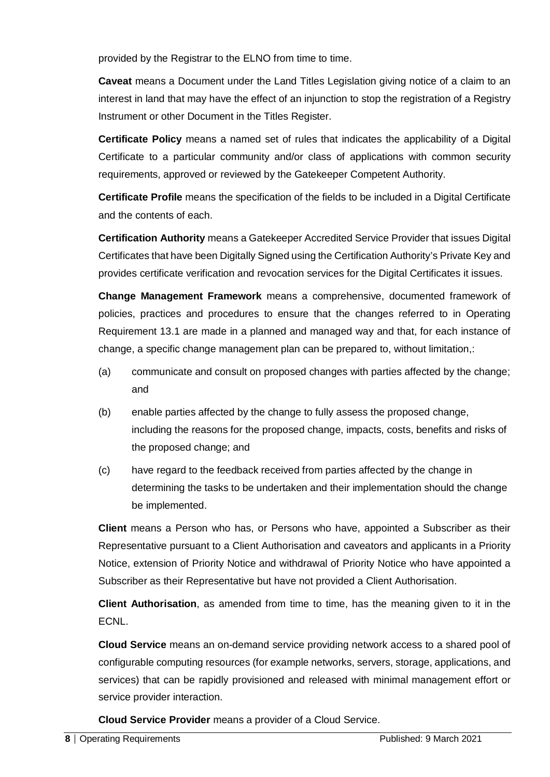provided by the Registrar to the ELNO from time to time.

**Caveat** means a Document under the Land Titles Legislation giving notice of a claim to an interest in land that may have the effect of an injunction to stop the registration of a Registry Instrument or other Document in the Titles Register.

**Certificate Policy** means a named set of rules that indicates the applicability of a Digital Certificate to a particular community and/or class of applications with common security requirements, approved or reviewed by the Gatekeeper Competent Authority.

**Certificate Profile** means the specification of the fields to be included in a Digital Certificate and the contents of each.

**Certification Authority** means a Gatekeeper Accredited Service Provider that issues Digital Certificates that have been Digitally Signed using the Certification Authority's Private Key and provides certificate verification and revocation services for the Digital Certificates it issues.

**Change Management Framework** means a comprehensive, documented framework of policies, practices and procedures to ensure that the changes referred to in Operating Requirement 13.1 are made in a planned and managed way and that, for each instance of change, a specific change management plan can be prepared to, without limitation,:

- (a) communicate and consult on proposed changes with parties affected by the change; and
- (b) enable parties affected by the change to fully assess the proposed change, including the reasons for the proposed change, impacts, costs, benefits and risks of the proposed change; and
- (c) have regard to the feedback received from parties affected by the change in determining the tasks to be undertaken and their implementation should the change be implemented.

**Client** means a Person who has, or Persons who have, appointed a Subscriber as their Representative pursuant to a Client Authorisation and caveators and applicants in a Priority Notice, extension of Priority Notice and withdrawal of Priority Notice who have appointed a Subscriber as their Representative but have not provided a Client Authorisation.

**Client Authorisation**, as amended from time to time, has the meaning given to it in the ECNL.

**Cloud Service** means an on-demand service providing network access to a shared pool of configurable computing resources (for example networks, servers, storage, applications, and services) that can be rapidly provisioned and released with minimal management effort or service provider interaction.

**Cloud Service Provider** means a provider of a Cloud Service.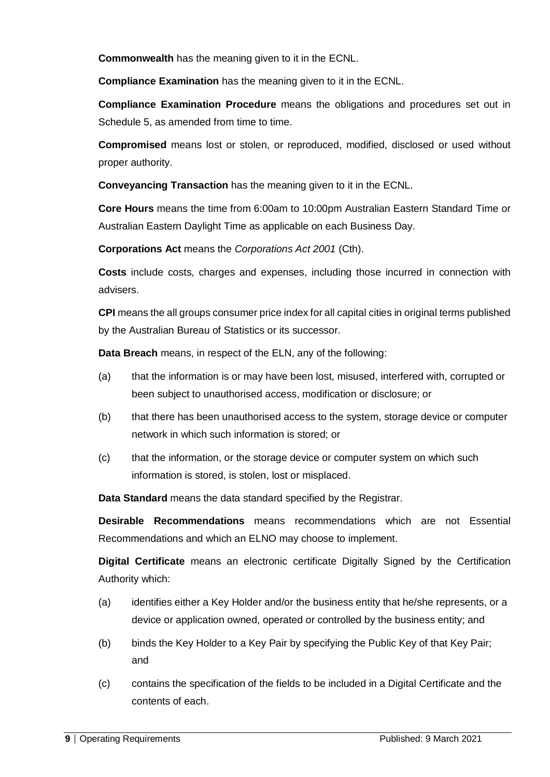**Commonwealth** has the meaning given to it in the ECNL.

**Compliance Examination** has the meaning given to it in the ECNL.

**Compliance Examination Procedure** means the obligations and procedures set out in Schedule 5, as amended from time to time.

**Compromised** means lost or stolen, or reproduced, modified, disclosed or used without proper authority.

**Conveyancing Transaction** has the meaning given to it in the ECNL.

**Core Hours** means the time from 6:00am to 10:00pm Australian Eastern Standard Time or Australian Eastern Daylight Time as applicable on each Business Day.

**Corporations Act** means the *Corporations Act 2001* (Cth).

**Costs** include costs, charges and expenses, including those incurred in connection with advisers.

**CPI** means the all groups consumer price index for all capital cities in original terms published by the Australian Bureau of Statistics or its successor.

**Data Breach** means, in respect of the ELN, any of the following:

- (a) that the information is or may have been lost, misused, interfered with, corrupted or been subject to unauthorised access, modification or disclosure; or
- (b) that there has been unauthorised access to the system, storage device or computer network in which such information is stored; or
- (c) that the information, or the storage device or computer system on which such information is stored, is stolen, lost or misplaced.

**Data Standard** means the data standard specified by the Registrar.

**Desirable Recommendations** means recommendations which are not Essential Recommendations and which an ELNO may choose to implement.

**Digital Certificate** means an electronic certificate Digitally Signed by the Certification Authority which:

- (a) identifies either a Key Holder and/or the business entity that he/she represents, or a device or application owned, operated or controlled by the business entity; and
- (b) binds the Key Holder to a Key Pair by specifying the Public Key of that Key Pair; and
- (c) contains the specification of the fields to be included in a Digital Certificate and the contents of each.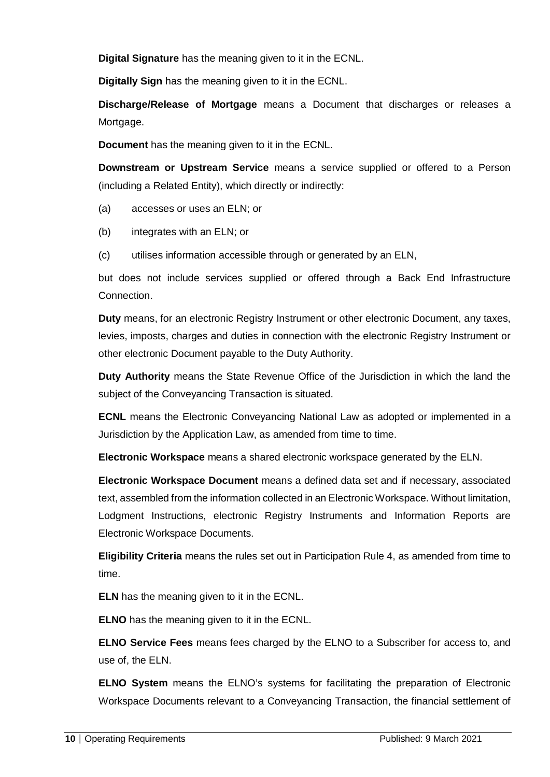**Digital Signature** has the meaning given to it in the ECNL.

**Digitally Sign** has the meaning given to it in the ECNL.

**Discharge/Release of Mortgage** means a Document that discharges or releases a Mortgage.

**Document** has the meaning given to it in the ECNL.

**Downstream or Upstream Service** means a service supplied or offered to a Person (including a Related Entity), which directly or indirectly:

- (a) accesses or uses an ELN; or
- (b) integrates with an ELN; or
- (c) utilises information accessible through or generated by an ELN,

but does not include services supplied or offered through a Back End Infrastructure Connection.

**Duty** means, for an electronic Registry Instrument or other electronic Document, any taxes, levies, imposts, charges and duties in connection with the electronic Registry Instrument or other electronic Document payable to the Duty Authority.

**Duty Authority** means the State Revenue Office of the Jurisdiction in which the land the subject of the Conveyancing Transaction is situated.

**ECNL** means the Electronic Conveyancing National Law as adopted or implemented in a Jurisdiction by the Application Law, as amended from time to time.

**Electronic Workspace** means a shared electronic workspace generated by the ELN.

**Electronic Workspace Document** means a defined data set and if necessary, associated text, assembled from the information collected in an Electronic Workspace. Without limitation, Lodgment Instructions, electronic Registry Instruments and Information Reports are Electronic Workspace Documents.

**Eligibility Criteria** means the rules set out in Participation Rule 4, as amended from time to time.

**ELN** has the meaning given to it in the ECNL.

**ELNO** has the meaning given to it in the ECNL.

**ELNO Service Fees** means fees charged by the ELNO to a Subscriber for access to, and use of, the ELN.

**ELNO System** means the ELNO's systems for facilitating the preparation of Electronic Workspace Documents relevant to a Conveyancing Transaction, the financial settlement of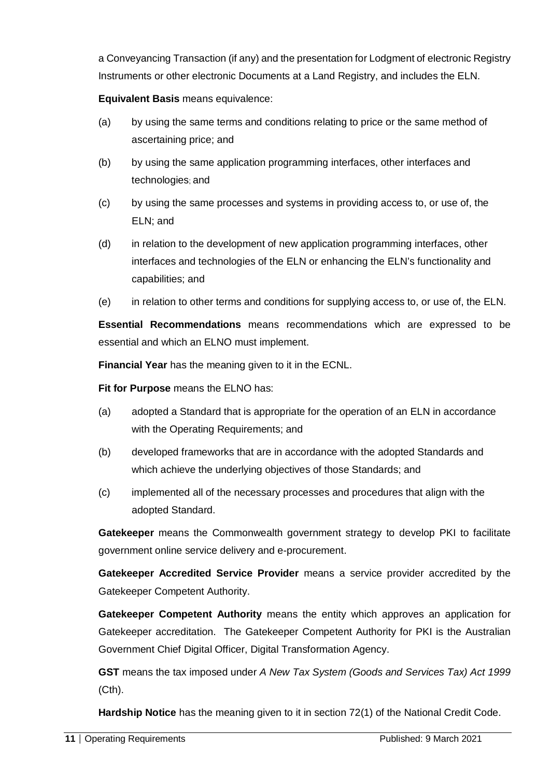a Conveyancing Transaction (if any) and the presentation for Lodgment of electronic Registry Instruments or other electronic Documents at a Land Registry, and includes the ELN.

**Equivalent Basis** means equivalence:

- (a) by using the same terms and conditions relating to price or the same method of ascertaining price; and
- (b) by using the same application programming interfaces, other interfaces and technologies; and
- (c) by using the same processes and systems in providing access to, or use of, the ELN; and
- (d) in relation to the development of new application programming interfaces, other interfaces and technologies of the ELN or enhancing the ELN's functionality and capabilities; and
- (e) in relation to other terms and conditions for supplying access to, or use of, the ELN.

**Essential Recommendations** means recommendations which are expressed to be essential and which an ELNO must implement.

**Financial Year** has the meaning given to it in the ECNL.

**Fit for Purpose** means the ELNO has:

- (a) adopted a Standard that is appropriate for the operation of an ELN in accordance with the Operating Requirements; and
- (b) developed frameworks that are in accordance with the adopted Standards and which achieve the underlying objectives of those Standards; and
- (c) implemented all of the necessary processes and procedures that align with the adopted Standard.

**Gatekeeper** means the Commonwealth government strategy to develop PKI to facilitate government online service delivery and e-procurement.

**Gatekeeper Accredited Service Provider** means a service provider accredited by the Gatekeeper Competent Authority.

**Gatekeeper Competent Authority** means the entity which approves an application for Gatekeeper accreditation. The Gatekeeper Competent Authority for PKI is the Australian Government Chief Digital Officer, Digital Transformation Agency.

**GST** means the tax imposed under *A New Tax System (Goods and Services Tax) Act 1999* (Cth).

**Hardship Notice** has the meaning given to it in section 72(1) of the National Credit Code.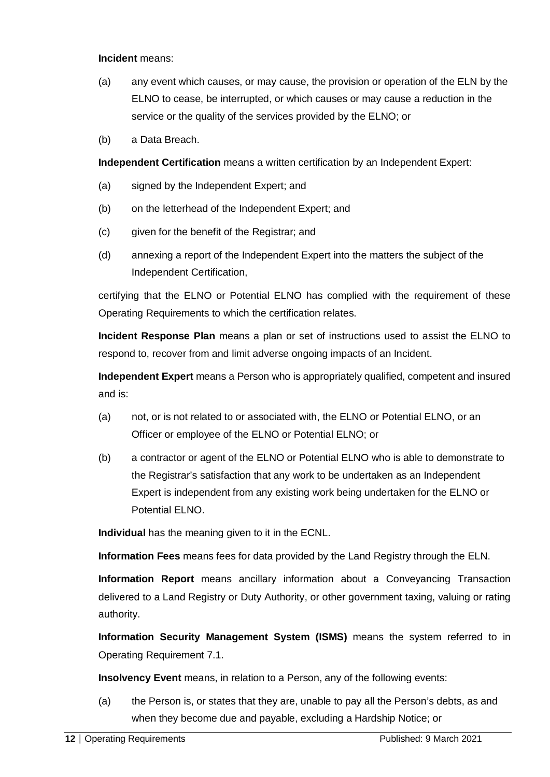#### **Incident** means:

- (a) any event which causes, or may cause, the provision or operation of the ELN by the ELNO to cease, be interrupted, or which causes or may cause a reduction in the service or the quality of the services provided by the ELNO; or
- (b) a Data Breach.

**Independent Certification** means a written certification by an Independent Expert:

- (a) signed by the Independent Expert; and
- (b) on the letterhead of the Independent Expert; and
- (c) given for the benefit of the Registrar; and
- (d) annexing a report of the Independent Expert into the matters the subject of the Independent Certification,

certifying that the ELNO or Potential ELNO has complied with the requirement of these Operating Requirements to which the certification relates.

**Incident Response Plan** means a plan or set of instructions used to assist the ELNO to respond to, recover from and limit adverse ongoing impacts of an Incident.

**Independent Expert** means a Person who is appropriately qualified, competent and insured and is:

- (a) not, or is not related to or associated with, the ELNO or Potential ELNO, or an Officer or employee of the ELNO or Potential ELNO; or
- (b) a contractor or agent of the ELNO or Potential ELNO who is able to demonstrate to the Registrar's satisfaction that any work to be undertaken as an Independent Expert is independent from any existing work being undertaken for the ELNO or Potential ELNO.

**Individual** has the meaning given to it in the ECNL.

**Information Fees** means fees for data provided by the Land Registry through the ELN.

**Information Report** means ancillary information about a Conveyancing Transaction delivered to a Land Registry or Duty Authority, or other government taxing, valuing or rating authority.

**Information Security Management System (ISMS)** means the system referred to in Operating Requirement 7.1.

**Insolvency Event** means, in relation to a Person, any of the following events:

(a) the Person is, or states that they are, unable to pay all the Person's debts, as and when they become due and payable, excluding a Hardship Notice; or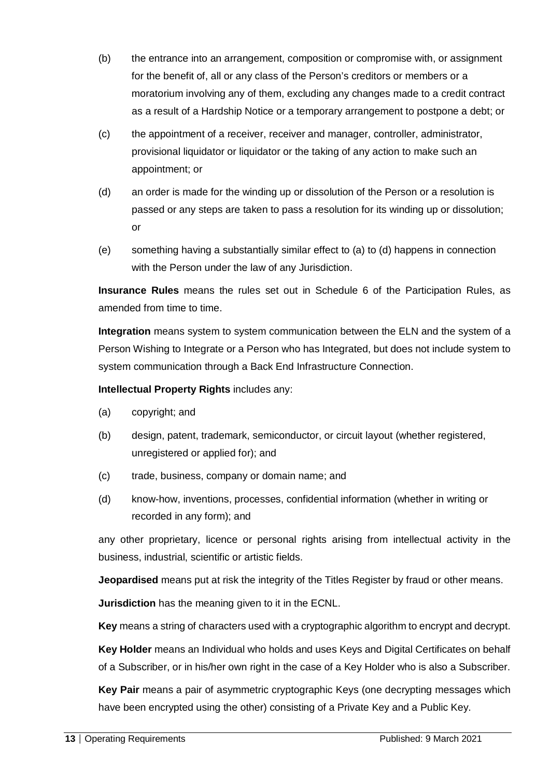- (b) the entrance into an arrangement, composition or compromise with, or assignment for the benefit of, all or any class of the Person's creditors or members or a moratorium involving any of them, excluding any changes made to a credit contract as a result of a Hardship Notice or a temporary arrangement to postpone a debt; or
- (c) the appointment of a receiver, receiver and manager, controller, administrator, provisional liquidator or liquidator or the taking of any action to make such an appointment; or
- (d) an order is made for the winding up or dissolution of the Person or a resolution is passed or any steps are taken to pass a resolution for its winding up or dissolution; or
- (e) something having a substantially similar effect to (a) to (d) happens in connection with the Person under the law of any Jurisdiction.

**Insurance Rules** means the rules set out in Schedule 6 of the Participation Rules, as amended from time to time.

**Integration** means system to system communication between the ELN and the system of a Person Wishing to Integrate or a Person who has Integrated, but does not include system to system communication through a Back End Infrastructure Connection.

**Intellectual Property Rights** includes any:

- (a) copyright; and
- (b) design, patent, trademark, semiconductor, or circuit layout (whether registered, unregistered or applied for); and
- (c) trade, business, company or domain name; and
- (d) know-how, inventions, processes, confidential information (whether in writing or recorded in any form); and

any other proprietary, licence or personal rights arising from intellectual activity in the business, industrial, scientific or artistic fields.

**Jeopardised** means put at risk the integrity of the Titles Register by fraud or other means.

**Jurisdiction** has the meaning given to it in the ECNL.

**Key** means a string of characters used with a cryptographic algorithm to encrypt and decrypt.

**Key Holder** means an Individual who holds and uses Keys and Digital Certificates on behalf of a Subscriber, or in his/her own right in the case of a Key Holder who is also a Subscriber.

**Key Pair** means a pair of asymmetric cryptographic Keys (one decrypting messages which have been encrypted using the other) consisting of a Private Key and a Public Key.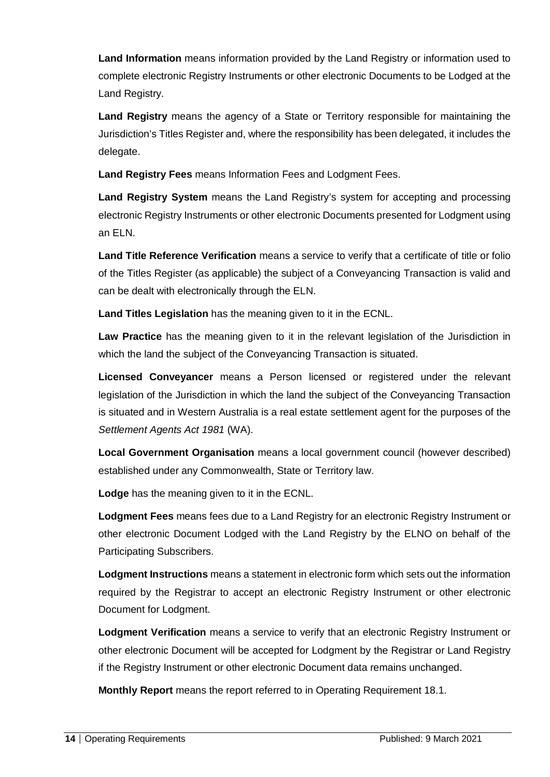**Land Information** means information provided by the Land Registry or information used to complete electronic Registry Instruments or other electronic Documents to be Lodged at the Land Registry.

**Land Registry** means the agency of a State or Territory responsible for maintaining the Jurisdiction's Titles Register and, where the responsibility has been delegated, it includes the delegate.

**Land Registry Fees** means Information Fees and Lodgment Fees.

**Land Registry System** means the Land Registry's system for accepting and processing electronic Registry Instruments or other electronic Documents presented for Lodgment using an ELN.

**Land Title Reference Verification** means a service to verify that a certificate of title or folio of the Titles Register (as applicable) the subject of a Conveyancing Transaction is valid and can be dealt with electronically through the ELN.

**Land Titles Legislation** has the meaning given to it in the ECNL.

**Law Practice** has the meaning given to it in the relevant legislation of the Jurisdiction in which the land the subject of the Conveyancing Transaction is situated.

**Licensed Conveyancer** means a Person licensed or registered under the relevant legislation of the Jurisdiction in which the land the subject of the Conveyancing Transaction is situated and in Western Australia is a real estate settlement agent for the purposes of the *Settlement Agents Act 1981* (WA).

**Local Government Organisation** means a local government council (however described) established under any Commonwealth, State or Territory law.

**Lodge** has the meaning given to it in the ECNL.

**Lodgment Fees** means fees due to a Land Registry for an electronic Registry Instrument or other electronic Document Lodged with the Land Registry by the ELNO on behalf of the Participating Subscribers.

**Lodgment Instructions** means a statement in electronic form which sets out the information required by the Registrar to accept an electronic Registry Instrument or other electronic Document for Lodgment.

**Lodgment Verification** means a service to verify that an electronic Registry Instrument or other electronic Document will be accepted for Lodgment by the Registrar or Land Registry if the Registry Instrument or other electronic Document data remains unchanged.

**Monthly Report** means the report referred to in Operating Requirement 18.1.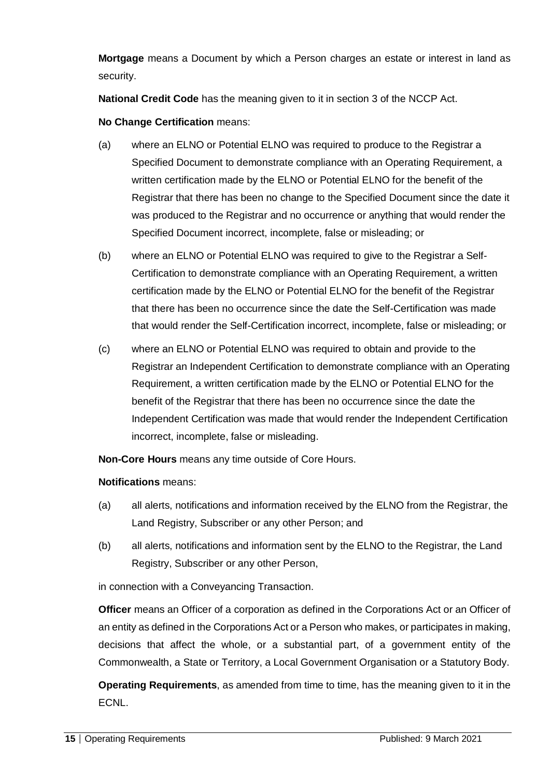**Mortgage** means a Document by which a Person charges an estate or interest in land as security.

**National Credit Code** has the meaning given to it in section 3 of the NCCP Act.

**No Change Certification** means:

- (a) where an ELNO or Potential ELNO was required to produce to the Registrar a Specified Document to demonstrate compliance with an Operating Requirement, a written certification made by the ELNO or Potential ELNO for the benefit of the Registrar that there has been no change to the Specified Document since the date it was produced to the Registrar and no occurrence or anything that would render the Specified Document incorrect, incomplete, false or misleading; or
- (b) where an ELNO or Potential ELNO was required to give to the Registrar a Self-Certification to demonstrate compliance with an Operating Requirement, a written certification made by the ELNO or Potential ELNO for the benefit of the Registrar that there has been no occurrence since the date the Self-Certification was made that would render the Self-Certification incorrect, incomplete, false or misleading; or
- (c) where an ELNO or Potential ELNO was required to obtain and provide to the Registrar an Independent Certification to demonstrate compliance with an Operating Requirement, a written certification made by the ELNO or Potential ELNO for the benefit of the Registrar that there has been no occurrence since the date the Independent Certification was made that would render the Independent Certification incorrect, incomplete, false or misleading.

**Non-Core Hours** means any time outside of Core Hours.

#### **Notifications** means:

- (a) all alerts, notifications and information received by the ELNO from the Registrar, the Land Registry, Subscriber or any other Person; and
- (b) all alerts, notifications and information sent by the ELNO to the Registrar, the Land Registry, Subscriber or any other Person,

in connection with a Conveyancing Transaction.

**Officer** means an Officer of a corporation as defined in the Corporations Act or an Officer of an entity as defined in the Corporations Act or a Person who makes, or participates in making, decisions that affect the whole, or a substantial part, of a government entity of the Commonwealth, a State or Territory, a Local Government Organisation or a Statutory Body.

**Operating Requirements**, as amended from time to time, has the meaning given to it in the ECNL.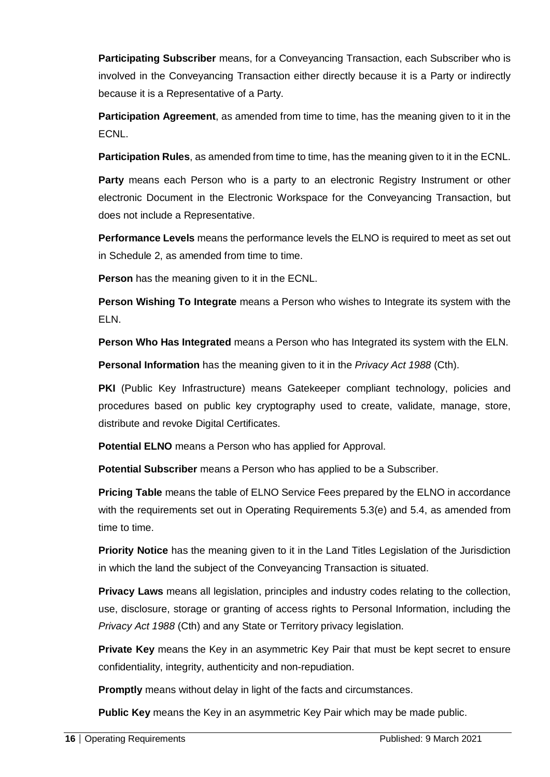**Participating Subscriber** means, for a Conveyancing Transaction, each Subscriber who is involved in the Conveyancing Transaction either directly because it is a Party or indirectly because it is a Representative of a Party.

**Participation Agreement**, as amended from time to time, has the meaning given to it in the ECNL.

**Participation Rules**, as amended from time to time, has the meaning given to it in the ECNL.

Party means each Person who is a party to an electronic Registry Instrument or other electronic Document in the Electronic Workspace for the Conveyancing Transaction, but does not include a Representative.

**Performance Levels** means the performance levels the ELNO is required to meet as set out in Schedule 2, as amended from time to time.

**Person** has the meaning given to it in the ECNL.

**Person Wishing To Integrate** means a Person who wishes to Integrate its system with the ELN.

**Person Who Has Integrated** means a Person who has Integrated its system with the ELN.

**Personal Information** has the meaning given to it in the *Privacy Act 1988* (Cth).

**PKI** (Public Key Infrastructure) means Gatekeeper compliant technology, policies and procedures based on public key cryptography used to create, validate, manage, store, distribute and revoke Digital Certificates.

**Potential ELNO** means a Person who has applied for Approval.

**Potential Subscriber** means a Person who has applied to be a Subscriber.

**Pricing Table** means the table of ELNO Service Fees prepared by the ELNO in accordance with the requirements set out in Operating Requirements 5.3(e) and 5.4, as amended from time to time.

**Priority Notice** has the meaning given to it in the Land Titles Legislation of the Jurisdiction in which the land the subject of the Conveyancing Transaction is situated.

**Privacy Laws** means all legislation, principles and industry codes relating to the collection, use, disclosure, storage or granting of access rights to Personal Information, including the *Privacy Act 1988* (Cth) and any State or Territory privacy legislation.

**Private Key** means the Key in an asymmetric Key Pair that must be kept secret to ensure confidentiality, integrity, authenticity and non-repudiation.

**Promptly** means without delay in light of the facts and circumstances.

**Public Key** means the Key in an asymmetric Key Pair which may be made public.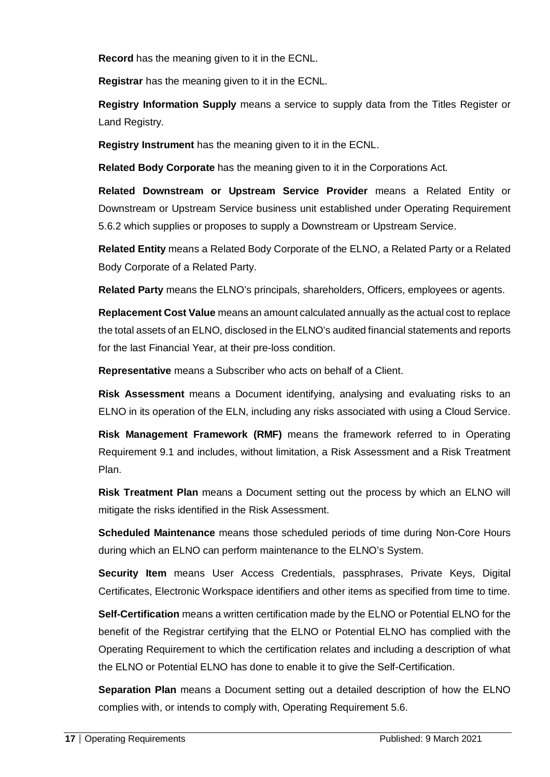**Record** has the meaning given to it in the ECNL.

**Registrar** has the meaning given to it in the ECNL.

**Registry Information Supply** means a service to supply data from the Titles Register or Land Registry.

**Registry Instrument** has the meaning given to it in the ECNL.

**Related Body Corporate** has the meaning given to it in the Corporations Act.

**Related Downstream or Upstream Service Provider** means a Related Entity or Downstream or Upstream Service business unit established under Operating Requirement 5.6.2 which supplies or proposes to supply a Downstream or Upstream Service.

**Related Entity** means a Related Body Corporate of the ELNO, a Related Party or a Related Body Corporate of a Related Party.

**Related Party** means the ELNO's principals, shareholders, Officers, employees or agents.

**Replacement Cost Value** means an amount calculated annually as the actual cost to replace the total assets of an ELNO, disclosed in the ELNO's audited financial statements and reports for the last Financial Year, at their pre-loss condition.

**Representative** means a Subscriber who acts on behalf of a Client.

**Risk Assessment** means a Document identifying, analysing and evaluating risks to an ELNO in its operation of the ELN, including any risks associated with using a Cloud Service.

**Risk Management Framework (RMF)** means the framework referred to in Operating Requirement 9.1 and includes, without limitation, a Risk Assessment and a Risk Treatment Plan.

**Risk Treatment Plan** means a Document setting out the process by which an ELNO will mitigate the risks identified in the Risk Assessment.

**Scheduled Maintenance** means those scheduled periods of time during Non-Core Hours during which an ELNO can perform maintenance to the ELNO's System.

**Security Item** means User Access Credentials, passphrases, Private Keys, Digital Certificates, Electronic Workspace identifiers and other items as specified from time to time.

**Self-Certification** means a written certification made by the ELNO or Potential ELNO for the benefit of the Registrar certifying that the ELNO or Potential ELNO has complied with the Operating Requirement to which the certification relates and including a description of what the ELNO or Potential ELNO has done to enable it to give the Self-Certification.

**Separation Plan** means a Document setting out a detailed description of how the ELNO complies with, or intends to comply with, Operating Requirement 5.6.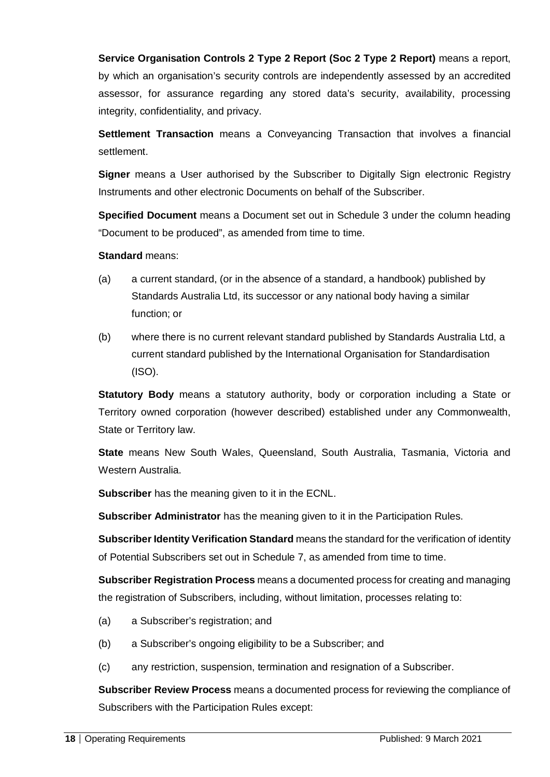**Service Organisation Controls 2 Type 2 Report (Soc 2 Type 2 Report)** means a report, by which an organisation's security controls are independently assessed by an accredited assessor, for assurance regarding any stored data's security, availability, processing integrity, confidentiality, and privacy.

**Settlement Transaction** means a Conveyancing Transaction that involves a financial settlement.

**Signer** means a User authorised by the Subscriber to Digitally Sign electronic Registry Instruments and other electronic Documents on behalf of the Subscriber.

**Specified Document** means a Document set out in Schedule 3 under the column heading "Document to be produced", as amended from time to time.

**Standard** means:

- (a) a current standard, (or in the absence of a standard, a handbook) published by Standards Australia Ltd, its successor or any national body having a similar function; or
- (b) where there is no current relevant standard published by Standards Australia Ltd, a current standard published by the International Organisation for Standardisation (ISO).

**Statutory Body** means a statutory authority, body or corporation including a State or Territory owned corporation (however described) established under any Commonwealth, State or Territory law.

**State** means New South Wales, Queensland, South Australia, Tasmania, Victoria and Western Australia.

**Subscriber** has the meaning given to it in the ECNL.

**Subscriber Administrator** has the meaning given to it in the Participation Rules.

**Subscriber Identity Verification Standard** means the standard for the verification of identity of Potential Subscribers set out in Schedule 7, as amended from time to time.

**Subscriber Registration Process** means a documented process for creating and managing the registration of Subscribers, including, without limitation, processes relating to:

- (a) a Subscriber's registration; and
- (b) a Subscriber's ongoing eligibility to be a Subscriber; and
- (c) any restriction, suspension, termination and resignation of a Subscriber.

**Subscriber Review Process** means a documented process for reviewing the compliance of Subscribers with the Participation Rules except: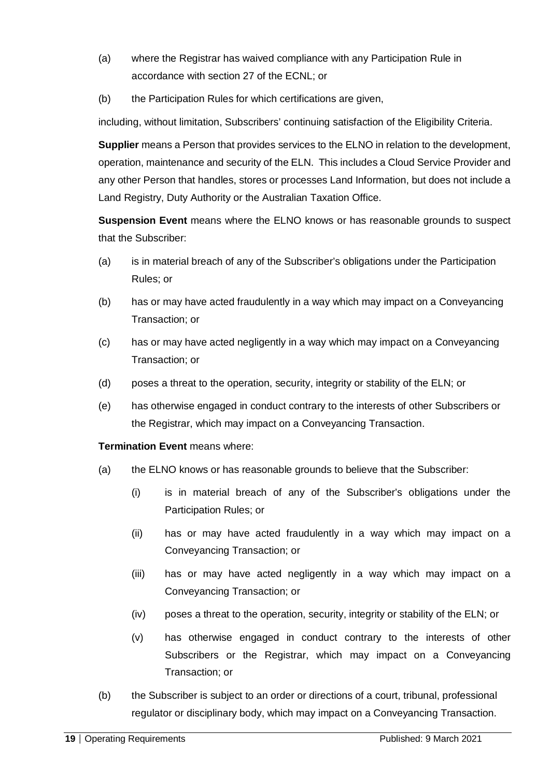- (a) where the Registrar has waived compliance with any Participation Rule in accordance with section 27 of the ECNL; or
- (b) the Participation Rules for which certifications are given,

including, without limitation, Subscribers' continuing satisfaction of the Eligibility Criteria.

**Supplier** means a Person that provides services to the ELNO in relation to the development, operation, maintenance and security of the ELN. This includes a Cloud Service Provider and any other Person that handles, stores or processes Land Information, but does not include a Land Registry, Duty Authority or the Australian Taxation Office.

**Suspension Event** means where the ELNO knows or has reasonable grounds to suspect that the Subscriber:

- (a) is in material breach of any of the Subscriber's obligations under the Participation Rules; or
- (b) has or may have acted fraudulently in a way which may impact on a Conveyancing Transaction; or
- (c) has or may have acted negligently in a way which may impact on a Conveyancing Transaction; or
- (d) poses a threat to the operation, security, integrity or stability of the ELN; or
- (e) has otherwise engaged in conduct contrary to the interests of other Subscribers or the Registrar, which may impact on a Conveyancing Transaction.

#### **Termination Event means where:**

- (a) the ELNO knows or has reasonable grounds to believe that the Subscriber:
	- (i) is in material breach of any of the Subscriber's obligations under the Participation Rules; or
	- (ii) has or may have acted fraudulently in a way which may impact on a Conveyancing Transaction; or
	- (iii) has or may have acted negligently in a way which may impact on a Conveyancing Transaction; or
	- (iv) poses a threat to the operation, security, integrity or stability of the ELN; or
	- (v) has otherwise engaged in conduct contrary to the interests of other Subscribers or the Registrar, which may impact on a Conveyancing Transaction; or
- (b) the Subscriber is subject to an order or directions of a court, tribunal, professional regulator or disciplinary body, which may impact on a Conveyancing Transaction.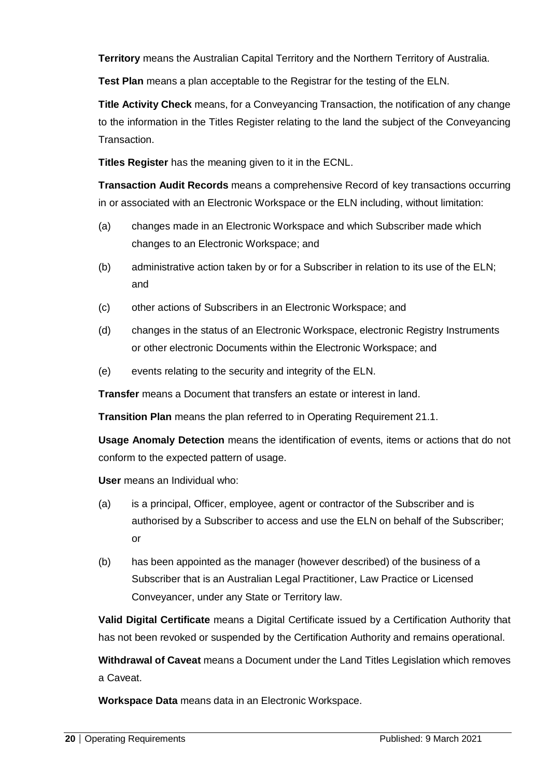**Territory** means the Australian Capital Territory and the Northern Territory of Australia.

**Test Plan** means a plan acceptable to the Registrar for the testing of the ELN.

**Title Activity Check** means, for a Conveyancing Transaction, the notification of any change to the information in the Titles Register relating to the land the subject of the Conveyancing Transaction.

**Titles Register** has the meaning given to it in the ECNL.

**Transaction Audit Records** means a comprehensive Record of key transactions occurring in or associated with an Electronic Workspace or the ELN including, without limitation:

- (a) changes made in an Electronic Workspace and which Subscriber made which changes to an Electronic Workspace; and
- (b) administrative action taken by or for a Subscriber in relation to its use of the ELN; and
- (c) other actions of Subscribers in an Electronic Workspace; and
- (d) changes in the status of an Electronic Workspace, electronic Registry Instruments or other electronic Documents within the Electronic Workspace; and
- (e) events relating to the security and integrity of the ELN.

**Transfer** means a Document that transfers an estate or interest in land.

**Transition Plan** means the plan referred to in Operating Requirement 21.1.

**Usage Anomaly Detection** means the identification of events, items or actions that do not conform to the expected pattern of usage.

**User** means an Individual who:

- (a) is a principal, Officer, employee, agent or contractor of the Subscriber and is authorised by a Subscriber to access and use the ELN on behalf of the Subscriber; or
- (b) has been appointed as the manager (however described) of the business of a Subscriber that is an Australian Legal Practitioner, Law Practice or Licensed Conveyancer, under any State or Territory law.

**Valid Digital Certificate** means a Digital Certificate issued by a Certification Authority that has not been revoked or suspended by the Certification Authority and remains operational.

**Withdrawal of Caveat** means a Document under the Land Titles Legislation which removes a Caveat.

**Workspace Data** means data in an Electronic Workspace.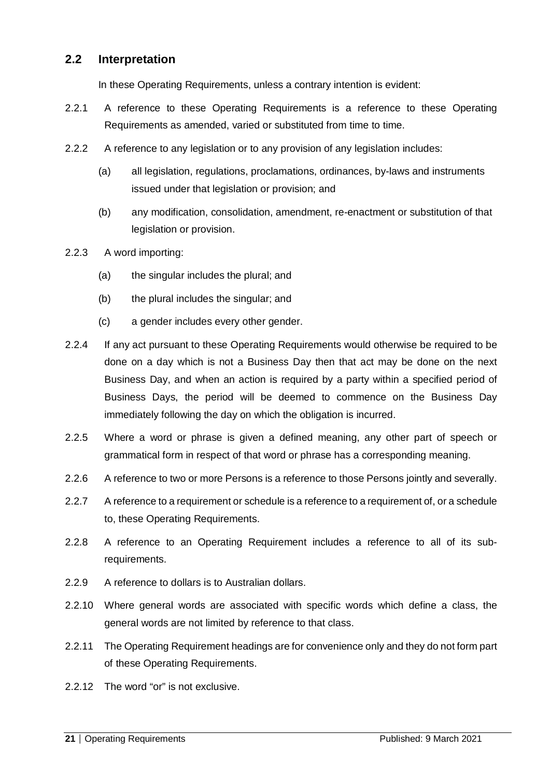#### <span id="page-20-0"></span>**2.2 Interpretation**

In these Operating Requirements, unless a contrary intention is evident:

- 2.2.1 A reference to these Operating Requirements is a reference to these Operating Requirements as amended, varied or substituted from time to time.
- 2.2.2 A reference to any legislation or to any provision of any legislation includes:
	- (a) all legislation, regulations, proclamations, ordinances, by-laws and instruments issued under that legislation or provision; and
	- (b) any modification, consolidation, amendment, re-enactment or substitution of that legislation or provision.
- 2.2.3 A word importing:
	- (a) the singular includes the plural; and
	- (b) the plural includes the singular; and
	- (c) a gender includes every other gender.
- 2.2.4 If any act pursuant to these Operating Requirements would otherwise be required to be done on a day which is not a Business Day then that act may be done on the next Business Day, and when an action is required by a party within a specified period of Business Days, the period will be deemed to commence on the Business Day immediately following the day on which the obligation is incurred.
- 2.2.5 Where a word or phrase is given a defined meaning, any other part of speech or grammatical form in respect of that word or phrase has a corresponding meaning.
- 2.2.6 A reference to two or more Persons is a reference to those Persons jointly and severally.
- 2.2.7 A reference to a requirement or schedule is a reference to a requirement of, or a schedule to, these Operating Requirements.
- 2.2.8 A reference to an Operating Requirement includes a reference to all of its subrequirements.
- 2.2.9 A reference to dollars is to Australian dollars.
- 2.2.10 Where general words are associated with specific words which define a class, the general words are not limited by reference to that class.
- 2.2.11 The Operating Requirement headings are for convenience only and they do not form part of these Operating Requirements.
- 2.2.12 The word "or" is not exclusive.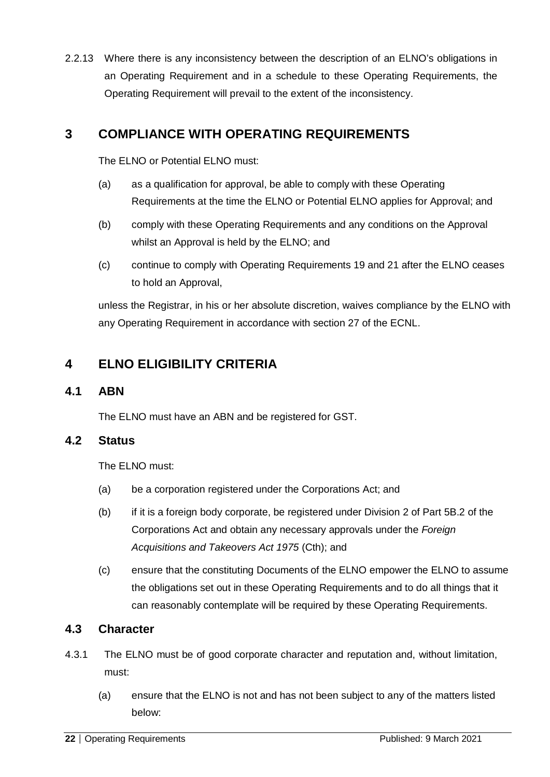2.2.13 Where there is any inconsistency between the description of an ELNO's obligations in an Operating Requirement and in a schedule to these Operating Requirements, the Operating Requirement will prevail to the extent of the inconsistency.

# <span id="page-21-0"></span>**3 COMPLIANCE WITH OPERATING REQUIREMENTS**

The FLNO or Potential FLNO must:

- (a) as a qualification for approval, be able to comply with these Operating Requirements at the time the ELNO or Potential ELNO applies for Approval; and
- (b) comply with these Operating Requirements and any conditions on the Approval whilst an Approval is held by the ELNO; and
- (c) continue to comply with Operating Requirements 19 and 21 after the ELNO ceases to hold an Approval,

unless the Registrar, in his or her absolute discretion, waives compliance by the ELNO with any Operating Requirement in accordance with section 27 of the ECNL.

# <span id="page-21-1"></span>**4 ELNO ELIGIBILITY CRITERIA**

#### <span id="page-21-2"></span>**4.1 ABN**

The ELNO must have an ABN and be registered for GST.

#### <span id="page-21-3"></span>**4.2 Status**

The ELNO must:

- (a) be a corporation registered under the Corporations Act; and
- (b) if it is a foreign body corporate, be registered under Division 2 of Part 5B.2 of the Corporations Act and obtain any necessary approvals under the *Foreign Acquisitions and Takeovers Act 1975* (Cth); and
- (c) ensure that the constituting Documents of the ELNO empower the ELNO to assume the obligations set out in these Operating Requirements and to do all things that it can reasonably contemplate will be required by these Operating Requirements.

# <span id="page-21-4"></span>**4.3 Character**

- 4.3.1 The ELNO must be of good corporate character and reputation and, without limitation, must:
	- (a) ensure that the ELNO is not and has not been subject to any of the matters listed below: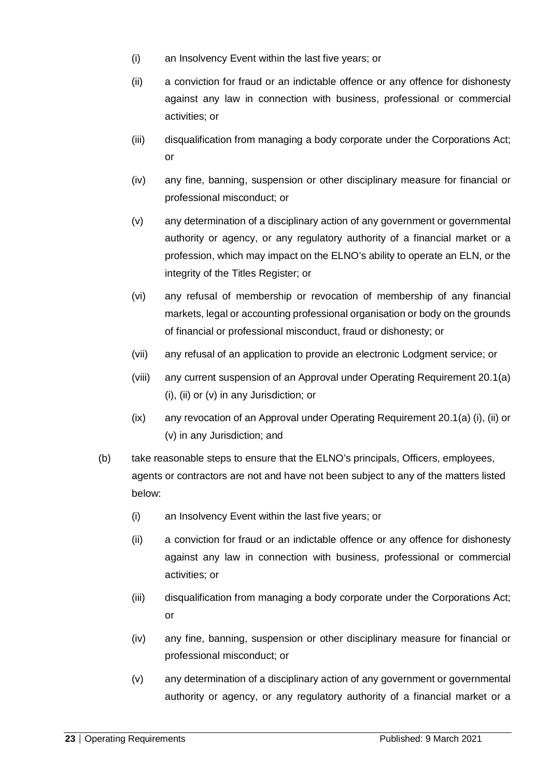- (i) an Insolvency Event within the last five years; or
- (ii) a conviction for fraud or an indictable offence or any offence for dishonesty against any law in connection with business, professional or commercial activities; or
- (iii) disqualification from managing a body corporate under the Corporations Act; or
- (iv) any fine, banning, suspension or other disciplinary measure for financial or professional misconduct; or
- (v) any determination of a disciplinary action of any government or governmental authority or agency, or any regulatory authority of a financial market or a profession, which may impact on the ELNO's ability to operate an ELN, or the integrity of the Titles Register; or
- (vi) any refusal of membership or revocation of membership of any financial markets, legal or accounting professional organisation or body on the grounds of financial or professional misconduct, fraud or dishonesty; or
- (vii) any refusal of an application to provide an electronic Lodgment service; or
- (viii) any current suspension of an Approval under Operating Requirement 20.1(a) (i), (ii) or (v) in any Jurisdiction; or
- (ix) any revocation of an Approval under Operating Requirement 20.1(a) (i), (ii) or (v) in any Jurisdiction; and
- (b) take reasonable steps to ensure that the ELNO's principals, Officers, employees, agents or contractors are not and have not been subject to any of the matters listed below:
	- (i) an Insolvency Event within the last five years; or
	- (ii) a conviction for fraud or an indictable offence or any offence for dishonesty against any law in connection with business, professional or commercial activities; or
	- (iii) disqualification from managing a body corporate under the Corporations Act; or
	- (iv) any fine, banning, suspension or other disciplinary measure for financial or professional misconduct; or
	- (v) any determination of a disciplinary action of any government or governmental authority or agency, or any regulatory authority of a financial market or a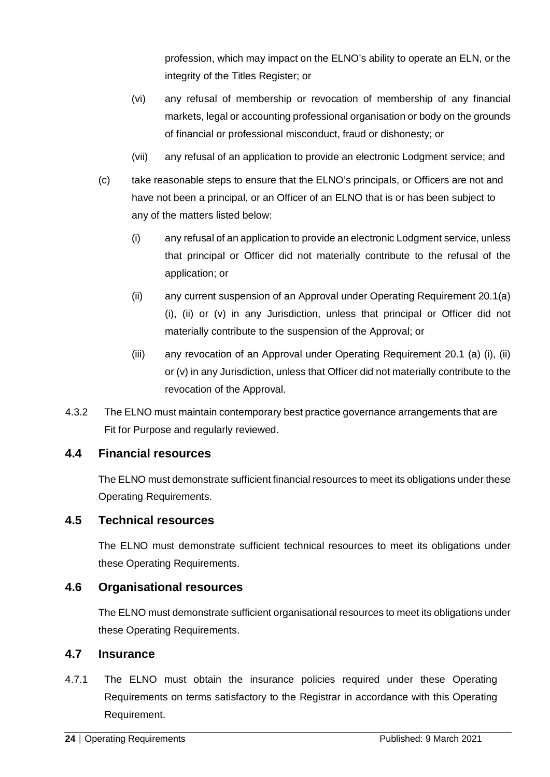profession, which may impact on the ELNO's ability to operate an ELN, or the integrity of the Titles Register; or

- (vi) any refusal of membership or revocation of membership of any financial markets, legal or accounting professional organisation or body on the grounds of financial or professional misconduct, fraud or dishonesty; or
- (vii) any refusal of an application to provide an electronic Lodgment service; and
- (c) take reasonable steps to ensure that the ELNO's principals, or Officers are not and have not been a principal, or an Officer of an ELNO that is or has been subject to any of the matters listed below:
	- (i) any refusal of an application to provide an electronic Lodgment service, unless that principal or Officer did not materially contribute to the refusal of the application; or
	- (ii) any current suspension of an Approval under Operating Requirement 20.1(a) (i), (ii) or (v) in any Jurisdiction, unless that principal or Officer did not materially contribute to the suspension of the Approval; or
	- (iii) any revocation of an Approval under Operating Requirement 20.1 (a) (i), (ii) or (v) in any Jurisdiction, unless that Officer did not materially contribute to the revocation of the Approval.
- 4.3.2 The ELNO must maintain contemporary best practice governance arrangements that are Fit for Purpose and regularly reviewed.

#### <span id="page-23-0"></span>**4.4 Financial resources**

The ELNO must demonstrate sufficient financial resources to meet its obligations under these Operating Requirements.

#### <span id="page-23-1"></span>**4.5 Technical resources**

The ELNO must demonstrate sufficient technical resources to meet its obligations under these Operating Requirements.

#### <span id="page-23-2"></span>**4.6 Organisational resources**

The ELNO must demonstrate sufficient organisational resources to meet its obligations under these Operating Requirements.

#### <span id="page-23-3"></span>**4.7 Insurance**

4.7.1 The ELNO must obtain the insurance policies required under these Operating Requirements on terms satisfactory to the Registrar in accordance with this Operating Requirement.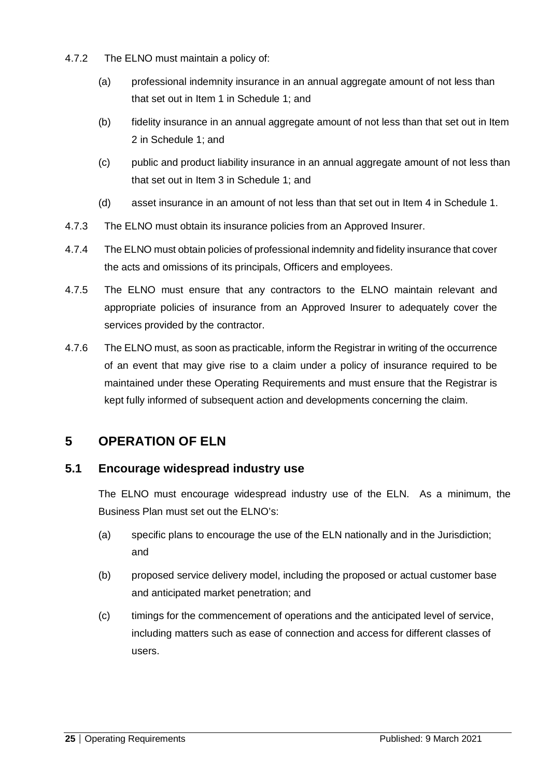- 4.7.2 The ELNO must maintain a policy of:
	- (a) professional indemnity insurance in an annual aggregate amount of not less than that set out in Item 1 in Schedule 1; and
	- (b) fidelity insurance in an annual aggregate amount of not less than that set out in Item 2 in Schedule 1; and
	- (c) public and product liability insurance in an annual aggregate amount of not less than that set out in Item 3 in Schedule 1; and
	- (d) asset insurance in an amount of not less than that set out in Item 4 in Schedule 1.
- 4.7.3 The ELNO must obtain its insurance policies from an Approved Insurer.
- 4.7.4 The ELNO must obtain policies of professional indemnity and fidelity insurance that cover the acts and omissions of its principals, Officers and employees.
- 4.7.5 The ELNO must ensure that any contractors to the ELNO maintain relevant and appropriate policies of insurance from an Approved Insurer to adequately cover the services provided by the contractor.
- 4.7.6 The ELNO must, as soon as practicable, inform the Registrar in writing of the occurrence of an event that may give rise to a claim under a policy of insurance required to be maintained under these Operating Requirements and must ensure that the Registrar is kept fully informed of subsequent action and developments concerning the claim.

# <span id="page-24-0"></span>**5 OPERATION OF ELN**

# <span id="page-24-1"></span>**5.1 Encourage widespread industry use**

The ELNO must encourage widespread industry use of the ELN. As a minimum, the Business Plan must set out the ELNO's:

- (a) specific plans to encourage the use of the ELN nationally and in the Jurisdiction; and
- (b) proposed service delivery model, including the proposed or actual customer base and anticipated market penetration; and
- (c) timings for the commencement of operations and the anticipated level of service, including matters such as ease of connection and access for different classes of users.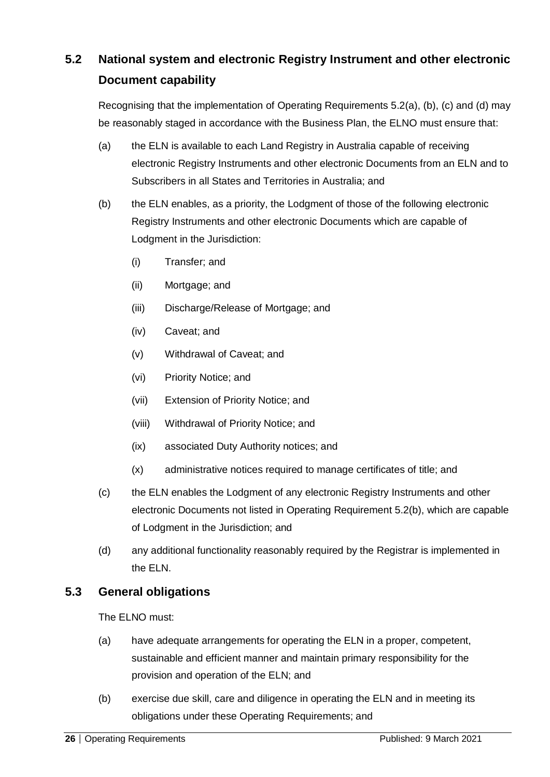# <span id="page-25-0"></span>**5.2 National system and electronic Registry Instrument and other electronic Document capability**

Recognising that the implementation of Operating Requirements 5.2(a), (b), (c) and (d) may be reasonably staged in accordance with the Business Plan, the ELNO must ensure that:

- (a) the ELN is available to each Land Registry in Australia capable of receiving electronic Registry Instruments and other electronic Documents from an ELN and to Subscribers in all States and Territories in Australia; and
- (b) the ELN enables, as a priority, the Lodgment of those of the following electronic Registry Instruments and other electronic Documents which are capable of Lodgment in the Jurisdiction:
	- (i) Transfer; and
	- (ii) Mortgage; and
	- (iii) Discharge/Release of Mortgage; and
	- (iv) Caveat; and
	- (v) Withdrawal of Caveat; and
	- (vi) Priority Notice; and
	- (vii) Extension of Priority Notice; and
	- (viii) Withdrawal of Priority Notice; and
	- (ix) associated Duty Authority notices; and
	- (x) administrative notices required to manage certificates of title; and
- (c) the ELN enables the Lodgment of any electronic Registry Instruments and other electronic Documents not listed in Operating Requirement 5.2(b), which are capable of Lodgment in the Jurisdiction; and
- (d) any additional functionality reasonably required by the Registrar is implemented in the ELN.

# <span id="page-25-1"></span>**5.3 General obligations**

The ELNO must:

- (a) have adequate arrangements for operating the ELN in a proper, competent, sustainable and efficient manner and maintain primary responsibility for the provision and operation of the ELN; and
- (b) exercise due skill, care and diligence in operating the ELN and in meeting its obligations under these Operating Requirements; and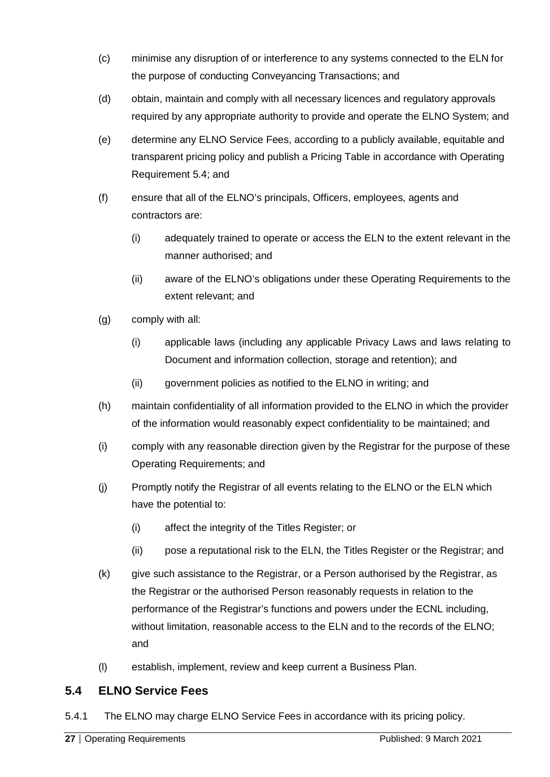- (c) minimise any disruption of or interference to any systems connected to the ELN for the purpose of conducting Conveyancing Transactions; and
- (d) obtain, maintain and comply with all necessary licences and regulatory approvals required by any appropriate authority to provide and operate the ELNO System; and
- (e) determine any ELNO Service Fees, according to a publicly available, equitable and transparent pricing policy and publish a Pricing Table in accordance with Operating Requirement [5.4;](#page-26-0) and
- (f) ensure that all of the ELNO's principals, Officers, employees, agents and contractors are:
	- (i) adequately trained to operate or access the ELN to the extent relevant in the manner authorised; and
	- (ii) aware of the ELNO's obligations under these Operating Requirements to the extent relevant; and
- (g) comply with all:
	- (i) applicable laws (including any applicable Privacy Laws and laws relating to Document and information collection, storage and retention); and
	- (ii) government policies as notified to the ELNO in writing; and
- (h) maintain confidentiality of all information provided to the ELNO in which the provider of the information would reasonably expect confidentiality to be maintained; and
- (i) comply with any reasonable direction given by the Registrar for the purpose of these Operating Requirements; and
- (j) Promptly notify the Registrar of all events relating to the ELNO or the ELN which have the potential to:
	- (i) affect the integrity of the Titles Register; or
	- (ii) pose a reputational risk to the ELN, the Titles Register or the Registrar; and
- (k) give such assistance to the Registrar, or a Person authorised by the Registrar, as the Registrar or the authorised Person reasonably requests in relation to the performance of the Registrar's functions and powers under the ECNL including, without limitation, reasonable access to the ELN and to the records of the ELNO; and
- (l) establish, implement, review and keep current a Business Plan.

# <span id="page-26-0"></span>**5.4 ELNO Service Fees**

5.4.1 The ELNO may charge ELNO Service Fees in accordance with its pricing policy.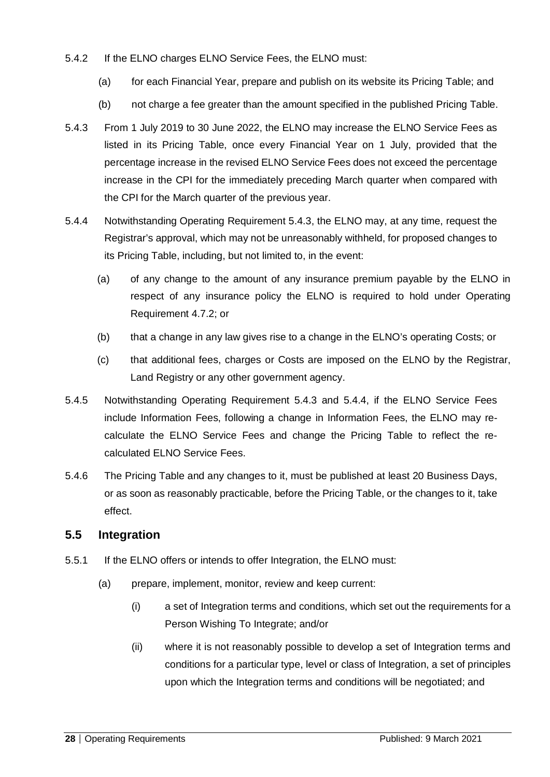#### 5.4.2 If the ELNO charges ELNO Service Fees, the ELNO must:

- (a) for each Financial Year, prepare and publish on its website its Pricing Table; and
- (b) not charge a fee greater than the amount specified in the published Pricing Table.
- 5.4.3 From 1 July 2019 to 30 June 2022, the ELNO may increase the ELNO Service Fees as listed in its Pricing Table, once every Financial Year on 1 July, provided that the percentage increase in the revised ELNO Service Fees does not exceed the percentage increase in the CPI for the immediately preceding March quarter when compared with the CPI for the March quarter of the previous year.
- 5.4.4 Notwithstanding Operating Requirement 5.4.3, the ELNO may, at any time, request the Registrar's approval, which may not be unreasonably withheld, for proposed changes to its Pricing Table, including, but not limited to, in the event:
	- (a) of any change to the amount of any insurance premium payable by the ELNO in respect of any insurance policy the ELNO is required to hold under Operating Requirement 4.7.2; or
	- (b) that a change in any law gives rise to a change in the ELNO's operating Costs; or
	- (c) that additional fees, charges or Costs are imposed on the ELNO by the Registrar, Land Registry or any other government agency.
- 5.4.5 Notwithstanding Operating Requirement 5.4.3 and 5.4.4, if the ELNO Service Fees include Information Fees, following a change in Information Fees, the ELNO may recalculate the ELNO Service Fees and change the Pricing Table to reflect the recalculated ELNO Service Fees.
- 5.4.6 The Pricing Table and any changes to it, must be published at least 20 Business Days, or as soon as reasonably practicable, before the Pricing Table, or the changes to it, take effect.

#### <span id="page-27-0"></span>**5.5 Integration**

- 5.5.1 If the ELNO offers or intends to offer Integration, the ELNO must:
	- (a) prepare, implement, monitor, review and keep current:
		- (i) a set of Integration terms and conditions, which set out the requirements for a Person Wishing To Integrate; and/or
		- (ii) where it is not reasonably possible to develop a set of Integration terms and conditions for a particular type, level or class of Integration, a set of principles upon which the Integration terms and conditions will be negotiated; and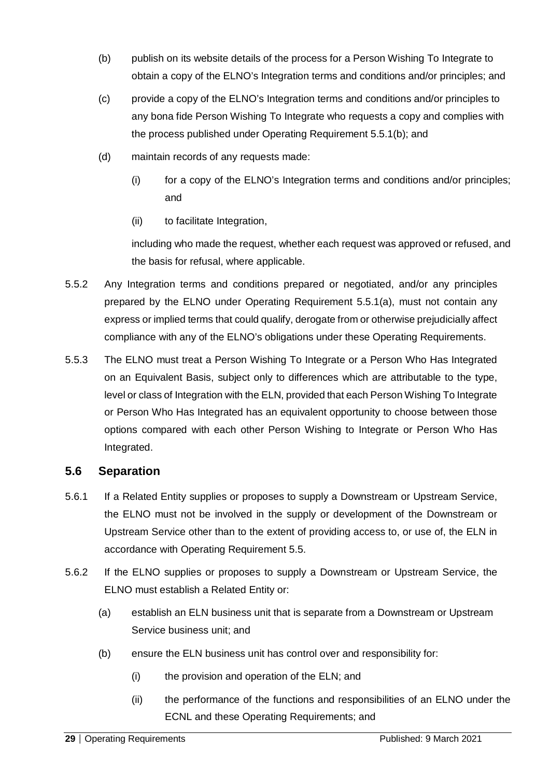- (b) publish on its website details of the process for a Person Wishing To Integrate to obtain a copy of the ELNO's Integration terms and conditions and/or principles; and
- (c) provide a copy of the ELNO's Integration terms and conditions and/or principles to any bona fide Person Wishing To Integrate who requests a copy and complies with the process published under Operating Requirement 5.5.1(b); and
- (d) maintain records of any requests made:
	- (i) for a copy of the ELNO's Integration terms and conditions and/or principles; and
	- (ii) to facilitate Integration,

including who made the request, whether each request was approved or refused, and the basis for refusal, where applicable.

- 5.5.2 Any Integration terms and conditions prepared or negotiated, and/or any principles prepared by the ELNO under Operating Requirement 5.5.1(a), must not contain any express or implied terms that could qualify, derogate from or otherwise prejudicially affect compliance with any of the ELNO's obligations under these Operating Requirements.
- 5.5.3 The ELNO must treat a Person Wishing To Integrate or a Person Who Has Integrated on an Equivalent Basis, subject only to differences which are attributable to the type, level or class of Integration with the ELN, provided that each Person Wishing To Integrate or Person Who Has Integrated has an equivalent opportunity to choose between those options compared with each other Person Wishing to Integrate or Person Who Has Integrated.

#### <span id="page-28-0"></span>**5.6 Separation**

- 5.6.1 If a Related Entity supplies or proposes to supply a Downstream or Upstream Service, the ELNO must not be involved in the supply or development of the Downstream or Upstream Service other than to the extent of providing access to, or use of, the ELN in accordance with Operating Requirement 5.5.
- 5.6.2 If the ELNO supplies or proposes to supply a Downstream or Upstream Service, the ELNO must establish a Related Entity or:
	- (a) establish an ELN business unit that is separate from a Downstream or Upstream Service business unit; and
	- (b) ensure the ELN business unit has control over and responsibility for:
		- (i) the provision and operation of the ELN; and
		- (ii) the performance of the functions and responsibilities of an ELNO under the ECNL and these Operating Requirements; and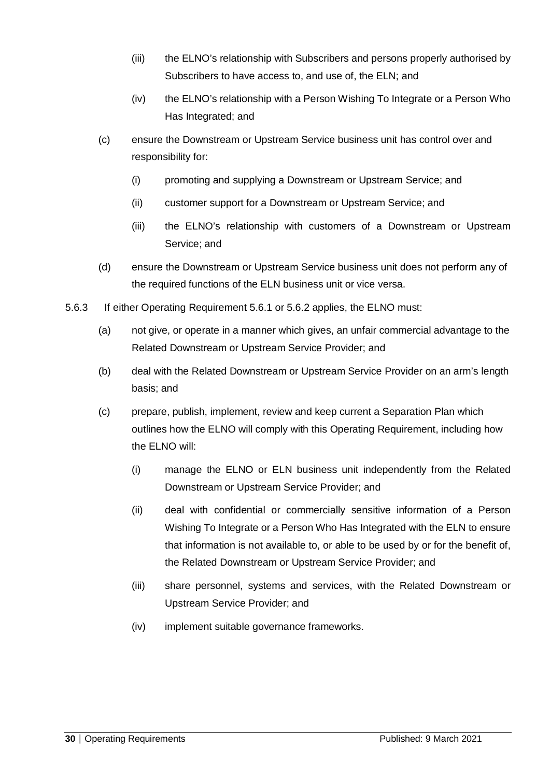- (iii) the ELNO's relationship with Subscribers and persons properly authorised by Subscribers to have access to, and use of, the ELN; and
- (iv) the ELNO's relationship with a Person Wishing To Integrate or a Person Who Has Integrated; and
- (c) ensure the Downstream or Upstream Service business unit has control over and responsibility for:
	- (i) promoting and supplying a Downstream or Upstream Service; and
	- (ii) customer support for a Downstream or Upstream Service; and
	- (iii) the ELNO's relationship with customers of a Downstream or Upstream Service; and
- (d) ensure the Downstream or Upstream Service business unit does not perform any of the required functions of the ELN business unit or vice versa.
- 5.6.3 If either Operating Requirement 5.6.1 or 5.6.2 applies, the ELNO must:
	- (a) not give, or operate in a manner which gives, an unfair commercial advantage to the Related Downstream or Upstream Service Provider; and
	- (b) deal with the Related Downstream or Upstream Service Provider on an arm's length basis; and
	- (c) prepare, publish, implement, review and keep current a Separation Plan which outlines how the ELNO will comply with this Operating Requirement, including how the ELNO will:
		- (i) manage the ELNO or ELN business unit independently from the Related Downstream or Upstream Service Provider; and
		- (ii) deal with confidential or commercially sensitive information of a Person Wishing To Integrate or a Person Who Has Integrated with the ELN to ensure that information is not available to, or able to be used by or for the benefit of, the Related Downstream or Upstream Service Provider; and
		- (iii) share personnel, systems and services, with the Related Downstream or Upstream Service Provider; and
		- (iv) implement suitable governance frameworks.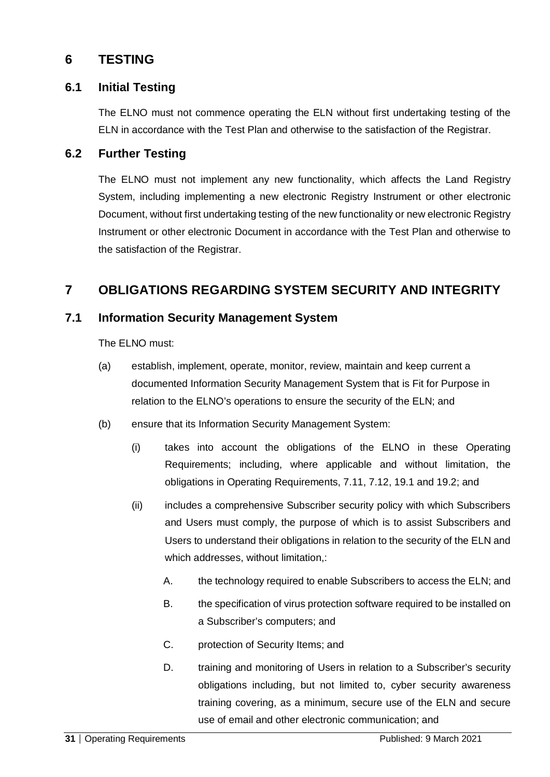# <span id="page-30-0"></span>**6 TESTING**

#### <span id="page-30-1"></span>**6.1 Initial Testing**

The ELNO must not commence operating the ELN without first undertaking testing of the ELN in accordance with the Test Plan and otherwise to the satisfaction of the Registrar.

#### <span id="page-30-2"></span>**6.2 Further Testing**

The ELNO must not implement any new functionality, which affects the Land Registry System, including implementing a new electronic Registry Instrument or other electronic Document, without first undertaking testing of the new functionality or new electronic Registry Instrument or other electronic Document in accordance with the Test Plan and otherwise to the satisfaction of the Registrar.

# <span id="page-30-3"></span>**7 OBLIGATIONS REGARDING SYSTEM SECURITY AND INTEGRITY**

#### <span id="page-30-4"></span>**7.1 Information Security Management System**

The ELNO must:

- (a) establish, implement, operate, monitor, review, maintain and keep current a documented Information Security Management System that is Fit for Purpose in relation to the ELNO's operations to ensure the security of the ELN; and
- (b) ensure that its Information Security Management System:
	- (i) takes into account the obligations of the ELNO in these Operating Requirements; including, where applicable and without limitation, the obligations in Operating Requirements, 7.11, 7.12, 19.1 and 19.2; and
	- (ii) includes a comprehensive Subscriber security policy with which Subscribers and Users must comply, the purpose of which is to assist Subscribers and Users to understand their obligations in relation to the security of the ELN and which addresses, without limitation,:
		- A. the technology required to enable Subscribers to access the ELN; and
		- B. the specification of virus protection software required to be installed on a Subscriber's computers; and
		- C. protection of Security Items; and
		- D. training and monitoring of Users in relation to a Subscriber's security obligations including, but not limited to, cyber security awareness training covering, as a minimum, secure use of the ELN and secure use of email and other electronic communication; and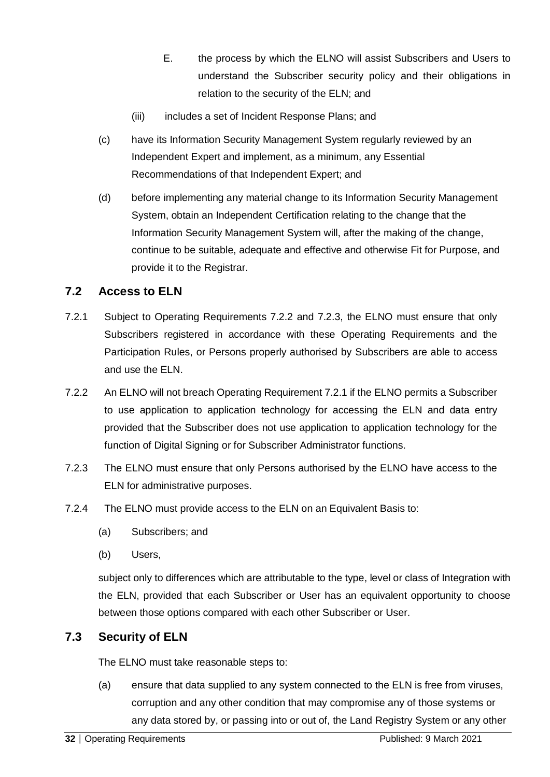- E. the process by which the ELNO will assist Subscribers and Users to understand the Subscriber security policy and their obligations in relation to the security of the ELN; and
- (iii) includes a set of Incident Response Plans; and
- (c) have its Information Security Management System regularly reviewed by an Independent Expert and implement, as a minimum, any Essential Recommendations of that Independent Expert; and
- (d) before implementing any material change to its Information Security Management System, obtain an Independent Certification relating to the change that the Information Security Management System will, after the making of the change, continue to be suitable, adequate and effective and otherwise Fit for Purpose, and provide it to the Registrar.

# <span id="page-31-0"></span>**7.2 Access to ELN**

- 7.2.1 Subject to Operating Requirements 7.2.2 and 7.2.3, the ELNO must ensure that only Subscribers registered in accordance with these Operating Requirements and the Participation Rules, or Persons properly authorised by Subscribers are able to access and use the ELN.
- 7.2.2 An ELNO will not breach Operating Requirement 7.2.1 if the ELNO permits a Subscriber to use application to application technology for accessing the ELN and data entry provided that the Subscriber does not use application to application technology for the function of Digital Signing or for Subscriber Administrator functions.
- 7.2.3 The ELNO must ensure that only Persons authorised by the ELNO have access to the ELN for administrative purposes.
- 7.2.4 The ELNO must provide access to the ELN on an Equivalent Basis to:
	- (a) Subscribers; and
	- (b) Users,

subject only to differences which are attributable to the type, level or class of Integration with the ELN, provided that each Subscriber or User has an equivalent opportunity to choose between those options compared with each other Subscriber or User.

# <span id="page-31-1"></span>**7.3 Security of ELN**

The ELNO must take reasonable steps to:

(a) ensure that data supplied to any system connected to the ELN is free from viruses, corruption and any other condition that may compromise any of those systems or any data stored by, or passing into or out of, the Land Registry System or any other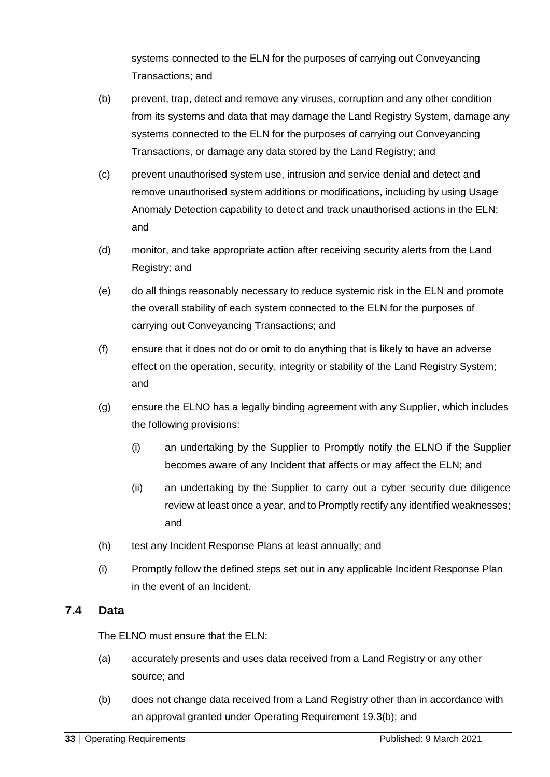systems connected to the ELN for the purposes of carrying out Conveyancing Transactions; and

- (b) prevent, trap, detect and remove any viruses, corruption and any other condition from its systems and data that may damage the Land Registry System, damage any systems connected to the ELN for the purposes of carrying out Conveyancing Transactions, or damage any data stored by the Land Registry; and
- (c) prevent unauthorised system use, intrusion and service denial and detect and remove unauthorised system additions or modifications, including by using Usage Anomaly Detection capability to detect and track unauthorised actions in the ELN; and
- (d) monitor, and take appropriate action after receiving security alerts from the Land Registry; and
- (e) do all things reasonably necessary to reduce systemic risk in the ELN and promote the overall stability of each system connected to the ELN for the purposes of carrying out Conveyancing Transactions; and
- (f) ensure that it does not do or omit to do anything that is likely to have an adverse effect on the operation, security, integrity or stability of the Land Registry System; and
- (g) ensure the ELNO has a legally binding agreement with any Supplier, which includes the following provisions:
	- (i) an undertaking by the Supplier to Promptly notify the ELNO if the Supplier becomes aware of any Incident that affects or may affect the ELN; and
	- (ii) an undertaking by the Supplier to carry out a cyber security due diligence review at least once a year, and to Promptly rectify any identified weaknesses; and
- (h) test any Incident Response Plans at least annually; and
- (i) Promptly follow the defined steps set out in any applicable Incident Response Plan in the event of an Incident.

# <span id="page-32-0"></span>**7.4 Data**

The ELNO must ensure that the ELN:

- (a) accurately presents and uses data received from a Land Registry or any other source; and
- (b) does not change data received from a Land Registry other than in accordance with an approval granted under Operating Requirement 19.3(b); and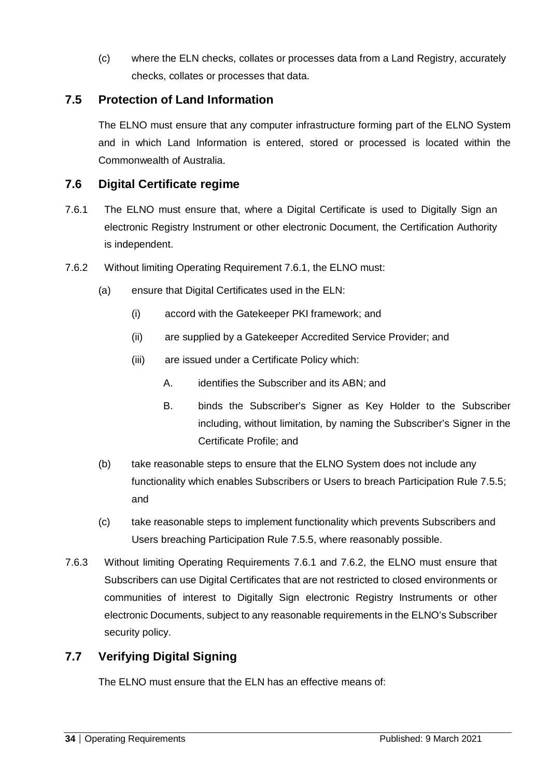(c) where the ELN checks, collates or processes data from a Land Registry, accurately checks, collates or processes that data.

# <span id="page-33-0"></span>**7.5 Protection of Land Information**

The ELNO must ensure that any computer infrastructure forming part of the ELNO System and in which Land Information is entered, stored or processed is located within the Commonwealth of Australia.

#### <span id="page-33-1"></span>**7.6 Digital Certificate regime**

- 7.6.1 The ELNO must ensure that, where a Digital Certificate is used to Digitally Sign an electronic Registry Instrument or other electronic Document, the Certification Authority is independent.
- 7.6.2 Without limiting Operating Requirement 7.6.1, the ELNO must:
	- (a) ensure that Digital Certificates used in the ELN:
		- (i) accord with the Gatekeeper PKI framework; and
		- (ii) are supplied by a Gatekeeper Accredited Service Provider; and
		- (iii) are issued under a Certificate Policy which:
			- A. identifies the Subscriber and its ABN; and
			- B. binds the Subscriber's Signer as Key Holder to the Subscriber including, without limitation, by naming the Subscriber's Signer in the Certificate Profile; and
	- (b) take reasonable steps to ensure that the ELNO System does not include any functionality which enables Subscribers or Users to breach Participation Rule 7.5.5; and
	- (c) take reasonable steps to implement functionality which prevents Subscribers and Users breaching Participation Rule 7.5.5, where reasonably possible.
- 7.6.3 Without limiting Operating Requirements 7.6.1 and 7.6.2, the ELNO must ensure that Subscribers can use Digital Certificates that are not restricted to closed environments or communities of interest to Digitally Sign electronic Registry Instruments or other electronic Documents, subject to any reasonable requirements in the ELNO's Subscriber security policy.

# <span id="page-33-2"></span>**7.7 Verifying Digital Signing**

The ELNO must ensure that the ELN has an effective means of: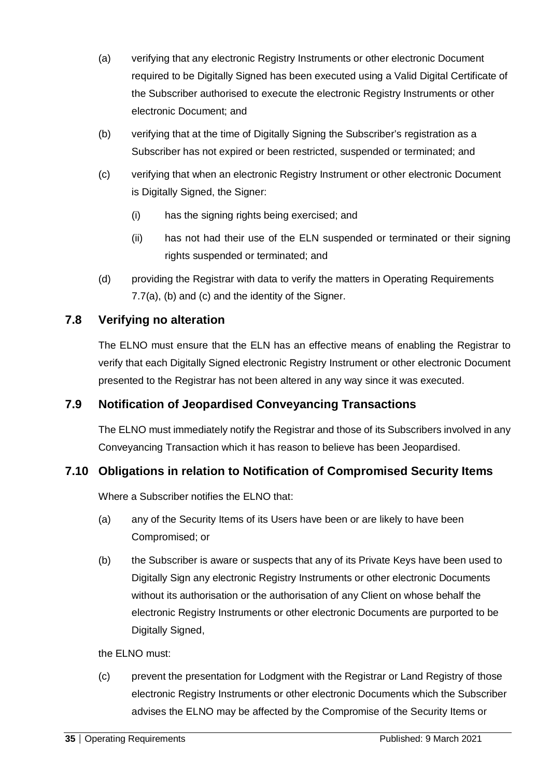- (a) verifying that any electronic Registry Instruments or other electronic Document required to be Digitally Signed has been executed using a Valid Digital Certificate of the Subscriber authorised to execute the electronic Registry Instruments or other electronic Document; and
- (b) verifying that at the time of Digitally Signing the Subscriber's registration as a Subscriber has not expired or been restricted, suspended or terminated; and
- (c) verifying that when an electronic Registry Instrument or other electronic Document is Digitally Signed, the Signer:
	- (i) has the signing rights being exercised; and
	- (ii) has not had their use of the ELN suspended or terminated or their signing rights suspended or terminated; and
- (d) providing the Registrar with data to verify the matters in Operating Requirements 7.7(a), (b) and (c) and the identity of the Signer.

# <span id="page-34-0"></span>**7.8 Verifying no alteration**

The ELNO must ensure that the ELN has an effective means of enabling the Registrar to verify that each Digitally Signed electronic Registry Instrument or other electronic Document presented to the Registrar has not been altered in any way since it was executed.

# <span id="page-34-1"></span>**7.9 Notification of Jeopardised Conveyancing Transactions**

The ELNO must immediately notify the Registrar and those of its Subscribers involved in any Conveyancing Transaction which it has reason to believe has been Jeopardised.

# <span id="page-34-2"></span>**7.10 Obligations in relation to Notification of Compromised Security Items**

Where a Subscriber notifies the ELNO that:

- (a) any of the Security Items of its Users have been or are likely to have been Compromised; or
- (b) the Subscriber is aware or suspects that any of its Private Keys have been used to Digitally Sign any electronic Registry Instruments or other electronic Documents without its authorisation or the authorisation of any Client on whose behalf the electronic Registry Instruments or other electronic Documents are purported to be Digitally Signed,

the ELNO must:

(c) prevent the presentation for Lodgment with the Registrar or Land Registry of those electronic Registry Instruments or other electronic Documents which the Subscriber advises the ELNO may be affected by the Compromise of the Security Items or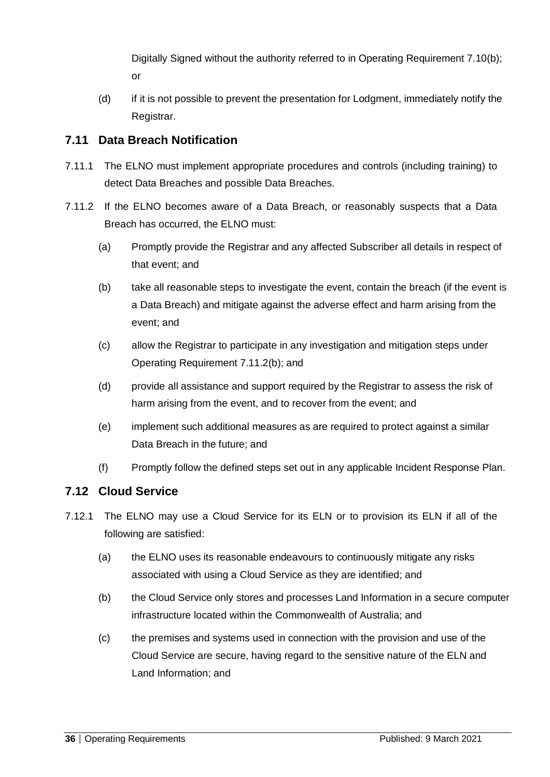Digitally Signed without the authority referred to in Operating Requirement 7.10(b); or

(d) if it is not possible to prevent the presentation for Lodgment, immediately notify the Registrar.

#### <span id="page-35-0"></span>**7.11 Data Breach Notification**

- 7.11.1 The ELNO must implement appropriate procedures and controls (including training) to detect Data Breaches and possible Data Breaches.
- 7.11.2 If the ELNO becomes aware of a Data Breach, or reasonably suspects that a Data Breach has occurred, the ELNO must:
	- (a) Promptly provide the Registrar and any affected Subscriber all details in respect of that event; and
	- (b) take all reasonable steps to investigate the event, contain the breach (if the event is a Data Breach) and mitigate against the adverse effect and harm arising from the event; and
	- (c) allow the Registrar to participate in any investigation and mitigation steps under Operating Requirement 7.11.2(b); and
	- (d) provide all assistance and support required by the Registrar to assess the risk of harm arising from the event, and to recover from the event; and
	- (e) implement such additional measures as are required to protect against a similar Data Breach in the future; and
	- (f) Promptly follow the defined steps set out in any applicable Incident Response Plan.

# <span id="page-35-1"></span>**7.12 Cloud Service**

- 7.12.1 The ELNO may use a Cloud Service for its ELN or to provision its ELN if all of the following are satisfied:
	- (a) the ELNO uses its reasonable endeavours to continuously mitigate any risks associated with using a Cloud Service as they are identified; and
	- (b) the Cloud Service only stores and processes Land Information in a secure computer infrastructure located within the Commonwealth of Australia; and
	- (c) the premises and systems used in connection with the provision and use of the Cloud Service are secure, having regard to the sensitive nature of the ELN and Land Information; and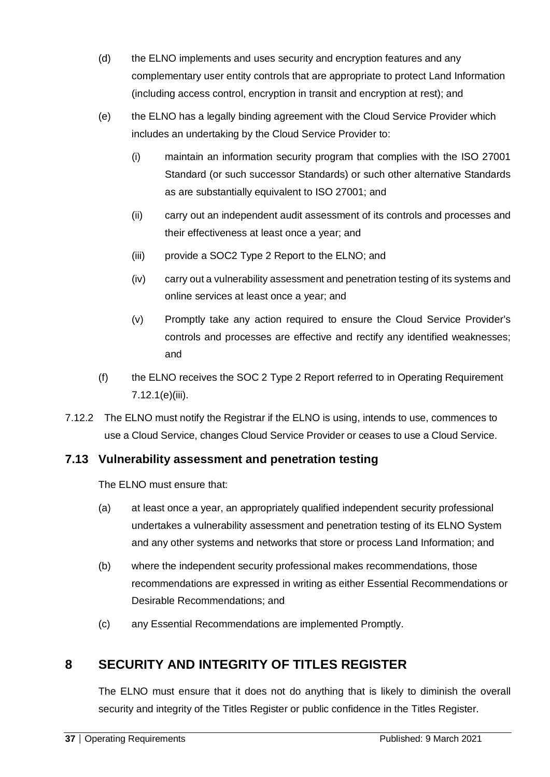- (d) the ELNO implements and uses security and encryption features and any complementary user entity controls that are appropriate to protect Land Information (including access control, encryption in transit and encryption at rest); and
- (e) the ELNO has a legally binding agreement with the Cloud Service Provider which includes an undertaking by the Cloud Service Provider to:
	- (i) maintain an information security program that complies with the ISO 27001 Standard (or such successor Standards) or such other alternative Standards as are substantially equivalent to ISO 27001; and
	- (ii) carry out an independent audit assessment of its controls and processes and their effectiveness at least once a year; and
	- (iii) provide a SOC2 Type 2 Report to the ELNO; and
	- (iv) carry out a vulnerability assessment and penetration testing of its systems and online services at least once a year; and
	- (v) Promptly take any action required to ensure the Cloud Service Provider's controls and processes are effective and rectify any identified weaknesses; and
- (f) the ELNO receives the SOC 2 Type 2 Report referred to in Operating Requirement 7.12.1(e)(iii).
- 7.12.2 The ELNO must notify the Registrar if the ELNO is using, intends to use, commences to use a Cloud Service, changes Cloud Service Provider or ceases to use a Cloud Service.

### **7.13 Vulnerability assessment and penetration testing**

The ELNO must ensure that:

- (a) at least once a year, an appropriately qualified independent security professional undertakes a vulnerability assessment and penetration testing of its ELNO System and any other systems and networks that store or process Land Information; and
- (b) where the independent security professional makes recommendations, those recommendations are expressed in writing as either Essential Recommendations or Desirable Recommendations; and
- (c) any Essential Recommendations are implemented Promptly.

## **8 SECURITY AND INTEGRITY OF TITLES REGISTER**

The ELNO must ensure that it does not do anything that is likely to diminish the overall security and integrity of the Titles Register or public confidence in the Titles Register.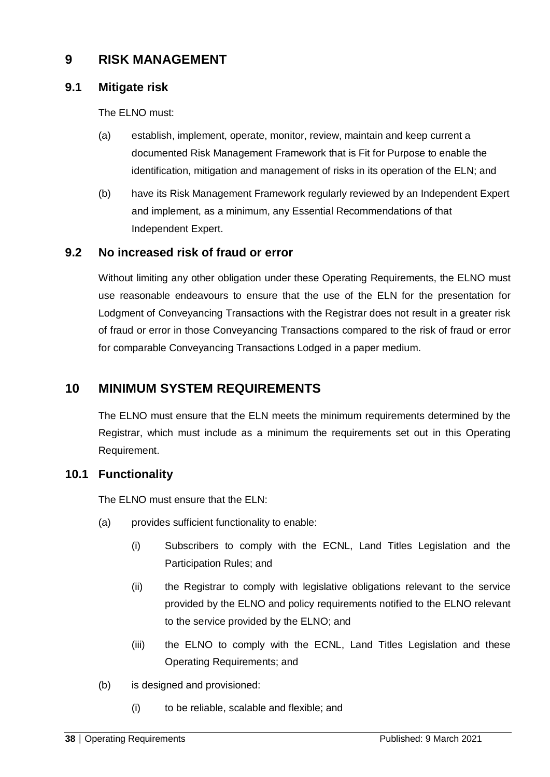## **9 RISK MANAGEMENT**

#### **9.1 Mitigate risk**

The ELNO must:

- (a) establish, implement, operate, monitor, review, maintain and keep current a documented Risk Management Framework that is Fit for Purpose to enable the identification, mitigation and management of risks in its operation of the ELN; and
- (b) have its Risk Management Framework regularly reviewed by an Independent Expert and implement, as a minimum, any Essential Recommendations of that Independent Expert.

#### **9.2 No increased risk of fraud or error**

Without limiting any other obligation under these Operating Requirements, the ELNO must use reasonable endeavours to ensure that the use of the ELN for the presentation for Lodgment of Conveyancing Transactions with the Registrar does not result in a greater risk of fraud or error in those Conveyancing Transactions compared to the risk of fraud or error for comparable Conveyancing Transactions Lodged in a paper medium.

## **10 MINIMUM SYSTEM REQUIREMENTS**

The ELNO must ensure that the ELN meets the minimum requirements determined by the Registrar, which must include as a minimum the requirements set out in this Operating Requirement.

### **10.1 Functionality**

The ELNO must ensure that the ELN:

- (a) provides sufficient functionality to enable:
	- (i) Subscribers to comply with the ECNL, Land Titles Legislation and the Participation Rules; and
	- (ii) the Registrar to comply with legislative obligations relevant to the service provided by the ELNO and policy requirements notified to the ELNO relevant to the service provided by the ELNO; and
	- (iii) the ELNO to comply with the ECNL, Land Titles Legislation and these Operating Requirements; and
- (b) is designed and provisioned:
	- (i) to be reliable, scalable and flexible; and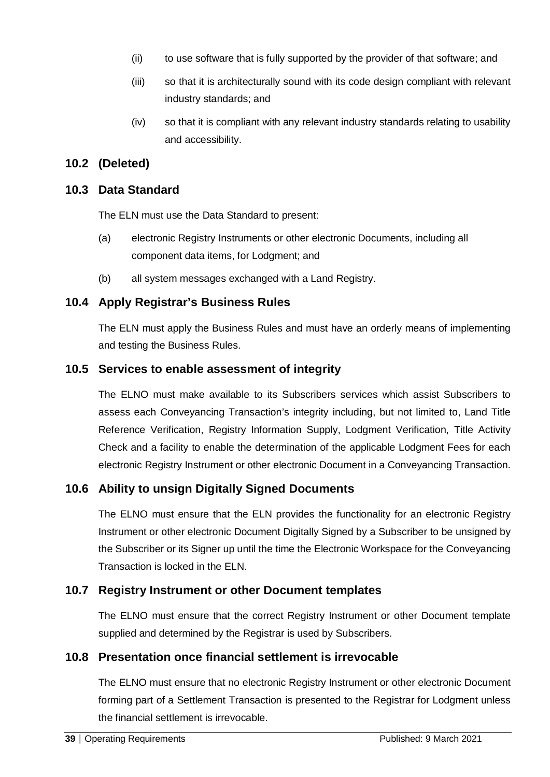- (ii) to use software that is fully supported by the provider of that software; and
- (iii) so that it is architecturally sound with its code design compliant with relevant industry standards; and
- (iv) so that it is compliant with any relevant industry standards relating to usability and accessibility.

#### **10.2 (Deleted)**

#### **10.3 Data Standard**

The ELN must use the Data Standard to present:

- (a) electronic Registry Instruments or other electronic Documents, including all component data items, for Lodgment; and
- (b) all system messages exchanged with a Land Registry.

#### **10.4 Apply Registrar's Business Rules**

The ELN must apply the Business Rules and must have an orderly means of implementing and testing the Business Rules.

#### **10.5 Services to enable assessment of integrity**

The ELNO must make available to its Subscribers services which assist Subscribers to assess each Conveyancing Transaction's integrity including, but not limited to, Land Title Reference Verification, Registry Information Supply, Lodgment Verification, Title Activity Check and a facility to enable the determination of the applicable Lodgment Fees for each electronic Registry Instrument or other electronic Document in a Conveyancing Transaction.

#### **10.6 Ability to unsign Digitally Signed Documents**

The ELNO must ensure that the ELN provides the functionality for an electronic Registry Instrument or other electronic Document Digitally Signed by a Subscriber to be unsigned by the Subscriber or its Signer up until the time the Electronic Workspace for the Conveyancing Transaction is locked in the ELN.

#### **10.7 Registry Instrument or other Document templates**

The ELNO must ensure that the correct Registry Instrument or other Document template supplied and determined by the Registrar is used by Subscribers.

#### **10.8 Presentation once financial settlement is irrevocable**

The ELNO must ensure that no electronic Registry Instrument or other electronic Document forming part of a Settlement Transaction is presented to the Registrar for Lodgment unless the financial settlement is irrevocable.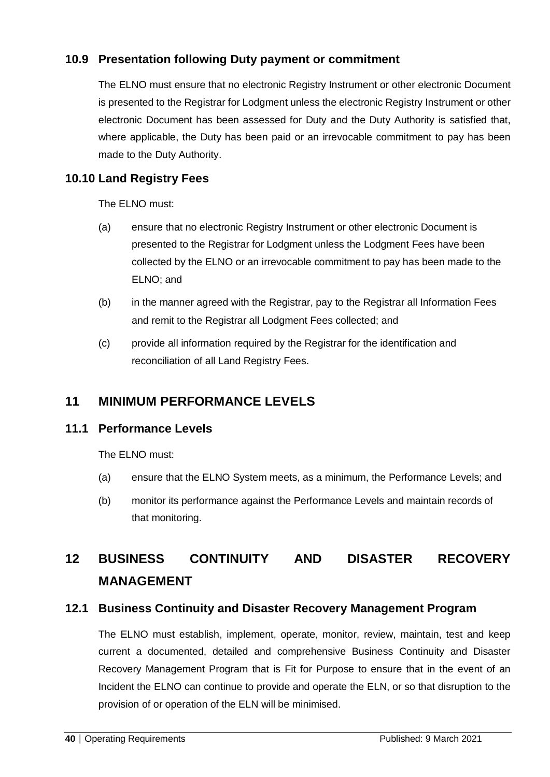## **10.9 Presentation following Duty payment or commitment**

The ELNO must ensure that no electronic Registry Instrument or other electronic Document is presented to the Registrar for Lodgment unless the electronic Registry Instrument or other electronic Document has been assessed for Duty and the Duty Authority is satisfied that, where applicable, the Duty has been paid or an irrevocable commitment to pay has been made to the Duty Authority.

### **10.10 Land Registry Fees**

The ELNO must:

- (a) ensure that no electronic Registry Instrument or other electronic Document is presented to the Registrar for Lodgment unless the Lodgment Fees have been collected by the ELNO or an irrevocable commitment to pay has been made to the ELNO; and
- (b) in the manner agreed with the Registrar, pay to the Registrar all Information Fees and remit to the Registrar all Lodgment Fees collected; and
- (c) provide all information required by the Registrar for the identification and reconciliation of all Land Registry Fees.

## **11 MINIMUM PERFORMANCE LEVELS**

#### **11.1 Performance Levels**

The ELNO must:

- (a) ensure that the ELNO System meets, as a minimum, the Performance Levels; and
- (b) monitor its performance against the Performance Levels and maintain records of that monitoring.

# **12 BUSINESS CONTINUITY AND DISASTER RECOVERY MANAGEMENT**

#### **12.1 Business Continuity and Disaster Recovery Management Program**

The ELNO must establish, implement, operate, monitor, review, maintain, test and keep current a documented, detailed and comprehensive Business Continuity and Disaster Recovery Management Program that is Fit for Purpose to ensure that in the event of an Incident the ELNO can continue to provide and operate the ELN, or so that disruption to the provision of or operation of the ELN will be minimised.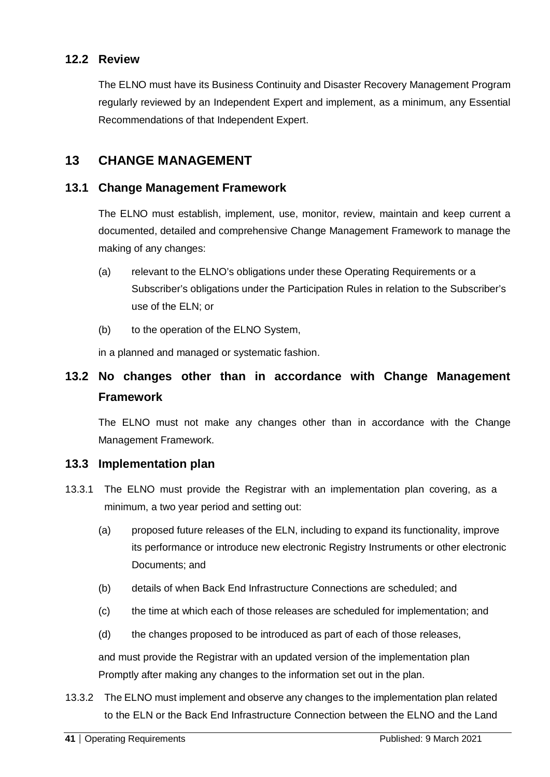#### **12.2 Review**

The ELNO must have its Business Continuity and Disaster Recovery Management Program regularly reviewed by an Independent Expert and implement, as a minimum, any Essential Recommendations of that Independent Expert.

### **13 CHANGE MANAGEMENT**

#### **13.1 Change Management Framework**

The ELNO must establish, implement, use, monitor, review, maintain and keep current a documented, detailed and comprehensive Change Management Framework to manage the making of any changes:

- (a) relevant to the ELNO's obligations under these Operating Requirements or a Subscriber's obligations under the Participation Rules in relation to the Subscriber's use of the ELN; or
- (b) to the operation of the ELNO System,

in a planned and managed or systematic fashion.

## **13.2 No changes other than in accordance with Change Management Framework**

The ELNO must not make any changes other than in accordance with the Change Management Framework.

#### **13.3 Implementation plan**

- 13.3.1 The ELNO must provide the Registrar with an implementation plan covering, as a minimum, a two year period and setting out:
	- (a) proposed future releases of the ELN, including to expand its functionality, improve its performance or introduce new electronic Registry Instruments or other electronic Documents; and
	- (b) details of when Back End Infrastructure Connections are scheduled; and
	- (c) the time at which each of those releases are scheduled for implementation; and
	- (d) the changes proposed to be introduced as part of each of those releases,

and must provide the Registrar with an updated version of the implementation plan Promptly after making any changes to the information set out in the plan.

13.3.2 The ELNO must implement and observe any changes to the implementation plan related to the ELN or the Back End Infrastructure Connection between the ELNO and the Land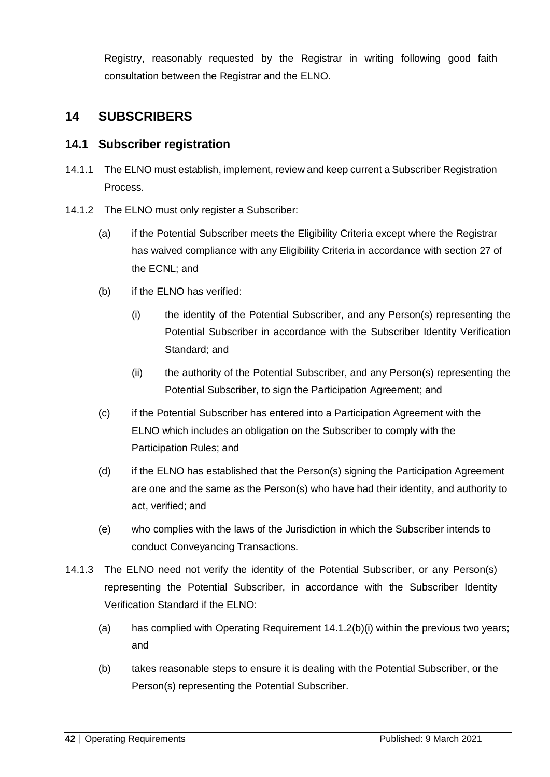Registry, reasonably requested by the Registrar in writing following good faith consultation between the Registrar and the ELNO.

## **14 SUBSCRIBERS**

#### **14.1 Subscriber registration**

- 14.1.1 The ELNO must establish, implement, review and keep current a Subscriber Registration Process.
- 14.1.2 The ELNO must only register a Subscriber:
	- (a) if the Potential Subscriber meets the Eligibility Criteria except where the Registrar has waived compliance with any Eligibility Criteria in accordance with section 27 of the ECNL; and
	- (b) if the ELNO has verified:
		- (i) the identity of the Potential Subscriber, and any Person(s) representing the Potential Subscriber in accordance with the Subscriber Identity Verification Standard; and
		- (ii) the authority of the Potential Subscriber, and any Person(s) representing the Potential Subscriber, to sign the Participation Agreement; and
	- (c) if the Potential Subscriber has entered into a Participation Agreement with the ELNO which includes an obligation on the Subscriber to comply with the Participation Rules; and
	- (d) if the ELNO has established that the Person(s) signing the Participation Agreement are one and the same as the Person(s) who have had their identity, and authority to act, verified; and
	- (e) who complies with the laws of the Jurisdiction in which the Subscriber intends to conduct Conveyancing Transactions.
- 14.1.3 The ELNO need not verify the identity of the Potential Subscriber, or any Person(s) representing the Potential Subscriber, in accordance with the Subscriber Identity Verification Standard if the ELNO:
	- (a) has complied with Operating Requirement 14.1.2(b)(i) within the previous two years; and
	- (b) takes reasonable steps to ensure it is dealing with the Potential Subscriber, or the Person(s) representing the Potential Subscriber.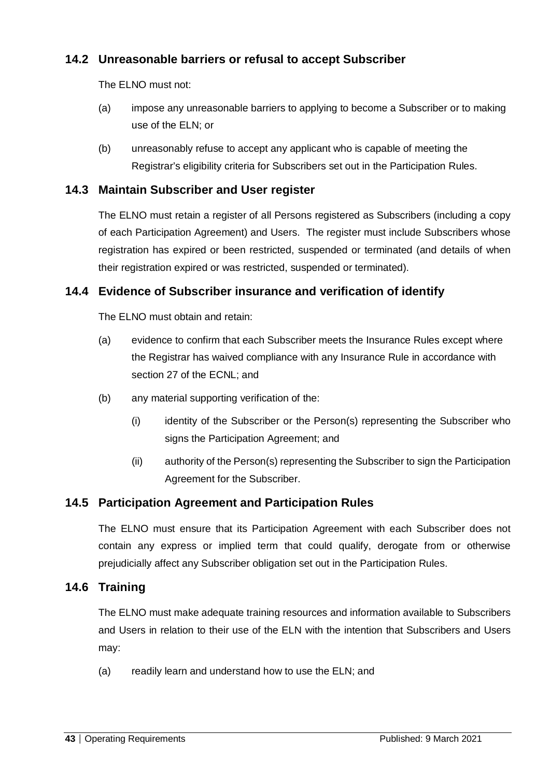## **14.2 Unreasonable barriers or refusal to accept Subscriber**

The ELNO must not:

- (a) impose any unreasonable barriers to applying to become a Subscriber or to making use of the ELN; or
- (b) unreasonably refuse to accept any applicant who is capable of meeting the Registrar's eligibility criteria for Subscribers set out in the Participation Rules.

#### **14.3 Maintain Subscriber and User register**

The ELNO must retain a register of all Persons registered as Subscribers (including a copy of each Participation Agreement) and Users. The register must include Subscribers whose registration has expired or been restricted, suspended or terminated (and details of when their registration expired or was restricted, suspended or terminated).

#### **14.4 Evidence of Subscriber insurance and verification of identify**

The ELNO must obtain and retain:

- (a) evidence to confirm that each Subscriber meets the Insurance Rules except where the Registrar has waived compliance with any Insurance Rule in accordance with section 27 of the ECNL; and
- (b) any material supporting verification of the:
	- (i) identity of the Subscriber or the Person(s) representing the Subscriber who signs the Participation Agreement; and
	- (ii) authority of the Person(s) representing the Subscriber to sign the Participation Agreement for the Subscriber.

#### **14.5 Participation Agreement and Participation Rules**

The ELNO must ensure that its Participation Agreement with each Subscriber does not contain any express or implied term that could qualify, derogate from or otherwise prejudicially affect any Subscriber obligation set out in the Participation Rules.

#### **14.6 Training**

The ELNO must make adequate training resources and information available to Subscribers and Users in relation to their use of the ELN with the intention that Subscribers and Users may:

(a) readily learn and understand how to use the ELN; and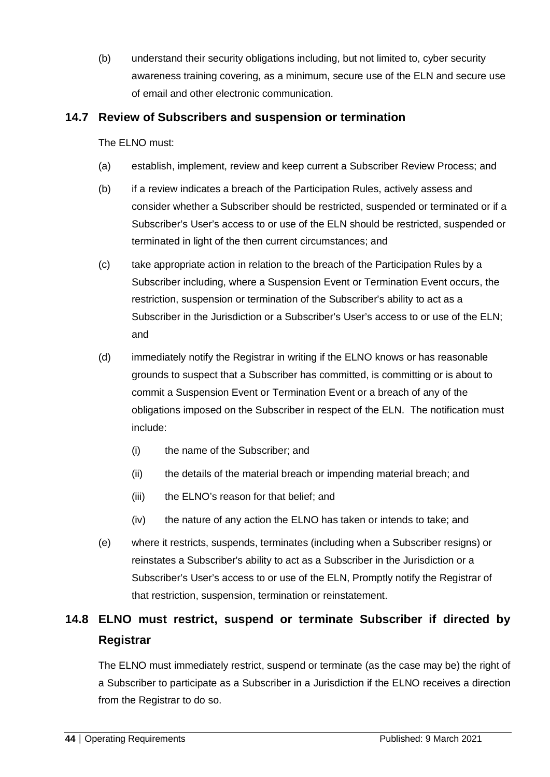(b) understand their security obligations including, but not limited to, cyber security awareness training covering, as a minimum, secure use of the ELN and secure use of email and other electronic communication.

#### **14.7 Review of Subscribers and suspension or termination**

The ELNO must:

- (a) establish, implement, review and keep current a Subscriber Review Process; and
- (b) if a review indicates a breach of the Participation Rules, actively assess and consider whether a Subscriber should be restricted, suspended or terminated or if a Subscriber's User's access to or use of the ELN should be restricted, suspended or terminated in light of the then current circumstances; and
- (c) take appropriate action in relation to the breach of the Participation Rules by a Subscriber including, where a Suspension Event or Termination Event occurs, the restriction, suspension or termination of the Subscriber's ability to act as a Subscriber in the Jurisdiction or a Subscriber's User's access to or use of the ELN; and
- (d) immediately notify the Registrar in writing if the ELNO knows or has reasonable grounds to suspect that a Subscriber has committed, is committing or is about to commit a Suspension Event or Termination Event or a breach of any of the obligations imposed on the Subscriber in respect of the ELN. The notification must include:
	- (i) the name of the Subscriber; and
	- (ii) the details of the material breach or impending material breach; and
	- (iii) the ELNO's reason for that belief; and
	- (iv) the nature of any action the ELNO has taken or intends to take; and
- (e) where it restricts, suspends, terminates (including when a Subscriber resigns) or reinstates a Subscriber's ability to act as a Subscriber in the Jurisdiction or a Subscriber's User's access to or use of the ELN, Promptly notify the Registrar of that restriction, suspension, termination or reinstatement.

# **14.8 ELNO must restrict, suspend or terminate Subscriber if directed by Registrar**

The ELNO must immediately restrict, suspend or terminate (as the case may be) the right of a Subscriber to participate as a Subscriber in a Jurisdiction if the ELNO receives a direction from the Registrar to do so.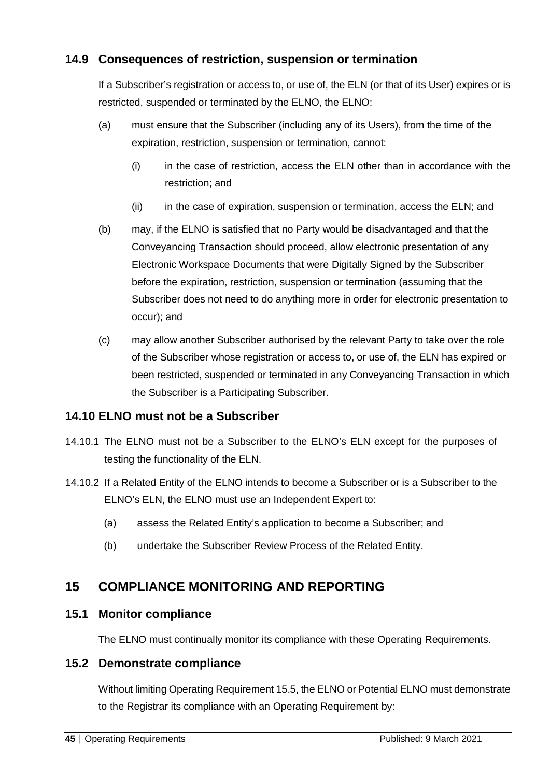## **14.9 Consequences of restriction, suspension or termination**

If a Subscriber's registration or access to, or use of, the ELN (or that of its User) expires or is restricted, suspended or terminated by the ELNO, the ELNO:

- (a) must ensure that the Subscriber (including any of its Users), from the time of the expiration, restriction, suspension or termination, cannot:
	- (i) in the case of restriction, access the ELN other than in accordance with the restriction; and
	- (ii) in the case of expiration, suspension or termination, access the ELN; and
- (b) may, if the ELNO is satisfied that no Party would be disadvantaged and that the Conveyancing Transaction should proceed, allow electronic presentation of any Electronic Workspace Documents that were Digitally Signed by the Subscriber before the expiration, restriction, suspension or termination (assuming that the Subscriber does not need to do anything more in order for electronic presentation to occur); and
- (c) may allow another Subscriber authorised by the relevant Party to take over the role of the Subscriber whose registration or access to, or use of, the ELN has expired or been restricted, suspended or terminated in any Conveyancing Transaction in which the Subscriber is a Participating Subscriber.

#### **14.10 ELNO must not be a Subscriber**

- 14.10.1 The ELNO must not be a Subscriber to the ELNO's ELN except for the purposes of testing the functionality of the ELN.
- 14.10.2 If a Related Entity of the ELNO intends to become a Subscriber or is a Subscriber to the ELNO's ELN, the ELNO must use an Independent Expert to:
	- (a) assess the Related Entity's application to become a Subscriber; and
	- (b) undertake the Subscriber Review Process of the Related Entity.

## **15 COMPLIANCE MONITORING AND REPORTING**

#### **15.1 Monitor compliance**

The ELNO must continually monitor its compliance with these Operating Requirements.

#### **15.2 Demonstrate compliance**

Without limiting Operating Requirement 15.5, the ELNO or Potential ELNO must demonstrate to the Registrar its compliance with an Operating Requirement by: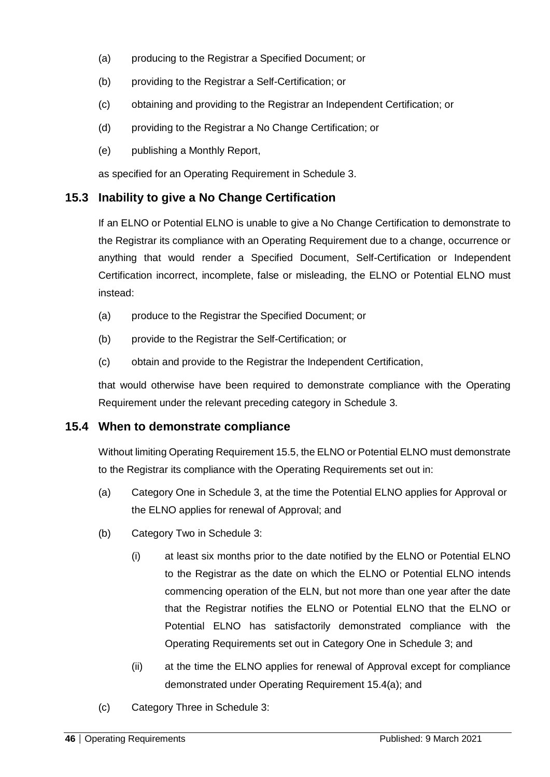- (a) producing to the Registrar a Specified Document; or
- (b) providing to the Registrar a Self-Certification; or
- (c) obtaining and providing to the Registrar an Independent Certification; or
- (d) providing to the Registrar a No Change Certification; or
- (e) publishing a Monthly Report,

as specified for an Operating Requirement in Schedule 3.

#### **15.3 Inability to give a No Change Certification**

If an ELNO or Potential ELNO is unable to give a No Change Certification to demonstrate to the Registrar its compliance with an Operating Requirement due to a change, occurrence or anything that would render a Specified Document, Self-Certification or Independent Certification incorrect, incomplete, false or misleading, the ELNO or Potential ELNO must instead:

- (a) produce to the Registrar the Specified Document; or
- (b) provide to the Registrar the Self-Certification; or
- (c) obtain and provide to the Registrar the Independent Certification,

that would otherwise have been required to demonstrate compliance with the Operating Requirement under the relevant preceding category in Schedule 3.

#### **15.4 When to demonstrate compliance**

Without limiting Operating Requirement 15.5, the ELNO or Potential ELNO must demonstrate to the Registrar its compliance with the Operating Requirements set out in:

- (a) Category One in Schedule 3, at the time the Potential ELNO applies for Approval or the ELNO applies for renewal of Approval; and
- (b) Category Two in Schedule 3:
	- (i) at least six months prior to the date notified by the ELNO or Potential ELNO to the Registrar as the date on which the ELNO or Potential ELNO intends commencing operation of the ELN, but not more than one year after the date that the Registrar notifies the ELNO or Potential ELNO that the ELNO or Potential ELNO has satisfactorily demonstrated compliance with the Operating Requirements set out in Category One in Schedule 3; and
	- (ii) at the time the ELNO applies for renewal of Approval except for compliance demonstrated under Operating Requirement 15.4(a); and
- (c) Category Three in Schedule 3: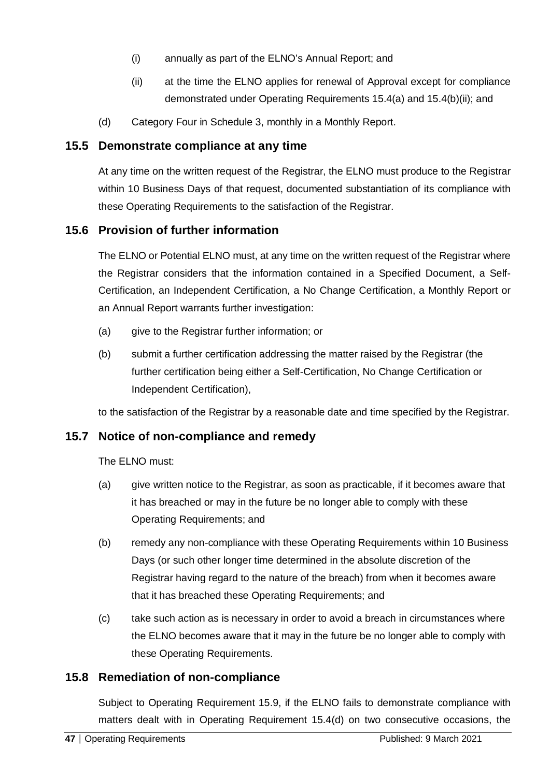- (i) annually as part of the ELNO's Annual Report; and
- (ii) at the time the ELNO applies for renewal of Approval except for compliance demonstrated under Operating Requirements 15.4(a) and 15.4(b)(ii); and
- (d) Category Four in Schedule 3, monthly in a Monthly Report.

#### **15.5 Demonstrate compliance at any time**

At any time on the written request of the Registrar, the ELNO must produce to the Registrar within 10 Business Days of that request, documented substantiation of its compliance with these Operating Requirements to the satisfaction of the Registrar.

#### **15.6 Provision of further information**

The ELNO or Potential ELNO must, at any time on the written request of the Registrar where the Registrar considers that the information contained in a Specified Document, a Self-Certification, an Independent Certification, a No Change Certification, a Monthly Report or an Annual Report warrants further investigation:

- (a) give to the Registrar further information; or
- (b) submit a further certification addressing the matter raised by the Registrar (the further certification being either a Self-Certification, No Change Certification or Independent Certification),

to the satisfaction of the Registrar by a reasonable date and time specified by the Registrar.

#### **15.7 Notice of non-compliance and remedy**

The ELNO must:

- (a) give written notice to the Registrar, as soon as practicable, if it becomes aware that it has breached or may in the future be no longer able to comply with these Operating Requirements; and
- (b) remedy any non-compliance with these Operating Requirements within 10 Business Days (or such other longer time determined in the absolute discretion of the Registrar having regard to the nature of the breach) from when it becomes aware that it has breached these Operating Requirements; and
- (c) take such action as is necessary in order to avoid a breach in circumstances where the ELNO becomes aware that it may in the future be no longer able to comply with these Operating Requirements.

#### **15.8 Remediation of non-compliance**

Subject to Operating Requirement 15.9, if the ELNO fails to demonstrate compliance with matters dealt with in Operating Requirement 15.4(d) on two consecutive occasions, the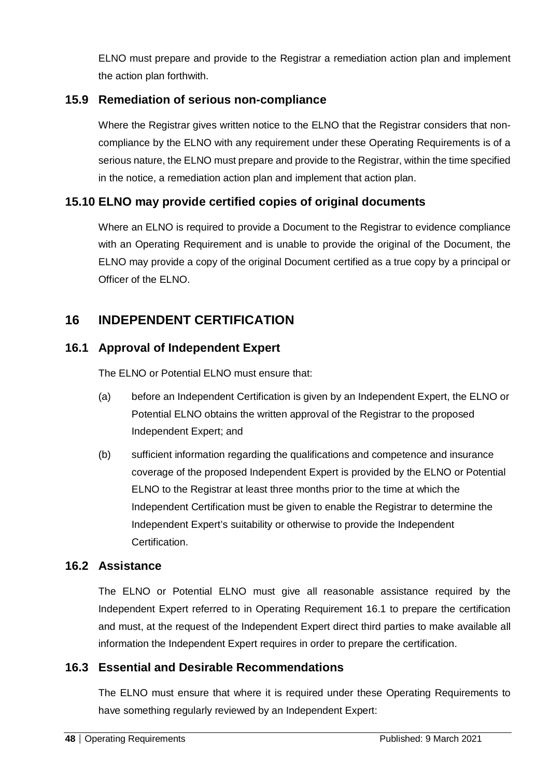ELNO must prepare and provide to the Registrar a remediation action plan and implement the action plan forthwith.

### **15.9 Remediation of serious non-compliance**

Where the Registrar gives written notice to the ELNO that the Registrar considers that noncompliance by the ELNO with any requirement under these Operating Requirements is of a serious nature, the ELNO must prepare and provide to the Registrar, within the time specified in the notice, a remediation action plan and implement that action plan.

### **15.10 ELNO may provide certified copies of original documents**

Where an ELNO is required to provide a Document to the Registrar to evidence compliance with an Operating Requirement and is unable to provide the original of the Document, the ELNO may provide a copy of the original Document certified as a true copy by a principal or Officer of the ELNO.

## **16 INDEPENDENT CERTIFICATION**

### **16.1 Approval of Independent Expert**

The FLNO or Potential FLNO must ensure that:

- (a) before an Independent Certification is given by an Independent Expert, the ELNO or Potential ELNO obtains the written approval of the Registrar to the proposed Independent Expert; and
- (b) sufficient information regarding the qualifications and competence and insurance coverage of the proposed Independent Expert is provided by the ELNO or Potential ELNO to the Registrar at least three months prior to the time at which the Independent Certification must be given to enable the Registrar to determine the Independent Expert's suitability or otherwise to provide the Independent **Certification**

### **16.2 Assistance**

The ELNO or Potential ELNO must give all reasonable assistance required by the Independent Expert referred to in Operating Requirement 16.1 to prepare the certification and must, at the request of the Independent Expert direct third parties to make available all information the Independent Expert requires in order to prepare the certification.

### **16.3 Essential and Desirable Recommendations**

The ELNO must ensure that where it is required under these Operating Requirements to have something regularly reviewed by an Independent Expert: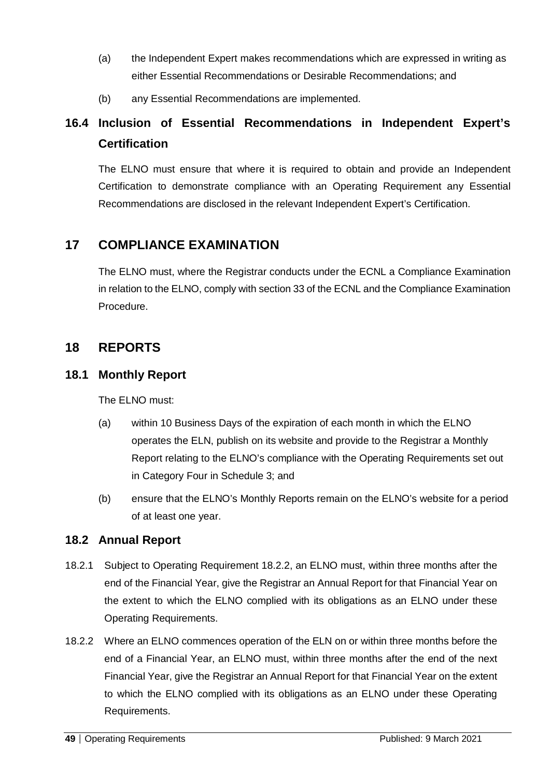- (a) the Independent Expert makes recommendations which are expressed in writing as either Essential Recommendations or Desirable Recommendations; and
- (b) any Essential Recommendations are implemented.

# **16.4 Inclusion of Essential Recommendations in Independent Expert's Certification**

The ELNO must ensure that where it is required to obtain and provide an Independent Certification to demonstrate compliance with an Operating Requirement any Essential Recommendations are disclosed in the relevant Independent Expert's Certification.

## **17 COMPLIANCE EXAMINATION**

The ELNO must, where the Registrar conducts under the ECNL a Compliance Examination in relation to the ELNO, comply with section 33 of the ECNL and the Compliance Examination Procedure.

## **18 REPORTS**

#### **18.1 Monthly Report**

The ELNO must:

- (a) within 10 Business Days of the expiration of each month in which the ELNO operates the ELN, publish on its website and provide to the Registrar a Monthly Report relating to the ELNO's compliance with the Operating Requirements set out in Category Four in Schedule 3; and
- (b) ensure that the ELNO's Monthly Reports remain on the ELNO's website for a period of at least one year.

### **18.2 Annual Report**

- 18.2.1 Subject to Operating Requirement 18.2.2, an ELNO must, within three months after the end of the Financial Year, give the Registrar an Annual Report for that Financial Year on the extent to which the ELNO complied with its obligations as an ELNO under these Operating Requirements.
- 18.2.2 Where an ELNO commences operation of the ELN on or within three months before the end of a Financial Year, an ELNO must, within three months after the end of the next Financial Year, give the Registrar an Annual Report for that Financial Year on the extent to which the ELNO complied with its obligations as an ELNO under these Operating Requirements.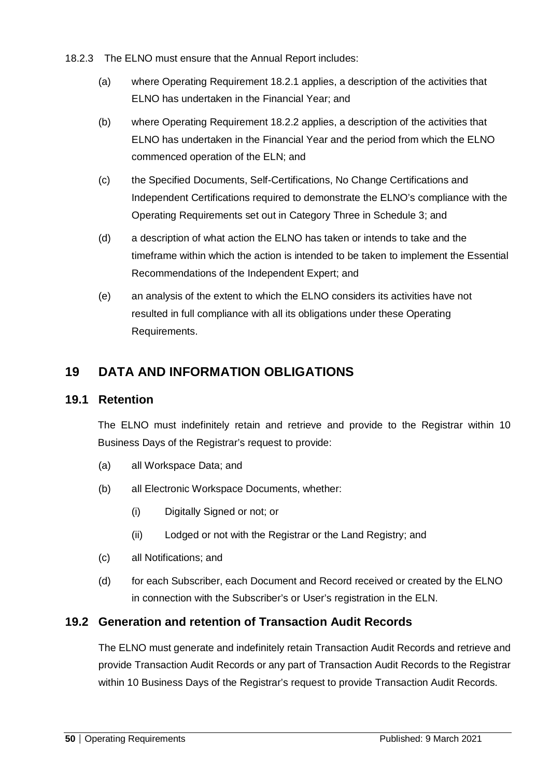- 18.2.3 The ELNO must ensure that the Annual Report includes:
	- (a) where Operating Requirement 18.2.1 applies, a description of the activities that ELNO has undertaken in the Financial Year; and
	- (b) where Operating Requirement 18.2.2 applies, a description of the activities that ELNO has undertaken in the Financial Year and the period from which the ELNO commenced operation of the ELN; and
	- (c) the Specified Documents, Self-Certifications, No Change Certifications and Independent Certifications required to demonstrate the ELNO's compliance with the Operating Requirements set out in Category Three in Schedule 3; and
	- (d) a description of what action the ELNO has taken or intends to take and the timeframe within which the action is intended to be taken to implement the Essential Recommendations of the Independent Expert; and
	- (e) an analysis of the extent to which the ELNO considers its activities have not resulted in full compliance with all its obligations under these Operating Requirements.

## **19 DATA AND INFORMATION OBLIGATIONS**

#### **19.1 Retention**

The ELNO must indefinitely retain and retrieve and provide to the Registrar within 10 Business Days of the Registrar's request to provide:

- (a) all Workspace Data; and
- (b) all Electronic Workspace Documents, whether:
	- (i) Digitally Signed or not; or
	- (ii) Lodged or not with the Registrar or the Land Registry; and
- (c) all Notifications; and
- (d) for each Subscriber, each Document and Record received or created by the ELNO in connection with the Subscriber's or User's registration in the ELN.

### **19.2 Generation and retention of Transaction Audit Records**

The ELNO must generate and indefinitely retain Transaction Audit Records and retrieve and provide Transaction Audit Records or any part of Transaction Audit Records to the Registrar within 10 Business Days of the Registrar's request to provide Transaction Audit Records.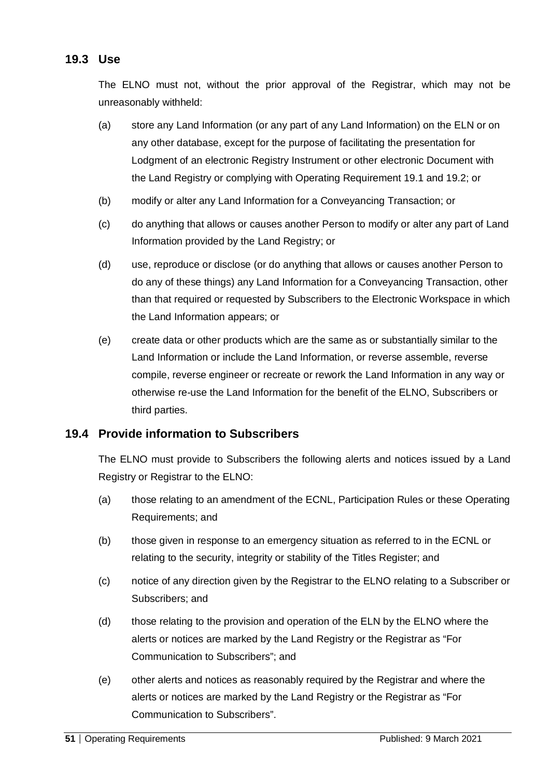### **19.3 Use**

The ELNO must not, without the prior approval of the Registrar, which may not be unreasonably withheld:

- (a) store any Land Information (or any part of any Land Information) on the ELN or on any other database, except for the purpose of facilitating the presentation for Lodgment of an electronic Registry Instrument or other electronic Document with the Land Registry or complying with Operating Requirement 19.1 and 19.2; or
- (b) modify or alter any Land Information for a Conveyancing Transaction; or
- (c) do anything that allows or causes another Person to modify or alter any part of Land Information provided by the Land Registry; or
- (d) use, reproduce or disclose (or do anything that allows or causes another Person to do any of these things) any Land Information for a Conveyancing Transaction, other than that required or requested by Subscribers to the Electronic Workspace in which the Land Information appears; or
- (e) create data or other products which are the same as or substantially similar to the Land Information or include the Land Information, or reverse assemble, reverse compile, reverse engineer or recreate or rework the Land Information in any way or otherwise re-use the Land Information for the benefit of the ELNO, Subscribers or third parties.

#### **19.4 Provide information to Subscribers**

The ELNO must provide to Subscribers the following alerts and notices issued by a Land Registry or Registrar to the ELNO:

- (a) those relating to an amendment of the ECNL, Participation Rules or these Operating Requirements; and
- (b) those given in response to an emergency situation as referred to in the ECNL or relating to the security, integrity or stability of the Titles Register; and
- (c) notice of any direction given by the Registrar to the ELNO relating to a Subscriber or Subscribers; and
- (d) those relating to the provision and operation of the ELN by the ELNO where the alerts or notices are marked by the Land Registry or the Registrar as "For Communication to Subscribers"; and
- (e) other alerts and notices as reasonably required by the Registrar and where the alerts or notices are marked by the Land Registry or the Registrar as "For Communication to Subscribers".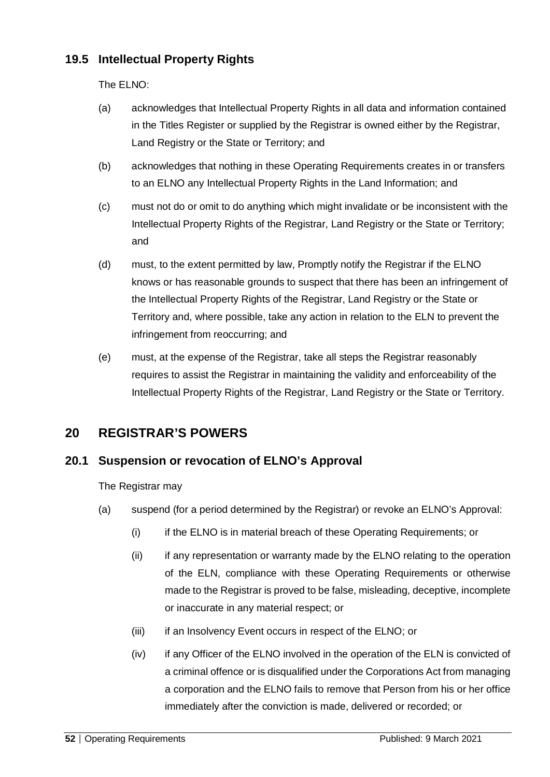## **19.5 Intellectual Property Rights**

The ELNO:

- (a) acknowledges that Intellectual Property Rights in all data and information contained in the Titles Register or supplied by the Registrar is owned either by the Registrar, Land Registry or the State or Territory; and
- (b) acknowledges that nothing in these Operating Requirements creates in or transfers to an ELNO any Intellectual Property Rights in the Land Information; and
- (c) must not do or omit to do anything which might invalidate or be inconsistent with the Intellectual Property Rights of the Registrar, Land Registry or the State or Territory; and
- (d) must, to the extent permitted by law, Promptly notify the Registrar if the ELNO knows or has reasonable grounds to suspect that there has been an infringement of the Intellectual Property Rights of the Registrar, Land Registry or the State or Territory and, where possible, take any action in relation to the ELN to prevent the infringement from reoccurring; and
- (e) must, at the expense of the Registrar, take all steps the Registrar reasonably requires to assist the Registrar in maintaining the validity and enforceability of the Intellectual Property Rights of the Registrar, Land Registry or the State or Territory.

## **20 REGISTRAR'S POWERS**

### **20.1 Suspension or revocation of ELNO's Approval**

The Registrar may

- (a) suspend (for a period determined by the Registrar) or revoke an ELNO's Approval:
	- (i) if the ELNO is in material breach of these Operating Requirements; or
	- (ii) if any representation or warranty made by the ELNO relating to the operation of the ELN, compliance with these Operating Requirements or otherwise made to the Registrar is proved to be false, misleading, deceptive, incomplete or inaccurate in any material respect; or
	- (iii) if an Insolvency Event occurs in respect of the ELNO; or
	- (iv) if any Officer of the ELNO involved in the operation of the ELN is convicted of a criminal offence or is disqualified under the Corporations Act from managing a corporation and the ELNO fails to remove that Person from his or her office immediately after the conviction is made, delivered or recorded; or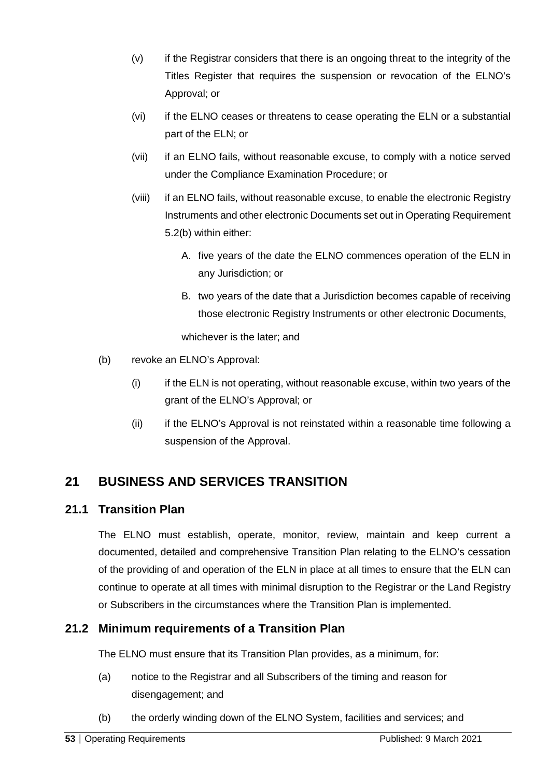- (v) if the Registrar considers that there is an ongoing threat to the integrity of the Titles Register that requires the suspension or revocation of the ELNO's Approval; or
- (vi) if the ELNO ceases or threatens to cease operating the ELN or a substantial part of the ELN; or
- (vii) if an ELNO fails, without reasonable excuse, to comply with a notice served under the Compliance Examination Procedure; or
- (viii) if an ELNO fails, without reasonable excuse, to enable the electronic Registry Instruments and other electronic Documents set out in Operating Requirement 5.2(b) within either:
	- A. five years of the date the ELNO commences operation of the ELN in any Jurisdiction; or
	- B. two years of the date that a Jurisdiction becomes capable of receiving those electronic Registry Instruments or other electronic Documents,

whichever is the later; and

- (b) revoke an ELNO's Approval:
	- (i) if the ELN is not operating, without reasonable excuse, within two years of the grant of the ELNO's Approval; or
	- (ii) if the ELNO's Approval is not reinstated within a reasonable time following a suspension of the Approval.

## **21 BUSINESS AND SERVICES TRANSITION**

### **21.1 Transition Plan**

The ELNO must establish, operate, monitor, review, maintain and keep current a documented, detailed and comprehensive Transition Plan relating to the ELNO's cessation of the providing of and operation of the ELN in place at all times to ensure that the ELN can continue to operate at all times with minimal disruption to the Registrar or the Land Registry or Subscribers in the circumstances where the Transition Plan is implemented.

### **21.2 Minimum requirements of a Transition Plan**

The ELNO must ensure that its Transition Plan provides, as a minimum, for:

- (a) notice to the Registrar and all Subscribers of the timing and reason for disengagement; and
- (b) the orderly winding down of the ELNO System, facilities and services; and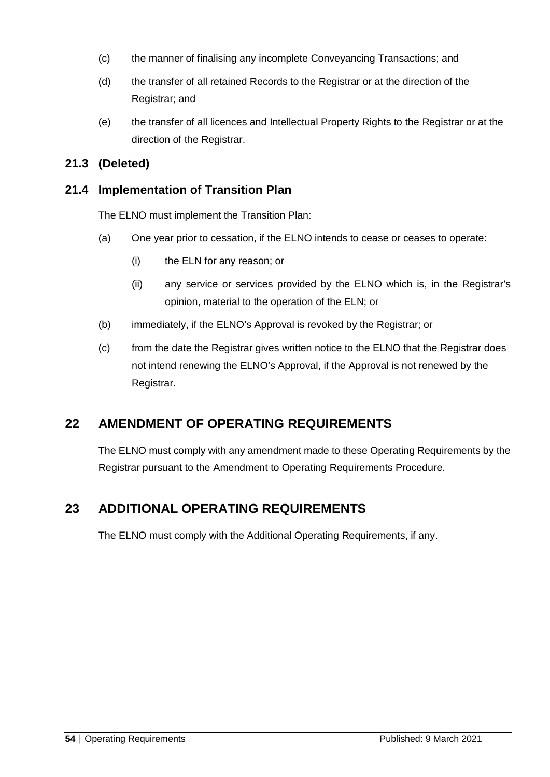- (c) the manner of finalising any incomplete Conveyancing Transactions; and
- (d) the transfer of all retained Records to the Registrar or at the direction of the Registrar; and
- (e) the transfer of all licences and Intellectual Property Rights to the Registrar or at the direction of the Registrar.

### **21.3 (Deleted)**

### **21.4 Implementation of Transition Plan**

The ELNO must implement the Transition Plan:

- (a) One year prior to cessation, if the ELNO intends to cease or ceases to operate:
	- (i) the ELN for any reason; or
	- (ii) any service or services provided by the ELNO which is, in the Registrar's opinion, material to the operation of the ELN; or
- (b) immediately, if the ELNO's Approval is revoked by the Registrar; or
- (c) from the date the Registrar gives written notice to the ELNO that the Registrar does not intend renewing the ELNO's Approval, if the Approval is not renewed by the Registrar.

## **22 AMENDMENT OF OPERATING REQUIREMENTS**

The ELNO must comply with any amendment made to these Operating Requirements by the Registrar pursuant to the Amendment to Operating Requirements Procedure.

## **23 ADDITIONAL OPERATING REQUIREMENTS**

The ELNO must comply with the Additional Operating Requirements, if any.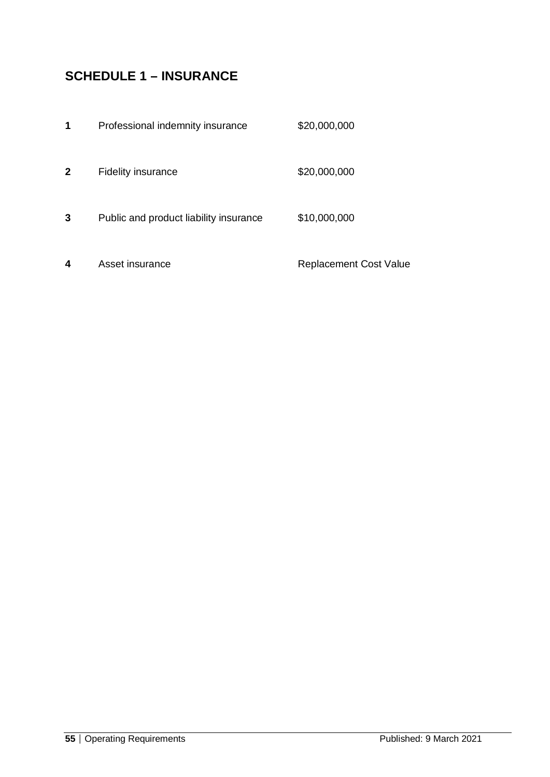# **SCHEDULE 1 – INSURANCE**

| 1            | Professional indemnity insurance       | \$20,000,000                  |
|--------------|----------------------------------------|-------------------------------|
| $\mathbf{2}$ | <b>Fidelity insurance</b>              | \$20,000,000                  |
| 3            | Public and product liability insurance | \$10,000,000                  |
| 4            | Asset insurance                        | <b>Replacement Cost Value</b> |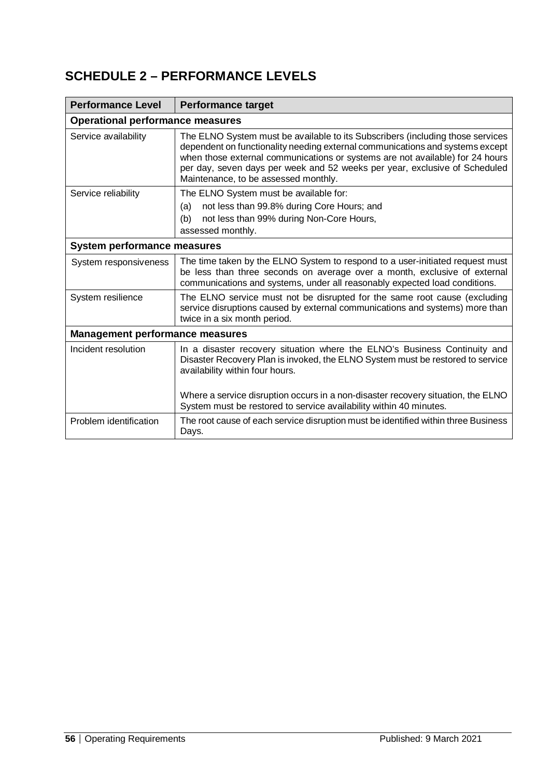# **SCHEDULE 2 – PERFORMANCE LEVELS**

| <b>Performance Level</b>               | <b>Performance target</b>                                                                                                                                                                                                                                                                                                                                              |  |  |  |
|----------------------------------------|------------------------------------------------------------------------------------------------------------------------------------------------------------------------------------------------------------------------------------------------------------------------------------------------------------------------------------------------------------------------|--|--|--|
|                                        | <b>Operational performance measures</b>                                                                                                                                                                                                                                                                                                                                |  |  |  |
| Service availability                   | The ELNO System must be available to its Subscribers (including those services<br>dependent on functionality needing external communications and systems except<br>when those external communications or systems are not available) for 24 hours<br>per day, seven days per week and 52 weeks per year, exclusive of Scheduled<br>Maintenance, to be assessed monthly. |  |  |  |
| Service reliability                    | The ELNO System must be available for:                                                                                                                                                                                                                                                                                                                                 |  |  |  |
|                                        | not less than 99.8% during Core Hours; and<br>(a)<br>not less than 99% during Non-Core Hours,<br>(b)                                                                                                                                                                                                                                                                   |  |  |  |
|                                        | assessed monthly.                                                                                                                                                                                                                                                                                                                                                      |  |  |  |
| <b>System performance measures</b>     |                                                                                                                                                                                                                                                                                                                                                                        |  |  |  |
| System responsiveness                  | The time taken by the ELNO System to respond to a user-initiated request must<br>be less than three seconds on average over a month, exclusive of external<br>communications and systems, under all reasonably expected load conditions.                                                                                                                               |  |  |  |
| System resilience                      | The ELNO service must not be disrupted for the same root cause (excluding<br>service disruptions caused by external communications and systems) more than<br>twice in a six month period.                                                                                                                                                                              |  |  |  |
| <b>Management performance measures</b> |                                                                                                                                                                                                                                                                                                                                                                        |  |  |  |
| Incident resolution                    | In a disaster recovery situation where the ELNO's Business Continuity and<br>Disaster Recovery Plan is invoked, the ELNO System must be restored to service<br>availability within four hours.                                                                                                                                                                         |  |  |  |
|                                        | Where a service disruption occurs in a non-disaster recovery situation, the ELNO<br>System must be restored to service availability within 40 minutes.                                                                                                                                                                                                                 |  |  |  |
| Problem identification                 | The root cause of each service disruption must be identified within three Business<br>Days.                                                                                                                                                                                                                                                                            |  |  |  |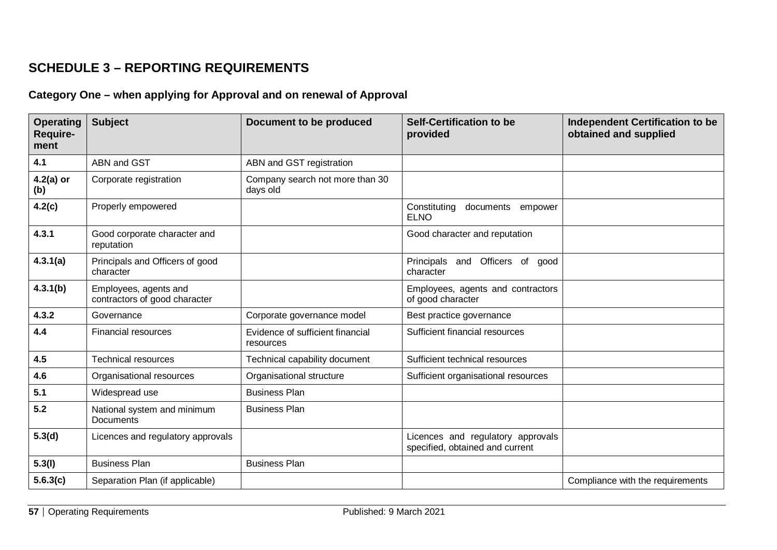## **SCHEDULE 3 – REPORTING REQUIREMENTS**

## **Category One – when applying for Approval and on renewal of Approval**

| <b>Operating</b><br><b>Require-</b><br>ment | <b>Subject</b>                                         | <b>Document to be produced</b>                | <b>Self-Certification to be</b><br>provided                          | Independent Certification to be<br>obtained and supplied |
|---------------------------------------------|--------------------------------------------------------|-----------------------------------------------|----------------------------------------------------------------------|----------------------------------------------------------|
| 4.1                                         | ABN and GST                                            | ABN and GST registration                      |                                                                      |                                                          |
| $4.2(a)$ or<br>(b)                          | Corporate registration                                 | Company search not more than 30<br>days old   |                                                                      |                                                          |
| 4.2(c)                                      | Properly empowered                                     |                                               | Constituting<br>documents<br>empower<br><b>ELNO</b>                  |                                                          |
| 4.3.1                                       | Good corporate character and<br>reputation             |                                               | Good character and reputation                                        |                                                          |
| 4.3.1(a)                                    | Principals and Officers of good<br>character           |                                               | Principals and Officers of<br>good<br>character                      |                                                          |
| 4.3.1(b)                                    | Employees, agents and<br>contractors of good character |                                               | Employees, agents and contractors<br>of good character               |                                                          |
| 4.3.2                                       | Governance                                             | Corporate governance model                    | Best practice governance                                             |                                                          |
| 4.4                                         | <b>Financial resources</b>                             | Evidence of sufficient financial<br>resources | Sufficient financial resources                                       |                                                          |
| 4.5                                         | <b>Technical resources</b>                             | Technical capability document                 | Sufficient technical resources                                       |                                                          |
| 4.6                                         | Organisational resources                               | Organisational structure                      | Sufficient organisational resources                                  |                                                          |
| 5.1                                         | Widespread use                                         | <b>Business Plan</b>                          |                                                                      |                                                          |
| 5.2                                         | National system and minimum<br><b>Documents</b>        | <b>Business Plan</b>                          |                                                                      |                                                          |
| 5.3(d)                                      | Licences and regulatory approvals                      |                                               | Licences and regulatory approvals<br>specified, obtained and current |                                                          |
| 5.3(l)                                      | <b>Business Plan</b>                                   | <b>Business Plan</b>                          |                                                                      |                                                          |
| 5.6.3(c)                                    | Separation Plan (if applicable)                        |                                               |                                                                      | Compliance with the requirements                         |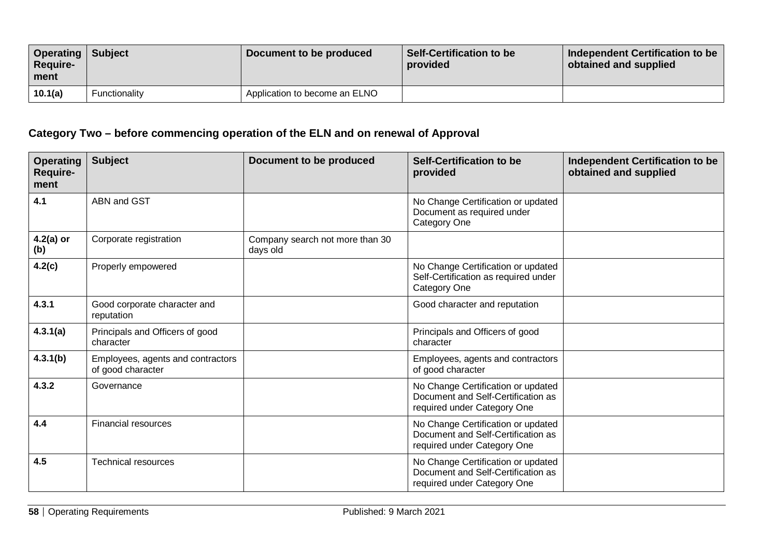| <b>Operating</b><br><b>Require-</b><br>ment | <b>Subject</b> | Document to be produced       | <b>Self-Certification to be</b><br>provided | Independent Certification to be<br>obtained and supplied |
|---------------------------------------------|----------------|-------------------------------|---------------------------------------------|----------------------------------------------------------|
| 10.1(a)                                     | Functionality  | Application to become an ELNO |                                             |                                                          |

## **Category Two – before commencing operation of the ELN and on renewal of Approval**

| <b>Operating</b><br><b>Require-</b><br>ment | <b>Subject</b>                                         | Document to be produced                     | <b>Self-Certification to be</b><br>provided                                                             | <b>Independent Certification to be</b><br>obtained and supplied |
|---------------------------------------------|--------------------------------------------------------|---------------------------------------------|---------------------------------------------------------------------------------------------------------|-----------------------------------------------------------------|
| 4.1                                         | ABN and GST                                            |                                             | No Change Certification or updated<br>Document as required under<br>Category One                        |                                                                 |
| $4.2(a)$ or<br>(b)                          | Corporate registration                                 | Company search not more than 30<br>days old |                                                                                                         |                                                                 |
| 4.2(c)                                      | Properly empowered                                     |                                             | No Change Certification or updated<br>Self-Certification as required under<br><b>Category One</b>       |                                                                 |
| 4.3.1                                       | Good corporate character and<br>reputation             |                                             | Good character and reputation                                                                           |                                                                 |
| 4.3.1(a)                                    | Principals and Officers of good<br>character           |                                             | Principals and Officers of good<br>character                                                            |                                                                 |
| 4.3.1(b)                                    | Employees, agents and contractors<br>of good character |                                             | Employees, agents and contractors<br>of good character                                                  |                                                                 |
| 4.3.2                                       | Governance                                             |                                             | No Change Certification or updated<br>Document and Self-Certification as<br>required under Category One |                                                                 |
| 4.4                                         | <b>Financial resources</b>                             |                                             | No Change Certification or updated<br>Document and Self-Certification as<br>required under Category One |                                                                 |
| 4.5                                         | <b>Technical resources</b>                             |                                             | No Change Certification or updated<br>Document and Self-Certification as<br>required under Category One |                                                                 |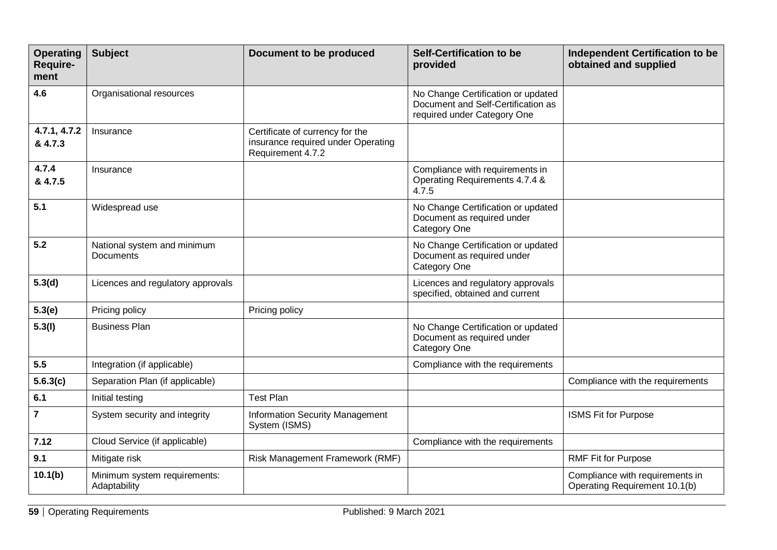| <b>Operating</b><br><b>Require-</b><br>ment | <b>Subject</b>                                  | Document to be produced                                                                    | <b>Self-Certification to be</b><br>provided                                                             | <b>Independent Certification to be</b><br>obtained and supplied  |
|---------------------------------------------|-------------------------------------------------|--------------------------------------------------------------------------------------------|---------------------------------------------------------------------------------------------------------|------------------------------------------------------------------|
| 4.6                                         | Organisational resources                        |                                                                                            | No Change Certification or updated<br>Document and Self-Certification as<br>required under Category One |                                                                  |
| 4.7.1, 4.7.2<br>& 4.7.3                     | Insurance                                       | Certificate of currency for the<br>insurance required under Operating<br>Requirement 4.7.2 |                                                                                                         |                                                                  |
| 4.7.4<br>& 4.7.5                            | Insurance                                       |                                                                                            | Compliance with requirements in<br>Operating Requirements 4.7.4 &<br>4.7.5                              |                                                                  |
| 5.1                                         | Widespread use                                  |                                                                                            | No Change Certification or updated<br>Document as required under<br>Category One                        |                                                                  |
| 5.2                                         | National system and minimum<br><b>Documents</b> |                                                                                            | No Change Certification or updated<br>Document as required under<br>Category One                        |                                                                  |
| 5.3(d)                                      | Licences and regulatory approvals               |                                                                                            | Licences and regulatory approvals<br>specified, obtained and current                                    |                                                                  |
| 5.3(e)                                      | Pricing policy                                  | Pricing policy                                                                             |                                                                                                         |                                                                  |
| 5.3(l)                                      | <b>Business Plan</b>                            |                                                                                            | No Change Certification or updated<br>Document as required under<br>Category One                        |                                                                  |
| 5.5                                         | Integration (if applicable)                     |                                                                                            | Compliance with the requirements                                                                        |                                                                  |
| 5.6.3(c)                                    | Separation Plan (if applicable)                 |                                                                                            |                                                                                                         | Compliance with the requirements                                 |
| 6.1                                         | Initial testing                                 | <b>Test Plan</b>                                                                           |                                                                                                         |                                                                  |
| $\overline{7}$                              | System security and integrity                   | <b>Information Security Management</b><br>System (ISMS)                                    |                                                                                                         | <b>ISMS Fit for Purpose</b>                                      |
| 7.12                                        | Cloud Service (if applicable)                   |                                                                                            | Compliance with the requirements                                                                        |                                                                  |
| 9.1                                         | Mitigate risk                                   | Risk Management Framework (RMF)                                                            |                                                                                                         | <b>RMF Fit for Purpose</b>                                       |
| 10.1(b)                                     | Minimum system requirements:<br>Adaptability    |                                                                                            |                                                                                                         | Compliance with requirements in<br>Operating Requirement 10.1(b) |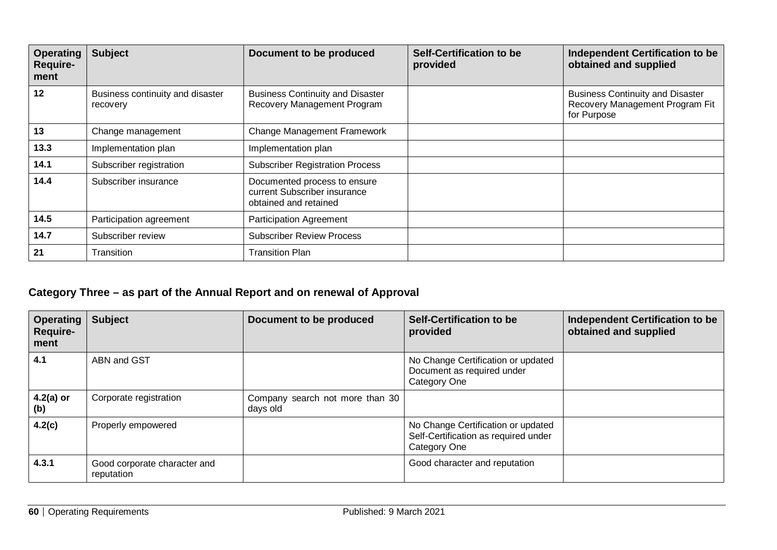| <b>Operating</b><br><b>Require-</b><br>ment | <b>Subject</b>                               | Document to be produced                                                               | <b>Self-Certification to be</b><br>provided | <b>Independent Certification to be</b><br>obtained and supplied                           |
|---------------------------------------------|----------------------------------------------|---------------------------------------------------------------------------------------|---------------------------------------------|-------------------------------------------------------------------------------------------|
| 12                                          | Business continuity and disaster<br>recovery | <b>Business Continuity and Disaster</b><br>Recovery Management Program                |                                             | <b>Business Continuity and Disaster</b><br>Recovery Management Program Fit<br>for Purpose |
| 13                                          | Change management                            | <b>Change Management Framework</b>                                                    |                                             |                                                                                           |
| 13.3                                        | Implementation plan                          | Implementation plan                                                                   |                                             |                                                                                           |
| 14.1                                        | Subscriber registration                      | <b>Subscriber Registration Process</b>                                                |                                             |                                                                                           |
| 14.4                                        | Subscriber insurance                         | Documented process to ensure<br>current Subscriber insurance<br>obtained and retained |                                             |                                                                                           |
| 14.5                                        | Participation agreement                      | <b>Participation Agreement</b>                                                        |                                             |                                                                                           |
| 14.7                                        | Subscriber review                            | <b>Subscriber Review Process</b>                                                      |                                             |                                                                                           |
| 21                                          | Transition                                   | <b>Transition Plan</b>                                                                |                                             |                                                                                           |

## **Category Three – as part of the Annual Report and on renewal of Approval**

| <b>Operating</b><br>Require-<br>ment | <b>Subject</b>                             | Document to be produced                     | <b>Self-Certification to be</b><br>provided                                                       | <b>Independent Certification to be</b><br>obtained and supplied |
|--------------------------------------|--------------------------------------------|---------------------------------------------|---------------------------------------------------------------------------------------------------|-----------------------------------------------------------------|
| 4.1                                  | ABN and GST                                |                                             | No Change Certification or updated<br>Document as required under<br>Category One                  |                                                                 |
| $4.2(a)$ or<br>(b)                   | Corporate registration                     | Company search not more than 30<br>days old |                                                                                                   |                                                                 |
| 4.2(c)                               | Properly empowered                         |                                             | No Change Certification or updated<br>Self-Certification as required under<br><b>Category One</b> |                                                                 |
| 4.3.1                                | Good corporate character and<br>reputation |                                             | Good character and reputation                                                                     |                                                                 |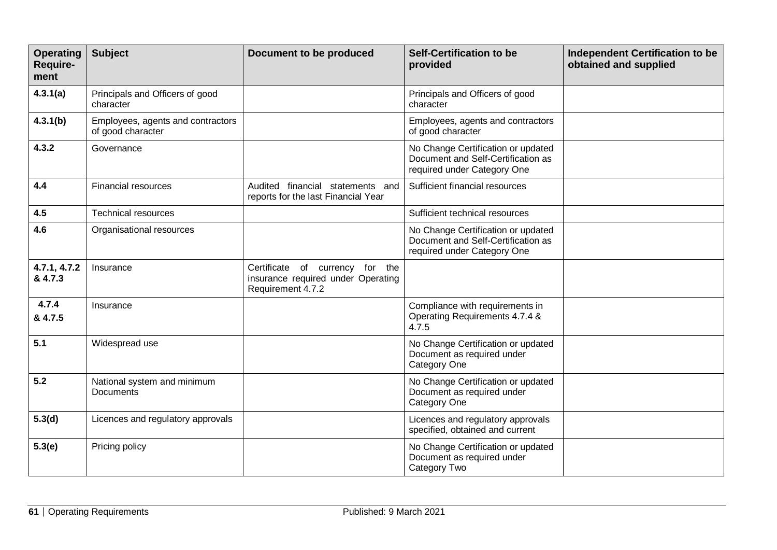| <b>Operating</b><br>Require-<br>ment | <b>Subject</b>                                         | <b>Document to be produced</b>                                                             | <b>Self-Certification to be</b><br>provided                                                             | <b>Independent Certification to be</b><br>obtained and supplied |
|--------------------------------------|--------------------------------------------------------|--------------------------------------------------------------------------------------------|---------------------------------------------------------------------------------------------------------|-----------------------------------------------------------------|
| 4.3.1(a)                             | Principals and Officers of good<br>character           |                                                                                            | Principals and Officers of good<br>character                                                            |                                                                 |
| 4.3.1(b)                             | Employees, agents and contractors<br>of good character |                                                                                            | Employees, agents and contractors<br>of good character                                                  |                                                                 |
| 4.3.2                                | Governance                                             |                                                                                            | No Change Certification or updated<br>Document and Self-Certification as<br>required under Category One |                                                                 |
| 4.4                                  | <b>Financial resources</b>                             | Audited financial statements and<br>reports for the last Financial Year                    | Sufficient financial resources                                                                          |                                                                 |
| 4.5                                  | <b>Technical resources</b>                             |                                                                                            | Sufficient technical resources                                                                          |                                                                 |
| 4.6                                  | Organisational resources                               |                                                                                            | No Change Certification or updated<br>Document and Self-Certification as<br>required under Category One |                                                                 |
| 4.7.1, 4.7.2<br>& 4.7.3              | Insurance                                              | Certificate of currency for the<br>insurance required under Operating<br>Requirement 4.7.2 |                                                                                                         |                                                                 |
| 4.7.4<br>& 4.7.5                     | Insurance                                              |                                                                                            | Compliance with requirements in<br>Operating Requirements 4.7.4 &<br>4.7.5                              |                                                                 |
| 5.1                                  | Widespread use                                         |                                                                                            | No Change Certification or updated<br>Document as required under<br>Category One                        |                                                                 |
| 5.2                                  | National system and minimum<br><b>Documents</b>        |                                                                                            | No Change Certification or updated<br>Document as required under<br><b>Category One</b>                 |                                                                 |
| 5.3(d)                               | Licences and regulatory approvals                      |                                                                                            | Licences and regulatory approvals<br>specified, obtained and current                                    |                                                                 |
| 5.3(e)                               | Pricing policy                                         |                                                                                            | No Change Certification or updated<br>Document as required under<br>Category Two                        |                                                                 |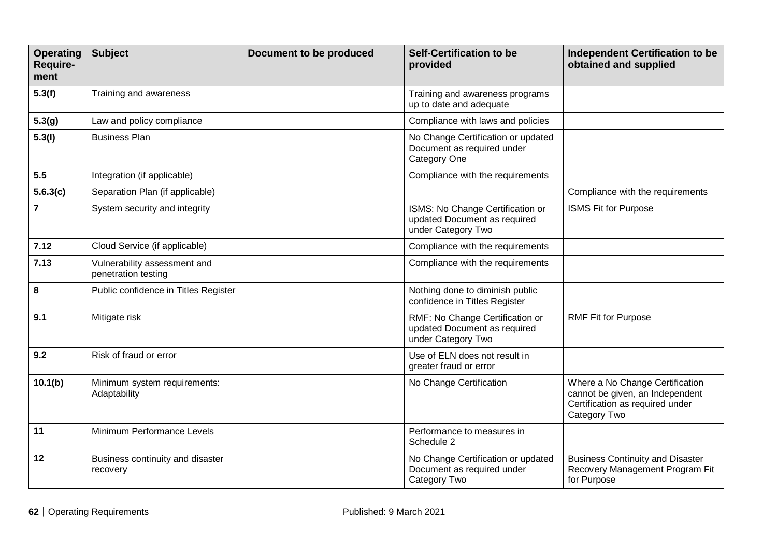| <b>Operating</b><br>Require-<br>ment | <b>Subject</b>                                      | Document to be produced | <b>Self-Certification to be</b><br>provided                                            | <b>Independent Certification to be</b><br>obtained and supplied                                                       |
|--------------------------------------|-----------------------------------------------------|-------------------------|----------------------------------------------------------------------------------------|-----------------------------------------------------------------------------------------------------------------------|
| 5.3(f)                               | Training and awareness                              |                         | Training and awareness programs<br>up to date and adequate                             |                                                                                                                       |
| 5.3(g)                               | Law and policy compliance                           |                         | Compliance with laws and policies                                                      |                                                                                                                       |
| 5.3(l)                               | <b>Business Plan</b>                                |                         | No Change Certification or updated<br>Document as required under<br>Category One       |                                                                                                                       |
| 5.5                                  | Integration (if applicable)                         |                         | Compliance with the requirements                                                       |                                                                                                                       |
| 5.6.3(c)                             | Separation Plan (if applicable)                     |                         |                                                                                        | Compliance with the requirements                                                                                      |
| $\overline{\mathbf{7}}$              | System security and integrity                       |                         | ISMS: No Change Certification or<br>updated Document as required<br>under Category Two | <b>ISMS Fit for Purpose</b>                                                                                           |
| 7.12                                 | Cloud Service (if applicable)                       |                         | Compliance with the requirements                                                       |                                                                                                                       |
| 7.13                                 | Vulnerability assessment and<br>penetration testing |                         | Compliance with the requirements                                                       |                                                                                                                       |
| 8                                    | Public confidence in Titles Register                |                         | Nothing done to diminish public<br>confidence in Titles Register                       |                                                                                                                       |
| 9.1                                  | Mitigate risk                                       |                         | RMF: No Change Certification or<br>updated Document as required<br>under Category Two  | <b>RMF Fit for Purpose</b>                                                                                            |
| 9.2                                  | Risk of fraud or error                              |                         | Use of ELN does not result in<br>greater fraud or error                                |                                                                                                                       |
| 10.1(b)                              | Minimum system requirements:<br>Adaptability        |                         | No Change Certification                                                                | Where a No Change Certification<br>cannot be given, an Independent<br>Certification as required under<br>Category Two |
| 11                                   | Minimum Performance Levels                          |                         | Performance to measures in<br>Schedule 2                                               |                                                                                                                       |
| 12                                   | Business continuity and disaster<br>recovery        |                         | No Change Certification or updated<br>Document as required under<br>Category Two       | <b>Business Continuity and Disaster</b><br>Recovery Management Program Fit<br>for Purpose                             |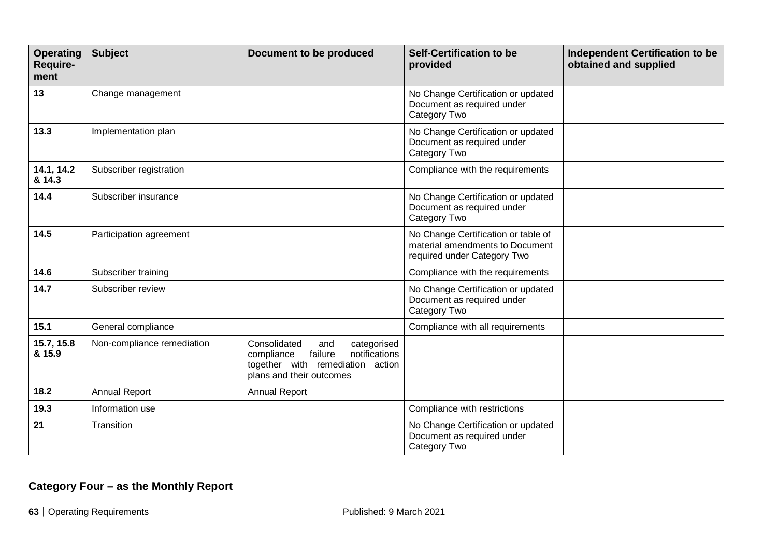| <b>Operating</b><br>Require-<br>ment | <b>Subject</b>             | Document to be produced                                                                                                                      | <b>Self-Certification to be</b><br>provided                                                           | <b>Independent Certification to be</b><br>obtained and supplied |
|--------------------------------------|----------------------------|----------------------------------------------------------------------------------------------------------------------------------------------|-------------------------------------------------------------------------------------------------------|-----------------------------------------------------------------|
| 13                                   | Change management          |                                                                                                                                              | No Change Certification or updated<br>Document as required under<br>Category Two                      |                                                                 |
| 13.3                                 | Implementation plan        |                                                                                                                                              | No Change Certification or updated<br>Document as required under<br>Category Two                      |                                                                 |
| 14.1, 14.2<br>& 14.3                 | Subscriber registration    |                                                                                                                                              | Compliance with the requirements                                                                      |                                                                 |
| 14.4                                 | Subscriber insurance       |                                                                                                                                              | No Change Certification or updated<br>Document as required under<br>Category Two                      |                                                                 |
| 14.5                                 | Participation agreement    |                                                                                                                                              | No Change Certification or table of<br>material amendments to Document<br>required under Category Two |                                                                 |
| 14.6                                 | Subscriber training        |                                                                                                                                              | Compliance with the requirements                                                                      |                                                                 |
| 14.7                                 | Subscriber review          |                                                                                                                                              | No Change Certification or updated<br>Document as required under<br>Category Two                      |                                                                 |
| 15.1                                 | General compliance         |                                                                                                                                              | Compliance with all requirements                                                                      |                                                                 |
| 15.7, 15.8<br>& 15.9                 | Non-compliance remediation | Consolidated<br>categorised<br>and<br>notifications<br>failure<br>compliance<br>together with remediation action<br>plans and their outcomes |                                                                                                       |                                                                 |
| 18.2                                 | <b>Annual Report</b>       | Annual Report                                                                                                                                |                                                                                                       |                                                                 |
| 19.3                                 | Information use            |                                                                                                                                              | Compliance with restrictions                                                                          |                                                                 |
| 21                                   | Transition                 |                                                                                                                                              | No Change Certification or updated<br>Document as required under<br>Category Two                      |                                                                 |

## **Category Four – as the Monthly Report**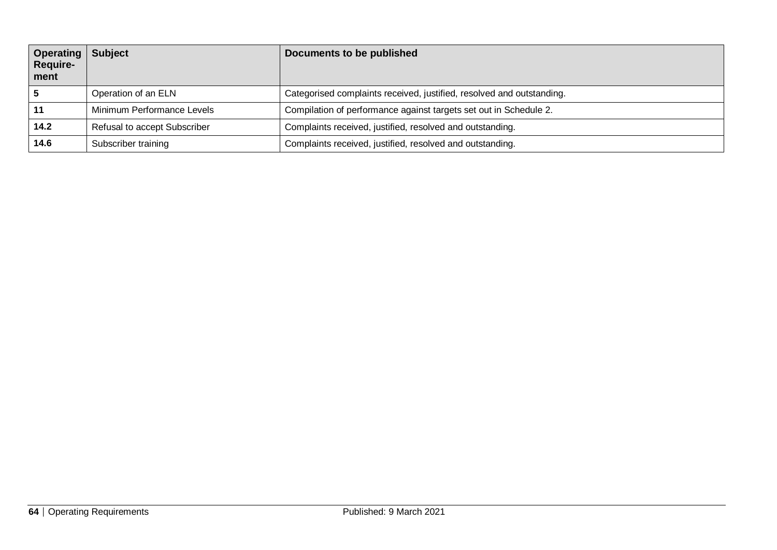| Operating<br>Require-<br>ment | <b>Subject</b>               | Documents to be published                                             |
|-------------------------------|------------------------------|-----------------------------------------------------------------------|
|                               | Operation of an ELN          | Categorised complaints received, justified, resolved and outstanding. |
|                               | Minimum Performance Levels   | Compilation of performance against targets set out in Schedule 2.     |
| 14.2                          | Refusal to accept Subscriber | Complaints received, justified, resolved and outstanding.             |
| 14.6                          | Subscriber training          | Complaints received, justified, resolved and outstanding.             |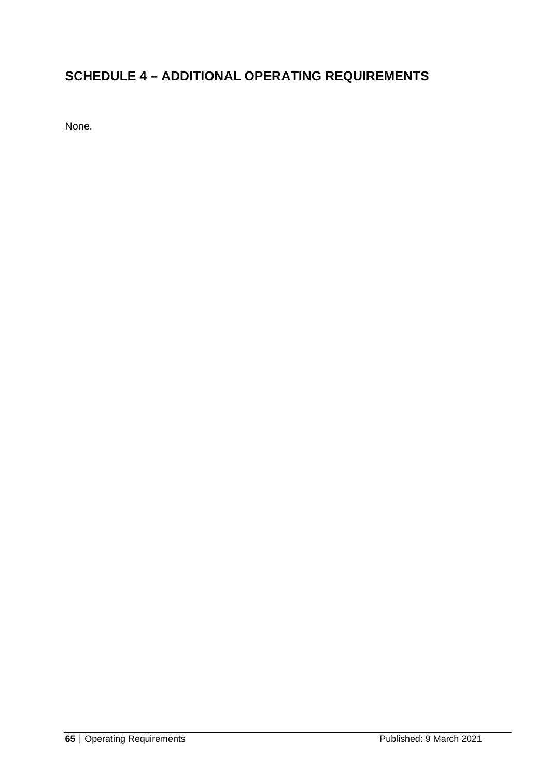## **SCHEDULE 4 – ADDITIONAL OPERATING REQUIREMENTS**

None.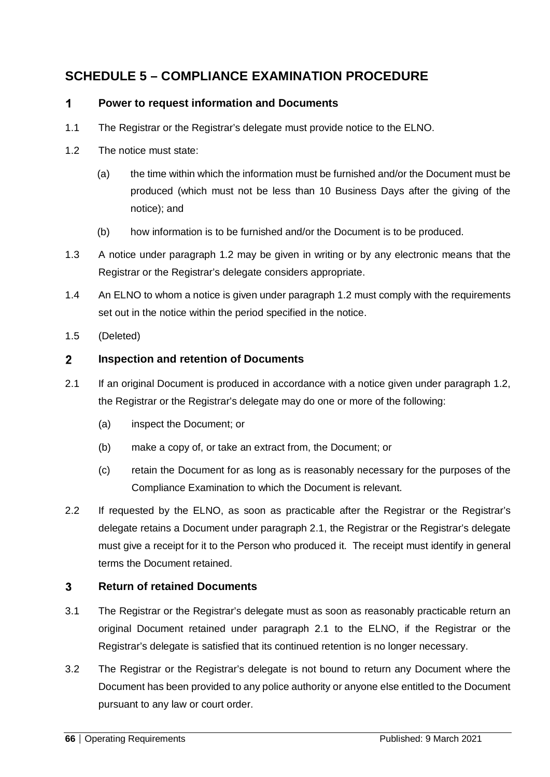## **SCHEDULE 5 – COMPLIANCE EXAMINATION PROCEDURE**

#### $\mathbf{1}$ **Power to request information and Documents**

- 1.1 The Registrar or the Registrar's delegate must provide notice to the ELNO.
- 1.2 The notice must state:
	- (a) the time within which the information must be furnished and/or the Document must be produced (which must not be less than 10 Business Days after the giving of the notice); and
	- (b) how information is to be furnished and/or the Document is to be produced.
- 1.3 A notice under paragraph 1.2 may be given in writing or by any electronic means that the Registrar or the Registrar's delegate considers appropriate.
- 1.4 An ELNO to whom a notice is given under paragraph 1.2 must comply with the requirements set out in the notice within the period specified in the notice.
- 1.5 (Deleted)

#### $\overline{2}$ **Inspection and retention of Documents**

- 2.1 If an original Document is produced in accordance with a notice given under paragraph 1.2, the Registrar or the Registrar's delegate may do one or more of the following:
	- (a) inspect the Document; or
	- (b) make a copy of, or take an extract from, the Document; or
	- (c) retain the Document for as long as is reasonably necessary for the purposes of the Compliance Examination to which the Document is relevant.
- 2.2 If requested by the ELNO, as soon as practicable after the Registrar or the Registrar's delegate retains a Document under paragraph 2.1, the Registrar or the Registrar's delegate must give a receipt for it to the Person who produced it. The receipt must identify in general terms the Document retained.

#### $\mathbf{3}$ **Return of retained Documents**

- 3.1 The Registrar or the Registrar's delegate must as soon as reasonably practicable return an original Document retained under paragraph 2.1 to the ELNO, if the Registrar or the Registrar's delegate is satisfied that its continued retention is no longer necessary.
- 3.2 The Registrar or the Registrar's delegate is not bound to return any Document where the Document has been provided to any police authority or anyone else entitled to the Document pursuant to any law or court order.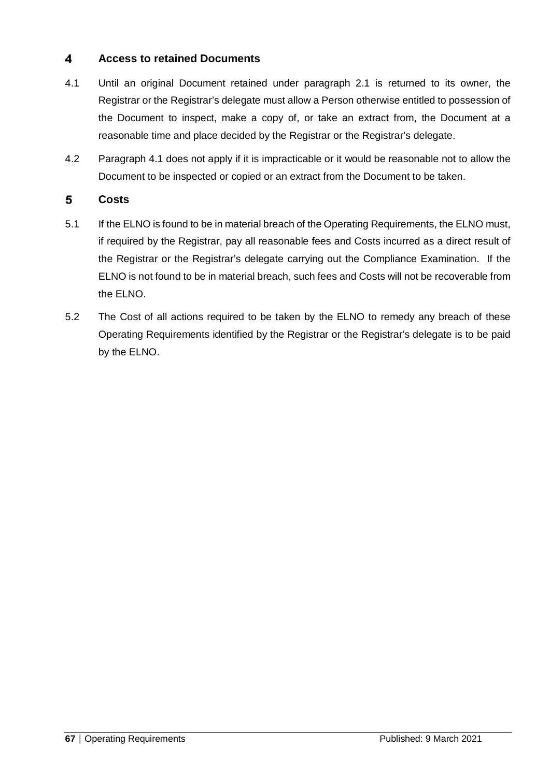#### $\overline{\mathbf{4}}$ **Access to retained Documents**

- 4.1 Until an original Document retained under paragraph 2.1 is returned to its owner, the Registrar or the Registrar's delegate must allow a Person otherwise entitled to possession of the Document to inspect, make a copy of, or take an extract from, the Document at a reasonable time and place decided by the Registrar or the Registrar's delegate.
- 4.2 Paragraph 4.1 does not apply if it is impracticable or it would be reasonable not to allow the Document to be inspected or copied or an extract from the Document to be taken.

#### 5 **Costs**

- 5.1 If the ELNO is found to be in material breach of the Operating Requirements, the ELNO must, if required by the Registrar, pay all reasonable fees and Costs incurred as a direct result of the Registrar or the Registrar's delegate carrying out the Compliance Examination. If the ELNO is not found to be in material breach, such fees and Costs will not be recoverable from the ELNO.
- 5.2 The Cost of all actions required to be taken by the ELNO to remedy any breach of these Operating Requirements identified by the Registrar or the Registrar's delegate is to be paid by the ELNO.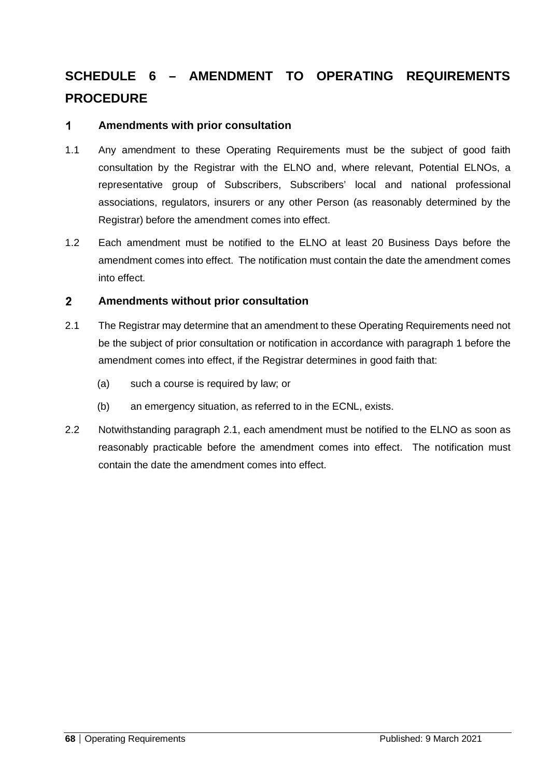# **SCHEDULE 6 – AMENDMENT TO OPERATING REQUIREMENTS PROCEDURE**

#### 1 **Amendments with prior consultation**

- 1.1 Any amendment to these Operating Requirements must be the subject of good faith consultation by the Registrar with the ELNO and, where relevant, Potential ELNOs, a representative group of Subscribers, Subscribers' local and national professional associations, regulators, insurers or any other Person (as reasonably determined by the Registrar) before the amendment comes into effect.
- 1.2 Each amendment must be notified to the ELNO at least 20 Business Days before the amendment comes into effect. The notification must contain the date the amendment comes into effect.

#### $\overline{2}$ **Amendments without prior consultation**

- 2.1 The Registrar may determine that an amendment to these Operating Requirements need not be the subject of prior consultation or notification in accordance with paragraph 1 before the amendment comes into effect, if the Registrar determines in good faith that:
	- (a) such a course is required by law; or
	- (b) an emergency situation, as referred to in the ECNL, exists.
- 2.2 Notwithstanding paragraph 2.1, each amendment must be notified to the ELNO as soon as reasonably practicable before the amendment comes into effect. The notification must contain the date the amendment comes into effect.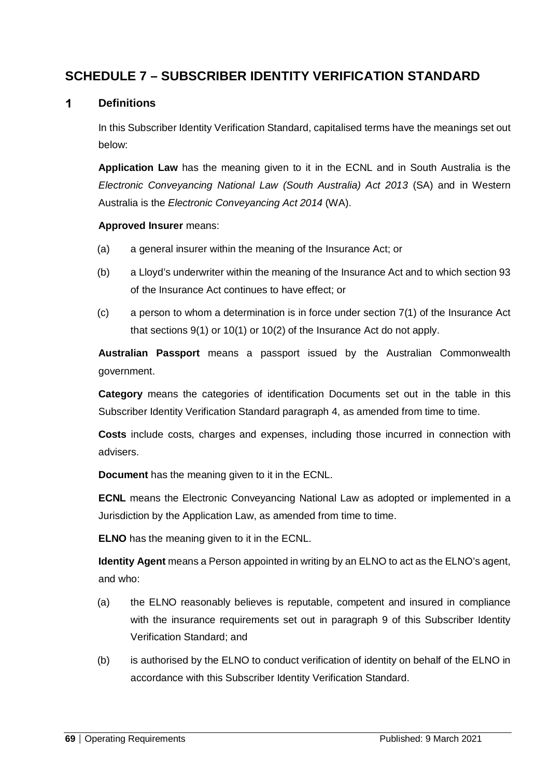## **SCHEDULE 7 – SUBSCRIBER IDENTITY VERIFICATION STANDARD**

#### $\mathbf{1}$ **Definitions**

In this Subscriber Identity Verification Standard, capitalised terms have the meanings set out below:

**Application Law** has the meaning given to it in the ECNL and in South Australia is the *Electronic Conveyancing National Law (South Australia) Act 2013* (SA) and in Western Australia is the *Electronic Conveyancing Act 2014* (WA).

#### **Approved Insurer** means:

- (a) a general insurer within the meaning of the Insurance Act; or
- (b) a Lloyd's underwriter within the meaning of the Insurance Act and to which section 93 of the Insurance Act continues to have effect; or
- (c) a person to whom a determination is in force under section 7(1) of the Insurance Act that sections 9(1) or 10(1) or 10(2) of the Insurance Act do not apply.

**Australian Passport** means a passport issued by the Australian Commonwealth government.

**Category** means the categories of identification Documents set out in the table in this Subscriber Identity Verification Standard paragraph 4, as amended from time to time.

**Costs** include costs, charges and expenses, including those incurred in connection with advisers.

**Document** has the meaning given to it in the ECNL.

**ECNL** means the Electronic Conveyancing National Law as adopted or implemented in a Jurisdiction by the Application Law, as amended from time to time.

**ELNO** has the meaning given to it in the ECNL.

**Identity Agent** means a Person appointed in writing by an ELNO to act as the ELNO's agent, and who:

- (a) the ELNO reasonably believes is reputable, competent and insured in compliance with the insurance requirements set out in paragraph 9 of this Subscriber Identity Verification Standard; and
- (b) is authorised by the ELNO to conduct verification of identity on behalf of the ELNO in accordance with this Subscriber Identity Verification Standard.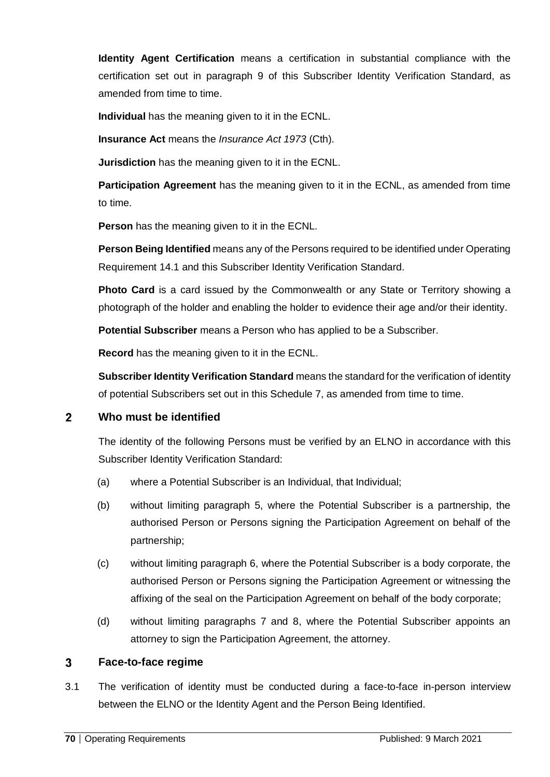**Identity Agent Certification** means a certification in substantial compliance with the certification set out in paragraph 9 of this Subscriber Identity Verification Standard, as amended from time to time.

**Individual** has the meaning given to it in the ECNL.

**Insurance Act** means the *Insurance Act 1973* (Cth).

**Jurisdiction** has the meaning given to it in the ECNL.

**Participation Agreement** has the meaning given to it in the ECNL, as amended from time to time.

**Person** has the meaning given to it in the ECNL.

**Person Being Identified** means any of the Persons required to be identified under Operating Requirement 14.1 and this Subscriber Identity Verification Standard.

**Photo Card** is a card issued by the Commonwealth or any State or Territory showing a photograph of the holder and enabling the holder to evidence their age and/or their identity.

**Potential Subscriber** means a Person who has applied to be a Subscriber.

**Record** has the meaning given to it in the ECNL.

**Subscriber Identity Verification Standard** means the standard for the verification of identity of potential Subscribers set out in this Schedule 7, as amended from time to time.

#### $\mathbf{2}$ **Who must be identified**

The identity of the following Persons must be verified by an ELNO in accordance with this Subscriber Identity Verification Standard:

- (a) where a Potential Subscriber is an Individual, that Individual;
- (b) without limiting paragraph 5, where the Potential Subscriber is a partnership, the authorised Person or Persons signing the Participation Agreement on behalf of the partnership;
- (c) without limiting paragraph 6, where the Potential Subscriber is a body corporate, the authorised Person or Persons signing the Participation Agreement or witnessing the affixing of the seal on the Participation Agreement on behalf of the body corporate;
- (d) without limiting paragraphs 7 and 8, where the Potential Subscriber appoints an attorney to sign the Participation Agreement, the attorney.

#### $\overline{3}$ **Face-to-face regime**

3.1 The verification of identity must be conducted during a face-to-face in-person interview between the ELNO or the Identity Agent and the Person Being Identified.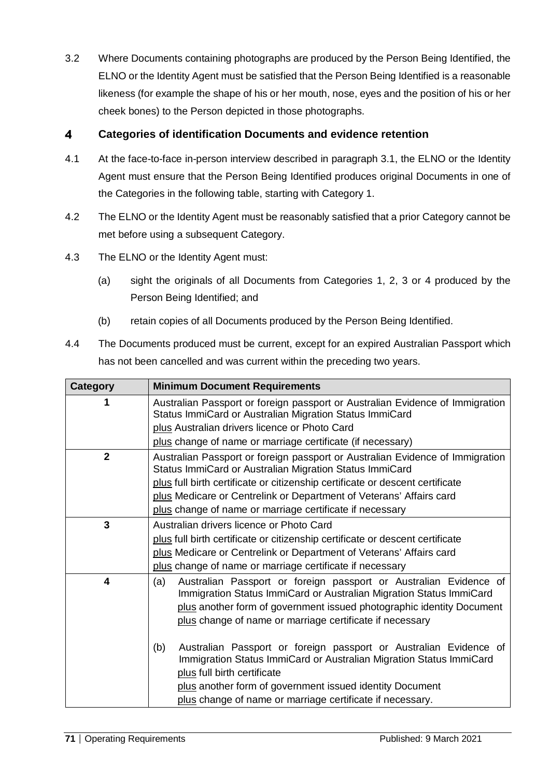3.2 Where Documents containing photographs are produced by the Person Being Identified, the ELNO or the Identity Agent must be satisfied that the Person Being Identified is a reasonable likeness (for example the shape of his or her mouth, nose, eyes and the position of his or her cheek bones) to the Person depicted in those photographs.

#### $\overline{\mathbf{4}}$ **Categories of identification Documents and evidence retention**

- 4.1 At the face-to-face in-person interview described in paragraph 3.1, the ELNO or the Identity Agent must ensure that the Person Being Identified produces original Documents in one of the Categories in the following table, starting with Category 1.
- 4.2 The ELNO or the Identity Agent must be reasonably satisfied that a prior Category cannot be met before using a subsequent Category.
- 4.3 The ELNO or the Identity Agent must:
	- (a) sight the originals of all Documents from Categories 1, 2, 3 or 4 produced by the Person Being Identified; and
	- (b) retain copies of all Documents produced by the Person Being Identified.
- 4.4 The Documents produced must be current, except for an expired Australian Passport which has not been cancelled and was current within the preceding two years.

| <b>Category</b>         | <b>Minimum Document Requirements</b>                                                                                                                                                                                                                                                                    |
|-------------------------|---------------------------------------------------------------------------------------------------------------------------------------------------------------------------------------------------------------------------------------------------------------------------------------------------------|
|                         | Australian Passport or foreign passport or Australian Evidence of Immigration<br>Status ImmiCard or Australian Migration Status ImmiCard                                                                                                                                                                |
|                         | plus Australian drivers licence or Photo Card                                                                                                                                                                                                                                                           |
|                         | plus change of name or marriage certificate (if necessary)                                                                                                                                                                                                                                              |
| $\overline{2}$          | Australian Passport or foreign passport or Australian Evidence of Immigration<br>Status ImmiCard or Australian Migration Status ImmiCard                                                                                                                                                                |
|                         | plus full birth certificate or citizenship certificate or descent certificate                                                                                                                                                                                                                           |
|                         | plus Medicare or Centrelink or Department of Veterans' Affairs card                                                                                                                                                                                                                                     |
|                         | plus change of name or marriage certificate if necessary                                                                                                                                                                                                                                                |
| 3                       | Australian drivers licence or Photo Card                                                                                                                                                                                                                                                                |
|                         | plus full birth certificate or citizenship certificate or descent certificate                                                                                                                                                                                                                           |
|                         | plus Medicare or Centrelink or Department of Veterans' Affairs card                                                                                                                                                                                                                                     |
|                         | plus change of name or marriage certificate if necessary                                                                                                                                                                                                                                                |
| $\overline{\mathbf{4}}$ | (a)<br>Australian Passport or foreign passport or Australian Evidence of<br>Immigration Status ImmiCard or Australian Migration Status ImmiCard<br>plus another form of government issued photographic identity Document<br>plus change of name or marriage certificate if necessary                    |
|                         | Australian Passport or foreign passport or Australian Evidence of<br>(b)<br>Immigration Status ImmiCard or Australian Migration Status ImmiCard<br>plus full birth certificate<br>plus another form of government issued identity Document<br>plus change of name or marriage certificate if necessary. |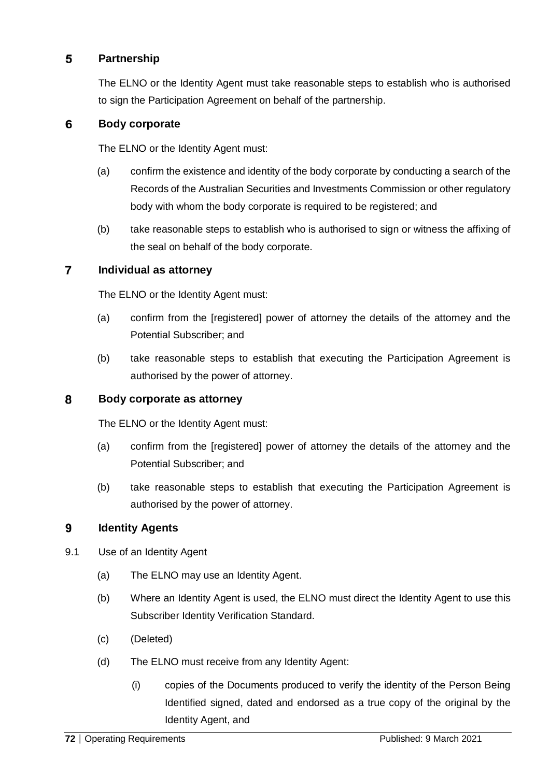#### 5 **Partnership**

The ELNO or the Identity Agent must take reasonable steps to establish who is authorised to sign the Participation Agreement on behalf of the partnership.

#### 6 **Body corporate**

The ELNO or the Identity Agent must:

- (a) confirm the existence and identity of the body corporate by conducting a search of the Records of the Australian Securities and Investments Commission or other regulatory body with whom the body corporate is required to be registered; and
- (b) take reasonable steps to establish who is authorised to sign or witness the affixing of the seal on behalf of the body corporate.

#### $\overline{7}$ **Individual as attorney**

The ELNO or the Identity Agent must:

- (a) confirm from the [registered] power of attorney the details of the attorney and the Potential Subscriber; and
- (b) take reasonable steps to establish that executing the Participation Agreement is authorised by the power of attorney.

#### 8 **Body corporate as attorney**

The ELNO or the Identity Agent must:

- (a) confirm from the [registered] power of attorney the details of the attorney and the Potential Subscriber; and
- (b) take reasonable steps to establish that executing the Participation Agreement is authorised by the power of attorney.

#### 9 **Identity Agents**

- 9.1 Use of an Identity Agent
	- (a) The ELNO may use an Identity Agent.
	- (b) Where an Identity Agent is used, the ELNO must direct the Identity Agent to use this Subscriber Identity Verification Standard.
	- (c) (Deleted)
	- (d) The ELNO must receive from any Identity Agent:
		- (i) copies of the Documents produced to verify the identity of the Person Being Identified signed, dated and endorsed as a true copy of the original by the Identity Agent, and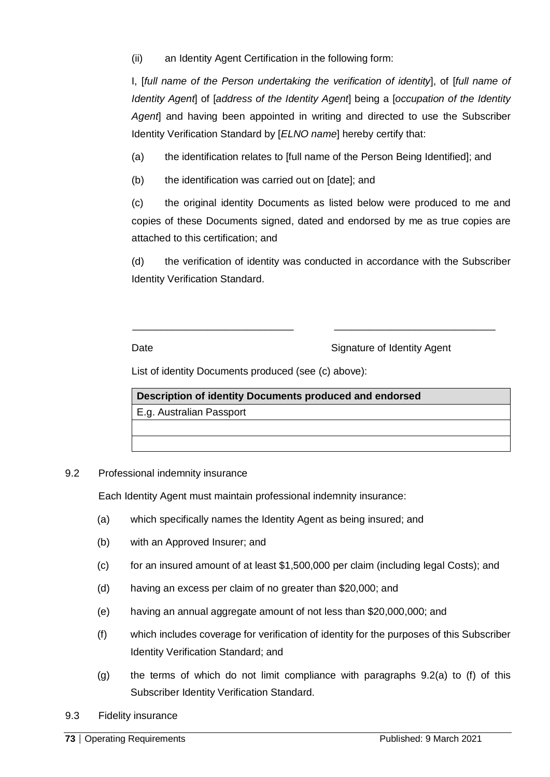(ii) an Identity Agent Certification in the following form:

I, [*full name of the Person undertaking the verification of identity*], of [*full name of Identity Agent*] of [*address of the Identity Agent*] being a [*occupation of the Identity Agent*] and having been appointed in writing and directed to use the Subscriber Identity Verification Standard by [*ELNO name*] hereby certify that:

(a) the identification relates to [full name of the Person Being Identified]; and

(b) the identification was carried out on [date]; and

(c) the original identity Documents as listed below were produced to me and copies of these Documents signed, dated and endorsed by me as true copies are attached to this certification; and

(d) the verification of identity was conducted in accordance with the Subscriber Identity Verification Standard.

\_\_\_\_\_\_\_\_\_\_\_\_\_\_\_\_\_\_\_\_\_\_\_\_\_\_\_\_ \_\_\_\_\_\_\_\_\_\_\_\_\_\_\_\_\_\_\_\_\_\_\_\_\_\_\_\_

Date **Signature of Identity Agent** 

List of identity Documents produced (see (c) above):

**Description of identity Documents produced and endorsed** E.g. Australian Passport

9.2 Professional indemnity insurance

Each Identity Agent must maintain professional indemnity insurance:

- (a) which specifically names the Identity Agent as being insured; and
- (b) with an Approved Insurer; and
- (c) for an insured amount of at least \$1,500,000 per claim (including legal Costs); and
- (d) having an excess per claim of no greater than \$20,000; and
- (e) having an annual aggregate amount of not less than \$20,000,000; and
- (f) which includes coverage for verification of identity for the purposes of this Subscriber Identity Verification Standard; and
- (g) the terms of which do not limit compliance with paragraphs 9.2(a) to (f) of this Subscriber Identity Verification Standard.
- 9.3 Fidelity insurance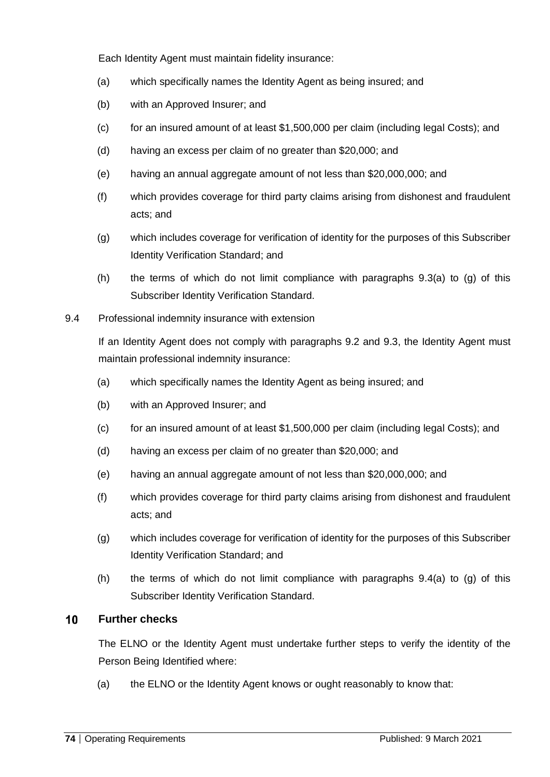Each Identity Agent must maintain fidelity insurance:

- (a) which specifically names the Identity Agent as being insured; and
- (b) with an Approved Insurer; and
- (c) for an insured amount of at least \$1,500,000 per claim (including legal Costs); and
- (d) having an excess per claim of no greater than \$20,000; and
- (e) having an annual aggregate amount of not less than \$20,000,000; and
- (f) which provides coverage for third party claims arising from dishonest and fraudulent acts; and
- (g) which includes coverage for verification of identity for the purposes of this Subscriber Identity Verification Standard; and
- $(h)$  the terms of which do not limit compliance with paragraphs  $9.3(a)$  to  $(q)$  of this Subscriber Identity Verification Standard.
- 9.4 Professional indemnity insurance with extension

If an Identity Agent does not comply with paragraphs 9.2 and 9.3, the Identity Agent must maintain professional indemnity insurance:

- (a) which specifically names the Identity Agent as being insured; and
- (b) with an Approved Insurer; and
- (c) for an insured amount of at least \$1,500,000 per claim (including legal Costs); and
- (d) having an excess per claim of no greater than \$20,000; and
- (e) having an annual aggregate amount of not less than \$20,000,000; and
- (f) which provides coverage for third party claims arising from dishonest and fraudulent acts; and
- (g) which includes coverage for verification of identity for the purposes of this Subscriber Identity Verification Standard; and
- (h) the terms of which do not limit compliance with paragraphs  $9.4(a)$  to (g) of this Subscriber Identity Verification Standard.

## 10 **Further checks**

The ELNO or the Identity Agent must undertake further steps to verify the identity of the Person Being Identified where:

(a) the ELNO or the Identity Agent knows or ought reasonably to know that: